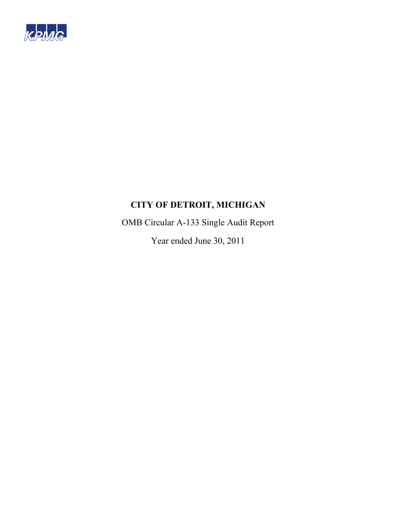

OMB Circular A-133 Single Audit Report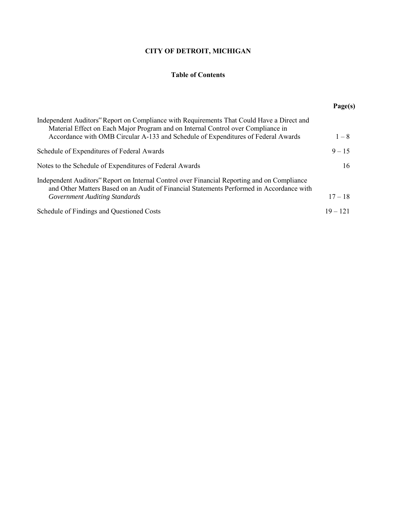# **Table of Contents**

|                                                                                                                                                                                                                                                                    | Page(s)    |
|--------------------------------------------------------------------------------------------------------------------------------------------------------------------------------------------------------------------------------------------------------------------|------------|
| Independent Auditors" Report on Compliance with Requirements That Could Have a Direct and<br>Material Effect on Each Major Program and on Internal Control over Compliance in<br>Accordance with OMB Circular A-133 and Schedule of Expenditures of Federal Awards | $1 - 8$    |
| Schedule of Expenditures of Federal Awards                                                                                                                                                                                                                         | $9 - 15$   |
| Notes to the Schedule of Expenditures of Federal Awards                                                                                                                                                                                                            | 16         |
| Independent Auditors" Report on Internal Control over Financial Reporting and on Compliance<br>and Other Matters Based on an Audit of Financial Statements Performed in Accordance with<br>Government Auditing Standards                                           | $17 - 18$  |
| Schedule of Findings and Questioned Costs                                                                                                                                                                                                                          | $19 - 121$ |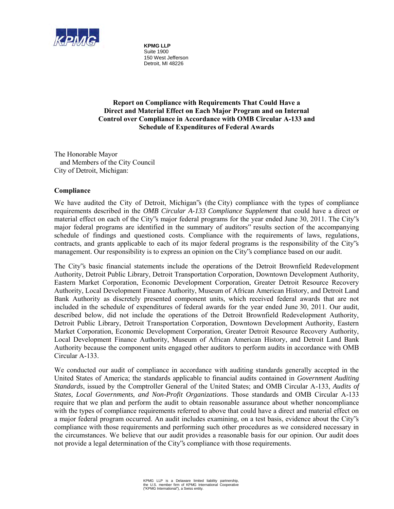

**KPMG LLP** Suite 1900 150 West Jefferson Detroit, MI 48226

**Report on Compliance with Requirements That Could Have a Direct and Material Effect on Each Major Program and on Internal Control over Compliance in Accordance with OMB Circular A-133 and Schedule of Expenditures of Federal Awards** 

The Honorable Mayor and Members of the City Council City of Detroit, Michigan:

## **Compliance**

We have audited the City of Detroit, Michigan"s (the City) compliance with the types of compliance requirements described in the *OMB Circular A-133 Compliance Supplement* that could have a direct or material effect on each of the City"s major federal programs for the year ended June 30, 2011. The City"s major federal programs are identified in the summary of auditors" results section of the accompanying schedule of findings and questioned costs. Compliance with the requirements of laws, regulations, contracts, and grants applicable to each of its major federal programs is the responsibility of the City"s management. Our responsibility is to express an opinion on the City"s compliance based on our audit.

The City"s basic financial statements include the operations of the Detroit Brownfield Redevelopment Authority, Detroit Public Library, Detroit Transportation Corporation, Downtown Development Authority, Eastern Market Corporation, Economic Development Corporation, Greater Detroit Resource Recovery Authority, Local Development Finance Authority, Museum of African American History, and Detroit Land Bank Authority as discretely presented component units, which received federal awards that are not included in the schedule of expenditures of federal awards for the year ended June 30, 2011. Our audit, described below, did not include the operations of the Detroit Brownfield Redevelopment Authority, Detroit Public Library, Detroit Transportation Corporation, Downtown Development Authority, Eastern Market Corporation, Economic Development Corporation, Greater Detroit Resource Recovery Authority, Local Development Finance Authority, Museum of African American History, and Detroit Land Bank Authority because the component units engaged other auditors to perform audits in accordance with OMB Circular A-133.

We conducted our audit of compliance in accordance with auditing standards generally accepted in the United States of America; the standards applicable to financial audits contained in *Government Auditing Standards*, issued by the Comptroller General of the United States; and OMB Circular A-133, *Audits of States, Local Governments, and Non-Profit Organizations*. Those standards and OMB Circular A-133 require that we plan and perform the audit to obtain reasonable assurance about whether noncompliance with the types of compliance requirements referred to above that could have a direct and material effect on a major federal program occurred. An audit includes examining, on a test basis, evidence about the City"s compliance with those requirements and performing such other procedures as we considered necessary in the circumstances. We believe that our audit provides a reasonable basis for our opinion. Our audit does not provide a legal determination of the City"s compliance with those requirements.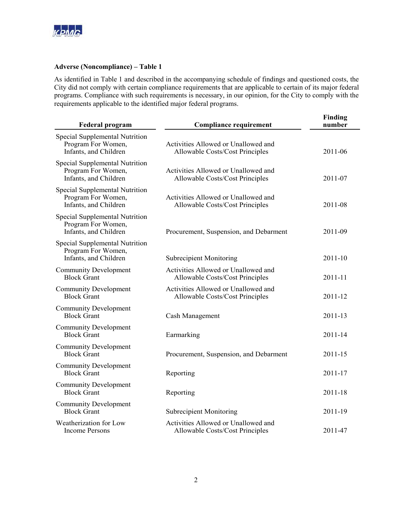

#### **Adverse (Noncompliance) – Table 1**

As identified in Table 1 and described in the accompanying schedule of findings and questioned costs, the City did not comply with certain compliance requirements that are applicable to certain of its major federal programs. Compliance with such requirements is necessary, in our opinion, for the City to comply with the requirements applicable to the identified major federal programs.

| <b>Federal program</b>                                                        | <b>Compliance requirement</b>                                          | <b>Finding</b><br>number |
|-------------------------------------------------------------------------------|------------------------------------------------------------------------|--------------------------|
| Special Supplemental Nutrition<br>Program For Women,<br>Infants, and Children | Activities Allowed or Unallowed and<br>Allowable Costs/Cost Principles | 2011-06                  |
| Special Supplemental Nutrition<br>Program For Women,<br>Infants, and Children | Activities Allowed or Unallowed and<br>Allowable Costs/Cost Principles | 2011-07                  |
| Special Supplemental Nutrition<br>Program For Women,<br>Infants, and Children | Activities Allowed or Unallowed and<br>Allowable Costs/Cost Principles | 2011-08                  |
| Special Supplemental Nutrition<br>Program For Women,<br>Infants, and Children | Procurement, Suspension, and Debarment                                 | 2011-09                  |
| Special Supplemental Nutrition<br>Program For Women,<br>Infants, and Children | <b>Subrecipient Monitoring</b>                                         | 2011-10                  |
| <b>Community Development</b><br><b>Block Grant</b>                            | Activities Allowed or Unallowed and<br>Allowable Costs/Cost Principles | 2011-11                  |
| <b>Community Development</b><br><b>Block Grant</b>                            | Activities Allowed or Unallowed and<br>Allowable Costs/Cost Principles | 2011-12                  |
| <b>Community Development</b><br><b>Block Grant</b>                            | Cash Management                                                        | 2011-13                  |
| <b>Community Development</b><br><b>Block Grant</b>                            | Earmarking                                                             | 2011-14                  |
| <b>Community Development</b><br><b>Block Grant</b>                            | Procurement, Suspension, and Debarment                                 | 2011-15                  |
| <b>Community Development</b><br><b>Block Grant</b>                            | Reporting                                                              | 2011-17                  |
| <b>Community Development</b><br><b>Block Grant</b>                            | Reporting                                                              | 2011-18                  |
| <b>Community Development</b><br><b>Block Grant</b>                            | <b>Subrecipient Monitoring</b>                                         | 2011-19                  |
| Weatherization for Low<br><b>Income Persons</b>                               | Activities Allowed or Unallowed and<br>Allowable Costs/Cost Principles | 2011-47                  |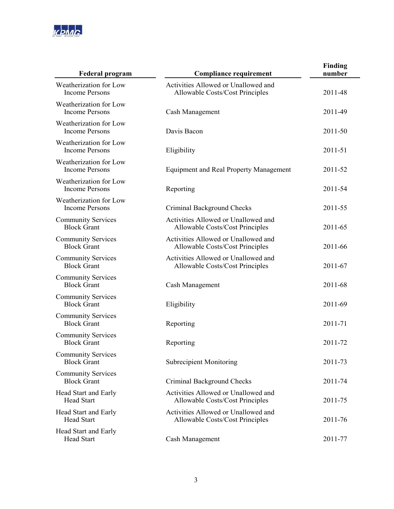

| <b>Federal program</b>                          | <b>Compliance requirement</b>                                          | <b>Finding</b><br>number |
|-------------------------------------------------|------------------------------------------------------------------------|--------------------------|
| Weatherization for Low<br><b>Income Persons</b> | Activities Allowed or Unallowed and<br>Allowable Costs/Cost Principles | 2011-48                  |
| Weatherization for Low<br><b>Income Persons</b> | Cash Management                                                        | 2011-49                  |
| Weatherization for Low<br><b>Income Persons</b> | Davis Bacon                                                            | 2011-50                  |
| Weatherization for Low<br><b>Income Persons</b> | Eligibility                                                            | 2011-51                  |
| Weatherization for Low<br><b>Income Persons</b> | <b>Equipment and Real Property Management</b>                          | 2011-52                  |
| Weatherization for Low<br><b>Income Persons</b> | Reporting                                                              | 2011-54                  |
| Weatherization for Low<br><b>Income Persons</b> | Criminal Background Checks                                             | 2011-55                  |
| <b>Community Services</b><br><b>Block Grant</b> | Activities Allowed or Unallowed and<br>Allowable Costs/Cost Principles | 2011-65                  |
| <b>Community Services</b><br><b>Block Grant</b> | Activities Allowed or Unallowed and<br>Allowable Costs/Cost Principles | 2011-66                  |
| <b>Community Services</b><br><b>Block Grant</b> | Activities Allowed or Unallowed and<br>Allowable Costs/Cost Principles | 2011-67                  |
| <b>Community Services</b><br><b>Block Grant</b> | Cash Management                                                        | 2011-68                  |
| <b>Community Services</b><br><b>Block Grant</b> | Eligibility                                                            | 2011-69                  |
| <b>Community Services</b><br><b>Block Grant</b> | Reporting                                                              | 2011-71                  |
| <b>Community Services</b><br><b>Block Grant</b> | Reporting                                                              | 2011-72                  |
| <b>Community Services</b><br><b>Block Grant</b> | <b>Subrecipient Monitoring</b>                                         | 2011-73                  |
| <b>Community Services</b><br><b>Block Grant</b> | Criminal Background Checks                                             | 2011-74                  |
| Head Start and Early<br><b>Head Start</b>       | Activities Allowed or Unallowed and<br>Allowable Costs/Cost Principles | 2011-75                  |
| Head Start and Early<br><b>Head Start</b>       | Activities Allowed or Unallowed and<br>Allowable Costs/Cost Principles | 2011-76                  |
| Head Start and Early<br><b>Head Start</b>       | Cash Management                                                        | 2011-77                  |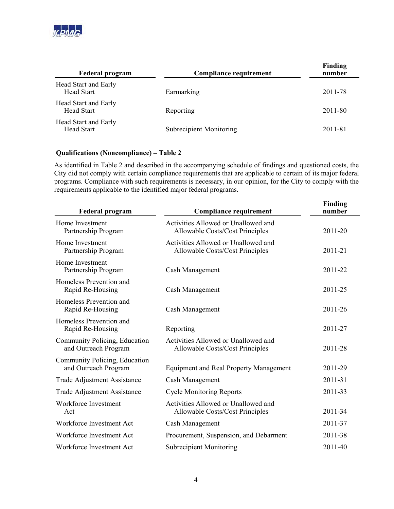

| <b>Federal program</b>                    | <b>Compliance requirement</b>  | <b>Finding</b><br>number |
|-------------------------------------------|--------------------------------|--------------------------|
| Head Start and Early<br><b>Head Start</b> | Earmarking                     | 2011-78                  |
| Head Start and Early<br><b>Head Start</b> | Reporting                      | 2011-80                  |
| Head Start and Early<br>Head Start        | <b>Subrecipient Monitoring</b> | 2011-81                  |

# **Qualifications (Noncompliance) – Table 2**

As identified in Table 2 and described in the accompanying schedule of findings and questioned costs, the City did not comply with certain compliance requirements that are applicable to certain of its major federal programs. Compliance with such requirements is necessary, in our opinion, for the City to comply with the requirements applicable to the identified major federal programs.

| <b>Federal program</b>                                | <b>Compliance requirement</b>                                          | Finding<br>number |
|-------------------------------------------------------|------------------------------------------------------------------------|-------------------|
| Home Investment<br>Partnership Program                | Activities Allowed or Unallowed and<br>Allowable Costs/Cost Principles | 2011-20           |
| Home Investment<br>Partnership Program                | Activities Allowed or Unallowed and<br>Allowable Costs/Cost Principles | 2011-21           |
| Home Investment<br>Partnership Program                | Cash Management                                                        | 2011-22           |
| Homeless Prevention and<br>Rapid Re-Housing           | Cash Management                                                        | 2011-25           |
| Homeless Prevention and<br>Rapid Re-Housing           | Cash Management                                                        | 2011-26           |
| Homeless Prevention and<br>Rapid Re-Housing           | Reporting                                                              | 2011-27           |
| Community Policing, Education<br>and Outreach Program | Activities Allowed or Unallowed and<br>Allowable Costs/Cost Principles | 2011-28           |
| Community Policing, Education<br>and Outreach Program | <b>Equipment and Real Property Management</b>                          | 2011-29           |
| <b>Trade Adjustment Assistance</b>                    | Cash Management                                                        | 2011-31           |
| <b>Trade Adjustment Assistance</b>                    | <b>Cycle Monitoring Reports</b>                                        | 2011-33           |
| Workforce Investment<br>Act                           | Activities Allowed or Unallowed and<br>Allowable Costs/Cost Principles | 2011-34           |
| Workforce Investment Act                              | Cash Management                                                        | 2011-37           |
| Workforce Investment Act                              | Procurement, Suspension, and Debarment                                 | 2011-38           |
| Workforce Investment Act                              | <b>Subrecipient Monitoring</b>                                         | 2011-40           |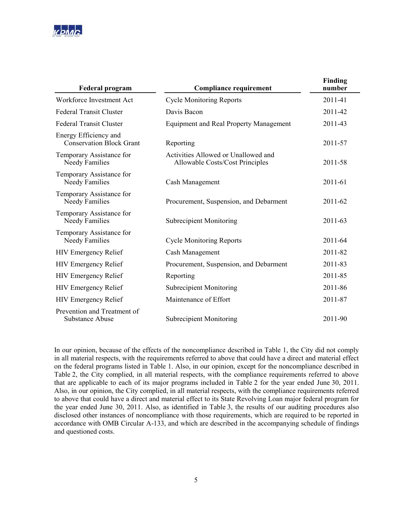

| <b>Federal program</b>                                   | <b>Compliance requirement</b>                                          | <b>Finding</b><br>number |
|----------------------------------------------------------|------------------------------------------------------------------------|--------------------------|
| Workforce Investment Act                                 | <b>Cycle Monitoring Reports</b>                                        | 2011-41                  |
| <b>Federal Transit Cluster</b>                           | Davis Bacon                                                            | 2011-42                  |
| <b>Federal Transit Cluster</b>                           | <b>Equipment and Real Property Management</b>                          | 2011-43                  |
| Energy Efficiency and<br><b>Conservation Block Grant</b> | Reporting                                                              | 2011-57                  |
| Temporary Assistance for<br>Needy Families               | Activities Allowed or Unallowed and<br>Allowable Costs/Cost Principles | 2011-58                  |
| Temporary Assistance for<br>Needy Families               | Cash Management                                                        | 2011-61                  |
| Temporary Assistance for<br>Needy Families               | Procurement, Suspension, and Debarment                                 | 2011-62                  |
| Temporary Assistance for<br>Needy Families               | <b>Subrecipient Monitoring</b>                                         | 2011-63                  |
| Temporary Assistance for<br>Needy Families               | <b>Cycle Monitoring Reports</b>                                        | 2011-64                  |
| <b>HIV Emergency Relief</b>                              | Cash Management                                                        | 2011-82                  |
| <b>HIV Emergency Relief</b>                              | Procurement, Suspension, and Debarment                                 | 2011-83                  |
| <b>HIV Emergency Relief</b>                              | Reporting                                                              | 2011-85                  |
| <b>HIV Emergency Relief</b>                              | <b>Subrecipient Monitoring</b>                                         | 2011-86                  |
| <b>HIV Emergency Relief</b>                              | Maintenance of Effort                                                  | 2011-87                  |
| Prevention and Treatment of<br><b>Substance Abuse</b>    | <b>Subrecipient Monitoring</b>                                         | 2011-90                  |

In our opinion, because of the effects of the noncompliance described in Table 1, the City did not comply in all material respects, with the requirements referred to above that could have a direct and material effect on the federal programs listed in Table 1. Also, in our opinion, except for the noncompliance described in Table 2, the City complied, in all material respects, with the compliance requirements referred to above that are applicable to each of its major programs included in Table 2 for the year ended June 30, 2011. Also, in our opinion, the City complied, in all material respects, with the compliance requirements referred to above that could have a direct and material effect to its State Revolving Loan major federal program for the year ended June 30, 2011. Also, as identified in Table 3, the results of our auditing procedures also disclosed other instances of noncompliance with those requirements, which are required to be reported in accordance with OMB Circular A-133, and which are described in the accompanying schedule of findings and questioned costs.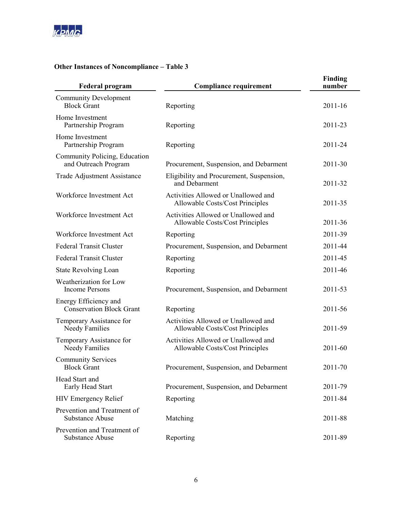

# **Other Instances of Noncompliance – Table 3**

| <b>Federal program</b>                                   | <b>Compliance requirement</b>                                          | Finding<br>number |
|----------------------------------------------------------|------------------------------------------------------------------------|-------------------|
| <b>Community Development</b><br><b>Block Grant</b>       | Reporting                                                              | 2011-16           |
| Home Investment<br>Partnership Program                   | Reporting                                                              | 2011-23           |
| Home Investment<br>Partnership Program                   | Reporting                                                              | 2011-24           |
| Community Policing, Education<br>and Outreach Program    | Procurement, Suspension, and Debarment                                 | 2011-30           |
| Trade Adjustment Assistance                              | Eligibility and Procurement, Suspension,<br>and Debarment              | 2011-32           |
| Workforce Investment Act                                 | Activities Allowed or Unallowed and<br>Allowable Costs/Cost Principles | 2011-35           |
| Workforce Investment Act                                 | Activities Allowed or Unallowed and<br>Allowable Costs/Cost Principles | 2011-36           |
| Workforce Investment Act                                 | Reporting                                                              | 2011-39           |
| <b>Federal Transit Cluster</b>                           | Procurement, Suspension, and Debarment                                 | 2011-44           |
| <b>Federal Transit Cluster</b>                           | Reporting                                                              | 2011-45           |
| <b>State Revolving Loan</b>                              | Reporting                                                              | 2011-46           |
| Weatherization for Low<br><b>Income Persons</b>          | Procurement, Suspension, and Debarment                                 | 2011-53           |
| Energy Efficiency and<br><b>Conservation Block Grant</b> | Reporting                                                              | 2011-56           |
| Temporary Assistance for<br>Needy Families               | Activities Allowed or Unallowed and<br>Allowable Costs/Cost Principles | 2011-59           |
| Temporary Assistance for<br>Needy Families               | Activities Allowed or Unallowed and<br>Allowable Costs/Cost Principles | 2011-60           |
| <b>Community Services</b><br><b>Block Grant</b>          | Procurement, Suspension, and Debarment                                 | 2011-70           |
| Head Start and<br>Early Head Start                       | Procurement, Suspension, and Debarment                                 | 2011-79           |
| <b>HIV Emergency Relief</b>                              | Reporting                                                              | 2011-84           |
| Prevention and Treatment of<br><b>Substance Abuse</b>    | Matching                                                               | 2011-88           |
| Prevention and Treatment of<br><b>Substance Abuse</b>    | Reporting                                                              | 2011-89           |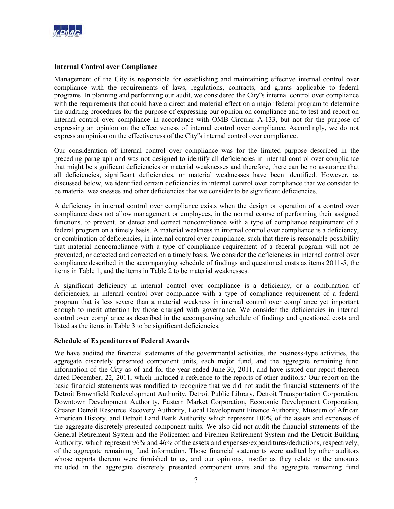

#### **Internal Control over Compliance**

Management of the City is responsible for establishing and maintaining effective internal control over compliance with the requirements of laws, regulations, contracts, and grants applicable to federal programs. In planning and performing our audit, we considered the City"s internal control over compliance with the requirements that could have a direct and material effect on a major federal program to determine the auditing procedures for the purpose of expressing our opinion on compliance and to test and report on internal control over compliance in accordance with OMB Circular A-133, but not for the purpose of expressing an opinion on the effectiveness of internal control over compliance. Accordingly, we do not express an opinion on the effectiveness of the City"s internal control over compliance.

Our consideration of internal control over compliance was for the limited purpose described in the preceding paragraph and was not designed to identify all deficiencies in internal control over compliance that might be significant deficiencies or material weaknesses and therefore, there can be no assurance that all deficiencies, significant deficiencies, or material weaknesses have been identified. However, as discussed below, we identified certain deficiencies in internal control over compliance that we consider to be material weaknesses and other deficiencies that we consider to be significant deficiencies.

A deficiency in internal control over compliance exists when the design or operation of a control over compliance does not allow management or employees, in the normal course of performing their assigned functions, to prevent, or detect and correct noncompliance with a type of compliance requirement of a federal program on a timely basis. A material weakness in internal control over compliance is a deficiency, or combination of deficiencies, in internal control over compliance, such that there is reasonable possibility that material noncompliance with a type of compliance requirement of a federal program will not be prevented, or detected and corrected on a timely basis. We consider the deficiencies in internal control over compliance described in the accompanying schedule of findings and questioned costs as items 2011-5, the items in Table 1, and the items in Table 2 to be material weaknesses.

A significant deficiency in internal control over compliance is a deficiency, or a combination of deficiencies, in internal control over compliance with a type of compliance requirement of a federal program that is less severe than a material weakness in internal control over compliance yet important enough to merit attention by those charged with governance. We consider the deficiencies in internal control over compliance as described in the accompanying schedule of findings and questioned costs and listed as the items in Table 3 to be significant deficiencies.

## **Schedule of Expenditures of Federal Awards**

We have audited the financial statements of the governmental activities, the business-type activities, the aggregate discretely presented component units, each major fund, and the aggregate remaining fund information of the City as of and for the year ended June 30, 2011, and have issued our report thereon dated December, 22, 2011, which included a reference to the reports of other auditors. Our report on the basic financial statements was modified to recognize that we did not audit the financial statements of the Detroit Brownfield Redevelopment Authority, Detroit Public Library, Detroit Transportation Corporation, Downtown Development Authority, Eastern Market Corporation, Economic Development Corporation, Greater Detroit Resource Recovery Authority, Local Development Finance Authority, Museum of African American History, and Detroit Land Bank Authority which represent 100% of the assets and expenses of the aggregate discretely presented component units. We also did not audit the financial statements of the General Retirement System and the Policemen and Firemen Retirement System and the Detroit Building Authority, which represent 96% and 46% of the assets and expenses/expenditures/deductions, respectively, of the aggregate remaining fund information. Those financial statements were audited by other auditors whose reports thereon were furnished to us, and our opinions, insofar as they relate to the amounts included in the aggregate discretely presented component units and the aggregate remaining fund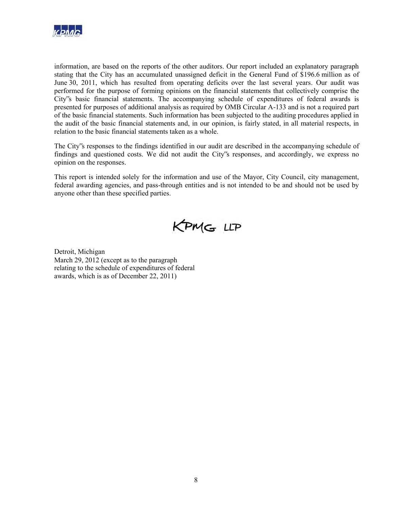

information, are based on the reports of the other auditors. Our report included an explanatory paragraph stating that the City has an accumulated unassigned deficit in the General Fund of \$196.6 million as of June 30, 2011, which has resulted from operating deficits over the last several years. Our audit was performed for the purpose of forming opinions on the financial statements that collectively comprise the City"s basic financial statements. The accompanying schedule of expenditures of federal awards is presented for purposes of additional analysis as required by OMB Circular A-133 and is not a required part of the basic financial statements. Such information has been subjected to the auditing procedures applied in the audit of the basic financial statements and, in our opinion, is fairly stated, in all material respects, in relation to the basic financial statements taken as a whole.

The City"s responses to the findings identified in our audit are described in the accompanying schedule of findings and questioned costs. We did not audit the City"s responses, and accordingly, we express no opinion on the responses.

This report is intended solely for the information and use of the Mayor, City Council, city management, federal awarding agencies, and pass-through entities and is not intended to be and should not be used by anyone other than these specified parties.



Detroit, Michigan March 29, 2012 (except as to the paragraph relating to the schedule of expenditures of federal awards, which is as of December 22, 2011)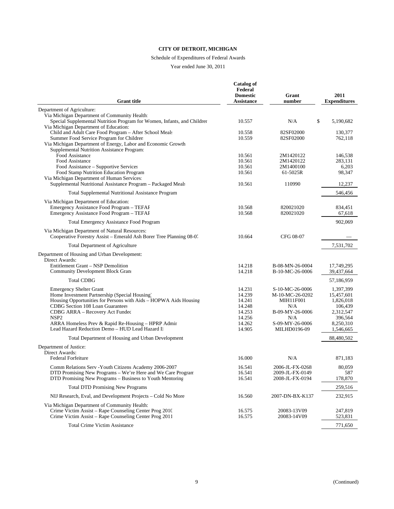# Schedule of Expenditures of Federal Awards

| <b>Grant</b> title                                                                                                                                                                                                                                                                                                                                      | <b>Catalog of</b><br>Federal<br><b>Domestic</b><br><b>Assistance</b>         | Grant<br>number                                                                                                                   | 2011<br><b>Expenditures</b>                                                                       |
|---------------------------------------------------------------------------------------------------------------------------------------------------------------------------------------------------------------------------------------------------------------------------------------------------------------------------------------------------------|------------------------------------------------------------------------------|-----------------------------------------------------------------------------------------------------------------------------------|---------------------------------------------------------------------------------------------------|
| Department of Agriculture:                                                                                                                                                                                                                                                                                                                              |                                                                              |                                                                                                                                   |                                                                                                   |
| Via Michigan Department of Community Health:<br>Special Supplemental Nutrition Program for Women, Infants, and Childrer<br>Via Michigan Department of Education:                                                                                                                                                                                        | 10.557                                                                       | N/A<br>\$                                                                                                                         | 5,190,682                                                                                         |
| Child and Adult Care Food Program - After School Meals<br>Summer Food Service Program for Children<br>Via Michigan Department of Energy, Labor and Economic Growth<br>Supplemental Nutrition Assistance Program:                                                                                                                                        | 10.558<br>10.559                                                             | 82SF02000<br>82SF02000                                                                                                            | 130,377<br>762,118                                                                                |
| Food Assistance<br>Food Assistance<br>Food Assistance – Supportive Services<br>Food Stamp Nutrition Education Program<br>Via Michigan Department of Human Services:                                                                                                                                                                                     | 10.561<br>10.561<br>10.561<br>10.561                                         | 2M1420122<br>2M1420122<br>2M1400100<br>61-5025R                                                                                   | 146,538<br>283,131<br>6,203<br>98,347                                                             |
| Supplemental Nutritional Assistance Program - Packaged Meals                                                                                                                                                                                                                                                                                            | 10.561                                                                       | 110990                                                                                                                            | 12,237                                                                                            |
| Total Supplemental Nutritional Assistance Program                                                                                                                                                                                                                                                                                                       |                                                                              |                                                                                                                                   | 546,456                                                                                           |
| Via Michigan Department of Education:<br>Emergency Assistance Food Program - TEFAF<br>Emergency Assistance Food Program - TEFAF                                                                                                                                                                                                                         | 10.568<br>10.568                                                             | 820021020<br>820021020                                                                                                            | 834,451<br>67,618                                                                                 |
| Total Emergency Assistance Food Program                                                                                                                                                                                                                                                                                                                 |                                                                              |                                                                                                                                   | 902,069                                                                                           |
| Via Michigan Department of Natural Resources:<br>Cooperative Forestry Assist – Emerald Ash Borer Tree Planning 08-07                                                                                                                                                                                                                                    | 10.664                                                                       | CFG 08-07                                                                                                                         |                                                                                                   |
| Total Department of Agriculture                                                                                                                                                                                                                                                                                                                         |                                                                              |                                                                                                                                   | 7,531,702                                                                                         |
| Department of Housing and Urban Development:<br>Direct Awards:<br>Entitlement Grant – NSP Demolition<br><b>Community Development Block Grant</b>                                                                                                                                                                                                        | 14.218<br>14.218                                                             | B-08-MN-26-0004<br>B-10-MC-26-0006                                                                                                | 17,749,295<br>39,437,664                                                                          |
| <b>Total CDBG</b>                                                                                                                                                                                                                                                                                                                                       |                                                                              |                                                                                                                                   | 57,186,959                                                                                        |
| <b>Emergency Shelter Grant</b><br>Home Investment Partnership (Special Housing)<br>Housing Opportunities for Persons with Aids - HOPWA Aids Housing<br>CDBG Section 108 Loan Guarantees<br>CDBG ARRA - Recovery Act Funded<br>NSP <sub>2</sub><br>ARRA Homeless Prev & Rapid Re-Housing - HPRP Admin<br>Lead Hazard Reduction Demo - HUD Lead Hazard II | 14.231<br>14.239<br>14.241<br>14.248<br>14.253<br>14.256<br>14.262<br>14.905 | S-10-MC-26-0006<br>M-10-MC-26-0202<br><b>MIH11F001</b><br>N/A<br>B-09-MY-26-0006<br>N/A<br>S-09-MY-26-0006<br><b>MILHD0196-09</b> | 1,397,399<br>15,457,601<br>1,826,018<br>106,439<br>2,312,547<br>396,564<br>8,250,310<br>1,546,665 |
| Total Department of Housing and Urban Development                                                                                                                                                                                                                                                                                                       |                                                                              |                                                                                                                                   | 88,480,502                                                                                        |
| Department of Justice:<br>Direct Awards:<br><b>Federal Forfeiture</b>                                                                                                                                                                                                                                                                                   | 16.000                                                                       | N/A                                                                                                                               | 871,183                                                                                           |
| Comm Relations Serv - Youth Citizens Academy 2006-2007<br>DTD Promising New Programs - We're Here and We Care Program<br>DTD Promising New Programs - Business to Youth Mentoring                                                                                                                                                                       | 16.541<br>16.541<br>16.541                                                   | 2006-JL-FX-0268<br>2009-JL-FX-0149<br>2008-JL-FX-0194                                                                             | 80,059<br>587<br>178,870                                                                          |
| <b>Total DTD Promising New Programs</b>                                                                                                                                                                                                                                                                                                                 |                                                                              |                                                                                                                                   | 259,516                                                                                           |
| NIJ Research, Eval, and Development Projects - Cold No More                                                                                                                                                                                                                                                                                             | 16.560                                                                       | 2007-DN-BX-K137                                                                                                                   | 232,915                                                                                           |
| Via Michigan Department of Community Health:<br>Crime Victim Assist – Rape Counseling Center Prog 2010<br>Crime Victim Assist - Rape Counseling Center Prog 2011                                                                                                                                                                                        | 16.575<br>16.575                                                             | 20083-13V09<br>20083-14V09                                                                                                        | 247,819<br>523,831                                                                                |
| <b>Total Crime Victim Assistance</b>                                                                                                                                                                                                                                                                                                                    |                                                                              |                                                                                                                                   | 771,650                                                                                           |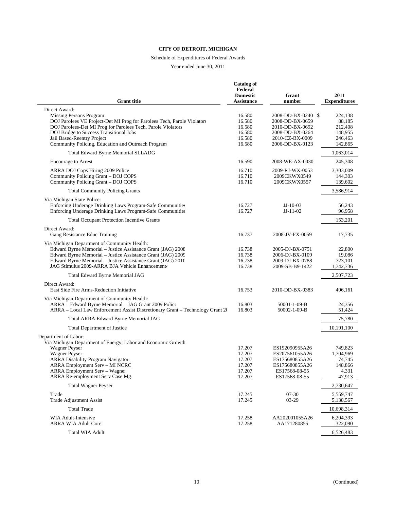# Schedule of Expenditures of Federal Awards

| <b>Grant</b> title                                                                                                                                                                                                                                                                                | <b>Catalog of</b><br>Federal<br><b>Domestic</b><br><b>Assistance</b> | Grant<br>number                                                                                                   | 2011<br><b>Expenditures</b>                                   |
|---------------------------------------------------------------------------------------------------------------------------------------------------------------------------------------------------------------------------------------------------------------------------------------------------|----------------------------------------------------------------------|-------------------------------------------------------------------------------------------------------------------|---------------------------------------------------------------|
| Direct Award:                                                                                                                                                                                                                                                                                     |                                                                      |                                                                                                                   |                                                               |
| Missing Persons Program<br>DOJ Parolees VE Project-Det MI Prog for Parolees Tech, Parole Violators<br>DOJ Parolees-Det MI Prog for Parolees Tech, Parole Violators<br>DOJ Bridge to Success Transitional Jobs<br>Jail Based-Reentry Project<br>Community Policing, Education and Outreach Program | 16.580<br>16.580<br>16.580<br>16.580<br>16.580<br>16.580             | 2008-DD-BX-0240 \$<br>2008-DD-BX-0659<br>2010-DD-BX-0692<br>2008-DD-BX-0264<br>2010-CZ-BX-0009<br>2006-DD-BX-0123 | 224,138<br>88,185<br>212,408<br>148,955<br>246,463<br>142,865 |
| Total Edward Byrne Memorial SLLADG                                                                                                                                                                                                                                                                |                                                                      |                                                                                                                   | 1,063,014                                                     |
| <b>Encourage to Arrest</b>                                                                                                                                                                                                                                                                        | 16.590                                                               | 2008-WE-AX-0030                                                                                                   | 245,308                                                       |
| ARRA DOJ Cops Hiring 2009 Police<br>Community Policing Grant - DOJ COPS<br>Community Policing Grant - DOJ COPS                                                                                                                                                                                    | 16.710<br>16.710<br>16.710                                           | 2009-RJ-WX-0053<br>2009CKWX0549<br>2009CKWX0557                                                                   | 3,303,009<br>144,303<br>139,602                               |
| <b>Total Community Policing Grants</b>                                                                                                                                                                                                                                                            |                                                                      |                                                                                                                   | 3,586,914                                                     |
| Via Michigan State Police:<br>Enforcing Underage Drinking Laws Program-Safe Communities<br>Enforcing Underage Drinking Laws Program-Safe Communities                                                                                                                                              | 16.727<br>16.727                                                     | $JJ-10-03$<br>$JJ-11-02$                                                                                          | 56,243<br>96,958                                              |
| <b>Total Occupant Protection Incentive Grants</b>                                                                                                                                                                                                                                                 |                                                                      |                                                                                                                   | 153,201                                                       |
| Direct Award:<br>Gang Resistance Educ Training                                                                                                                                                                                                                                                    | 16.737                                                               | 2008-JV-FX-0059                                                                                                   | 17,735                                                        |
| Via Michigan Department of Community Health:<br>Edward Byrne Memorial - Justice Assistance Grant (JAG) 2008<br>Edward Byrne Memorial - Justice Assistance Grant (JAG) 2009<br>Edward Byrne Memorial - Justice Assistance Grant (JAG) 2010<br>JAG Stimulus 2009-ARRA BJA Vehicle Enhancements      | 16.738<br>16.738<br>16.738<br>16.738                                 | 2005-DJ-BX-0751<br>2006-DJ-BX-0109<br>2009-DJ-BX-0788<br>2009-SB-B9-1422                                          | 22,800<br>19,086<br>723,101<br>1,742,736                      |
| Total Edward Byrne Memorial JAG                                                                                                                                                                                                                                                                   |                                                                      |                                                                                                                   | 2,507,723                                                     |
| Direct Award:<br>East Side Fire Arms-Reduction Initiative                                                                                                                                                                                                                                         | 16.753                                                               | 2010-DD-BX-0383                                                                                                   | 406,161                                                       |
| Via Michigan Department of Community Health:<br>ARRA - Edward Byrne Memorial - JAG Grant 2009 Police<br>ARRA – Local Law Enforcement Assist Discretionary Grant – Technology Grant 20                                                                                                             | 16.803<br>16.803                                                     | 50001-1-09-B<br>50002-1-09-B                                                                                      | 24,356<br>51,424                                              |
| Total ARRA Edward Byrne Memorial JAG                                                                                                                                                                                                                                                              |                                                                      |                                                                                                                   | 75,780                                                        |
| Total Department of Justice                                                                                                                                                                                                                                                                       |                                                                      |                                                                                                                   | 10,191,100                                                    |
| Department of Labor:<br>Via Michigan Department of Energy, Labor and Economic Growth                                                                                                                                                                                                              |                                                                      |                                                                                                                   |                                                               |
| Wagner Peyser<br><b>Wagner Peyser</b><br><b>ARRA Disability Program Navigator</b><br>ARRA Employment Serv - MI NCRC<br>ARRA Employment Serv – Wagner<br>ARRA Re-employment Serv Case Mg                                                                                                           | 17.207<br>17.207<br>17.207<br>17.207<br>17.207<br>17.207             | ES192090955A26<br>ES207561055A26<br>ES175680855A26<br>ES175680855A26<br>ES17568-08-55<br>ES17568-08-55            | 749.823<br>1,704,969<br>74,745<br>148,866<br>4,331<br>47,913  |
| <b>Total Wagner Peyser</b>                                                                                                                                                                                                                                                                        |                                                                      |                                                                                                                   | 2,730,647                                                     |
| Trade<br><b>Trade Adjustment Assist</b>                                                                                                                                                                                                                                                           | 17.245<br>17.245                                                     | $07 - 30$<br>$03-29$                                                                                              | 5,559,747<br>5,138,567                                        |
| <b>Total Trade</b>                                                                                                                                                                                                                                                                                |                                                                      |                                                                                                                   | 10,698,314                                                    |
| WIA Adult-Intensive<br>ARRA WIA Adult Core                                                                                                                                                                                                                                                        | 17.258<br>17.258                                                     | AA202001055A26<br>AA171280855                                                                                     | 6,204,393<br>322,090                                          |
| <b>Total WIA Adult</b>                                                                                                                                                                                                                                                                            |                                                                      |                                                                                                                   | 6,526,483                                                     |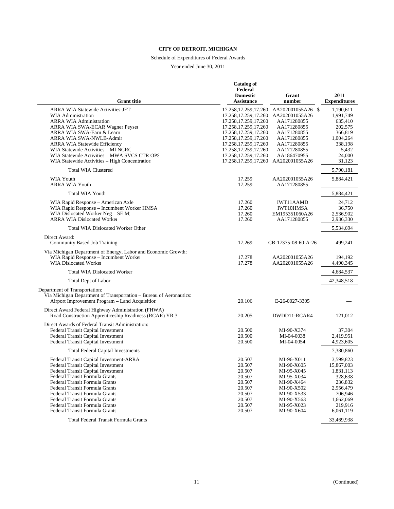# Schedule of Expenditures of Federal Awards

|                                                                                                              | <b>Catalog of</b><br>Federal                     |                                     |                             |
|--------------------------------------------------------------------------------------------------------------|--------------------------------------------------|-------------------------------------|-----------------------------|
| <b>Grant</b> title                                                                                           | <b>Domestic</b><br><b>Assistance</b>             | Grant<br>number                     | 2011<br><b>Expenditures</b> |
| <b>ARRA WIA Statewide Activities-JET</b><br><b>WIA Administration</b>                                        | 17.258, 17.259, 17.260<br>17.258, 17.259, 17.260 | AA202001055A26 \$<br>AA202001055A26 | 1,190,611                   |
| <b>ARRA WIA Administration</b>                                                                               | 17.258, 17.259, 17.260                           | AA171280855                         | 1,991,749<br>635,410        |
| ARRA WIA SWA-ECAR Wagner Peysei                                                                              | 17.258, 17.259, 17.260                           | AA171280855                         | 202,575                     |
| ARRA WIA SWA-Earn & Learn                                                                                    | 17.258, 17.259, 17.260                           | AA171280855                         | 366,819                     |
| ARRA WIA SWA-NWLB-Admin                                                                                      | 17.258, 17.259, 17.260                           | AA171280855                         | 1,004,264                   |
| ARRA WIA Statewide Efficiency                                                                                | 17.258, 17.259, 17.260                           | AA171280855                         | 338,198                     |
| WIA Statewide Activities - MI NCRC                                                                           | 17.258, 17.259, 17.260                           | AA171280855                         | 5,432                       |
| WIA Statewide Activities - MWA SVCS CTR OPS<br>WIA Statewide Activities – High Concentration                 | 17.258, 17.259, 17.260<br>17.258, 17.259, 17.260 | AA186470955<br>AA202001055A26       | 24,000<br>31,123            |
| <b>Total WIA Clustered</b>                                                                                   |                                                  |                                     | 5,790,181                   |
| <b>WIA Youth</b>                                                                                             | 17.259                                           | AA202001055A26                      |                             |
| <b>ARRA WIA Youth</b>                                                                                        | 17.259                                           | AA171280855                         | 5,884,421                   |
| <b>Total WIA Youth</b>                                                                                       |                                                  |                                     | 5,884,421                   |
| WIA Rapid Response – American Axle                                                                           | 17.260                                           | <b>IWT11AAMD</b>                    | 24,712                      |
| WIA Rapid Response - Incumbent Worker HMSA                                                                   | 17.260                                           | <b>IWT10HMSA</b>                    | 36,750                      |
| WIA Dislocated Worker Neg - SE MI                                                                            | 17.260                                           | EM195351060A26                      | 2,536,902                   |
| <b>ARRA WIA Dislocated Worker</b>                                                                            | 17.260                                           | AA171280855                         | 2,936,330                   |
| <b>Total WIA Dislocated Worker Other</b>                                                                     |                                                  |                                     | 5,534,694                   |
| Direct Award:<br>Community Based Job Training                                                                | 17.269                                           | CB-17375-08-60-A-26                 | 499,241                     |
| Via Michigan Department of Energy, Labor and Economic Growth:<br>WIA Rapid Response - Incumbent Worker       |                                                  |                                     |                             |
| <b>WIA Dislocated Worker</b>                                                                                 | 17.278<br>17.278                                 | AA202001055A26<br>AA202001055A26    | 194,192<br>4,490,345        |
| <b>Total WIA Dislocated Worker</b>                                                                           |                                                  |                                     | 4,684,537                   |
| Total Dept of Labor                                                                                          |                                                  |                                     | 42,348,518                  |
| Department of Transportation:                                                                                |                                                  |                                     |                             |
| Via Michigan Department of Transportation - Bureau of Aeronautics:                                           |                                                  |                                     |                             |
| Airport Improvement Program - Land Acquisition                                                               | 20.106                                           | E-26-0027-3305                      |                             |
| Direct Award Federal Highway Administration (FHWA)<br>Road Construction Apprenticeship Readiness (RCAR) YR 3 | 20.205                                           | DWDD11-RCAR4                        | 121,012                     |
| Direct Awards of Federal Transit Administration:                                                             |                                                  |                                     |                             |
| Federal Transit Capital Investment                                                                           | 20.500                                           | MI-90-X374                          | 37,304                      |
| Federal Transit Capital Investment                                                                           | 20.500                                           | MI-04-0038                          | 2,419,951                   |
| Federal Transit Capital Investment                                                                           | 20.500                                           | MI-04-0054                          | 4,923,605                   |
| <b>Total Federal Capital Investments</b>                                                                     |                                                  |                                     | 7,380,860                   |
| Federal Transit Capital Investment-ARRA                                                                      | 20.507                                           | MI-96-X011                          | 3,599,823                   |
| Federal Transit Capital Investment                                                                           | 20.507                                           | MI-90-X605                          | 15,867,003                  |
| Federal Transit Capital Investment<br>Federal Transit Formula Grants                                         | 20.507<br>20.507                                 | MI-95-X045<br>MI-95-X034            | 1,831,113<br>328,638        |
| Federal Transit Formula Grants                                                                               | 20.507                                           | MI-90-X464                          | 236,832                     |
| Federal Transit Formula Grants                                                                               | 20.507                                           | MI-90-X502                          | 2,956,479                   |
| Federal Transit Formula Grants                                                                               | 20.507                                           | MI-90-X533                          | 706.946                     |
| Federal Transit Formula Grants                                                                               | 20.507                                           | MI-90-X563                          | 1,662,069                   |
| Federal Transit Formula Grants                                                                               | 20.507                                           | MI-95-X023                          | 219,916                     |
| Federal Transit Formula Grants                                                                               | 20.507                                           | MI-90-X604                          | 6,061,119                   |
| Total Federal Transit Formula Grants                                                                         |                                                  |                                     | 33,469,938                  |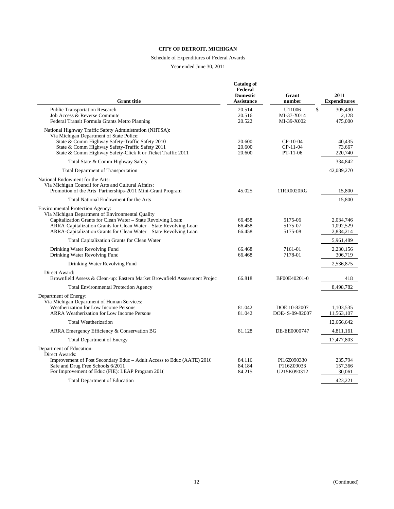# Schedule of Expenditures of Federal Awards

| <b>Grant</b> title                                                                                                                                                                                                                                                                                        | <b>Catalog of</b><br>Federal<br><b>Domestic</b><br><b>Assistance</b> | Grant<br>number                                    | 2011<br><b>Expenditures</b>             |
|-----------------------------------------------------------------------------------------------------------------------------------------------------------------------------------------------------------------------------------------------------------------------------------------------------------|----------------------------------------------------------------------|----------------------------------------------------|-----------------------------------------|
| <b>Public Transportation Research</b><br>Job Access & Reverse Commute<br>Federal Transit Formula Grants Metro Planning                                                                                                                                                                                    | 20.514<br>20.516<br>20.522                                           | $\mathbb{S}$<br>U11006<br>MI-37-X014<br>MI-39-X002 | 305.490<br>2,128<br>475,000             |
| National Highway Traffic Safety Administration (NHTSA):<br>Via Michigan Department of State Police:<br>State & Comm Highway Safety-Traffic Safety 2010<br>State & Comm Highway Safety-Traffic Safety 2011<br>State & Comm Highway Safety-Click It or Ticket Traffic 2011                                  | 20.600<br>20.600<br>20.600                                           | $CP-10-04$<br>$CP-11-04$<br>$PT-11-06$             | 40,435<br>73,667<br>220,740             |
| Total State & Comm Highway Safety                                                                                                                                                                                                                                                                         |                                                                      |                                                    | 334,842                                 |
| <b>Total Department of Transportation</b>                                                                                                                                                                                                                                                                 |                                                                      |                                                    | 42,089,270                              |
| National Endowment for the Arts:<br>Via Michigan Council for Arts and Cultural Affairs:<br>Promotion of the Arts_Partnerships-2011 Mini-Grant Program                                                                                                                                                     | 45.025                                                               | 11RR0020RG                                         | 15,800                                  |
| Total National Endowment for the Arts                                                                                                                                                                                                                                                                     |                                                                      |                                                    | 15,800                                  |
| <b>Environmental Protection Agency:</b><br>Via Michigan Department of Environmental Quality:<br>Capitalization Grants for Clean Water - State Revolving Loans<br>ARRA-Capitalization Grants for Clean Water - State Revolving Loan:<br>ARRA-Capitalization Grants for Clean Water - State Revolving Loan: | 66.458<br>66.458<br>66.458                                           | 5175-06<br>5175-07<br>5175-08                      | 2,034,746<br>1,092,529<br>2,834,214     |
| <b>Total Capitalization Grants for Clean Water</b>                                                                                                                                                                                                                                                        |                                                                      |                                                    | 5,961,489                               |
| Drinking Water Revolving Fund<br>Drinking Water Revolving Fund                                                                                                                                                                                                                                            | 66.468<br>66.468                                                     | 7161-01<br>7178-01                                 | 2,230,156<br>306,719                    |
| Drinking Water Revolving Fund                                                                                                                                                                                                                                                                             |                                                                      |                                                    | 2,536,875                               |
| Direct Award:<br>Brownfield Assess & Clean-up: Eastern Market Brownfield Assessment Projec                                                                                                                                                                                                                | 66.818                                                               | BF00E40201-0                                       | 418                                     |
| <b>Total Environmental Protection Agency</b>                                                                                                                                                                                                                                                              |                                                                      |                                                    | 8.498.782                               |
| Department of Energy:<br>Via Michigan Department of Human Services:<br>Weatherization for Low Income Persons<br><b>ARRA Weatherization for Low Income Persons</b>                                                                                                                                         | 81.042<br>81.042                                                     | DOE 10-82007<br>DOE-S-09-82007                     | 1,103,535<br>11,563,107                 |
| <b>Total Weatherization</b>                                                                                                                                                                                                                                                                               |                                                                      |                                                    | 12,666,642                              |
| ARRA Emergency Efficiency & Conservation BG                                                                                                                                                                                                                                                               | 81.128                                                               | DE-EE0000747                                       | 4,811,161                               |
| <b>Total Department of Energy</b>                                                                                                                                                                                                                                                                         |                                                                      |                                                    | 17,477,803                              |
| Department of Education:<br>Direct Awards:<br>Improvement of Post Secondary Educ - Adult Access to Educ (AATE) 2010<br>Safe and Drug Free Schools 6/2011<br>For Improvement of Educ (FIE): LEAP Program 2010<br><b>Total Department of Education</b>                                                      | 84.116<br>84.184<br>84.215                                           | PI16Z090330<br>P116Z09033<br>U215K090312           | 235,794<br>157,366<br>30,061<br>423.221 |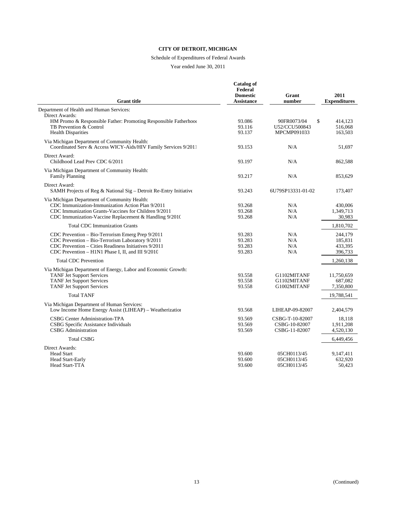# Schedule of Expenditures of Federal Awards

| <b>Grant title</b>                                                                                                                                                                                                 | <b>Catalog of</b><br>Federal<br><b>Domestic</b><br>Assistance | Grant<br>number                                   | 2011<br><b>Expenditures</b>              |
|--------------------------------------------------------------------------------------------------------------------------------------------------------------------------------------------------------------------|---------------------------------------------------------------|---------------------------------------------------|------------------------------------------|
| Department of Health and Human Services:                                                                                                                                                                           |                                                               |                                                   |                                          |
| Direct Awards:<br>HM Promo & Responsible Father: Promoting Responsible Fatherhood<br>TB Prevention & Control<br><b>Health Disparities</b>                                                                          | 93.086<br>93.116<br>93.137                                    | 90FR0073/04<br>\$<br>U52/CCU500843<br>MPCMP091033 | 414.123<br>516,068<br>163,503            |
| Via Michigan Department of Community Health:<br>Coordinated Serv & Access WICY-Aids/HIV Family Services 9/2011                                                                                                     | 93.153                                                        | N/A                                               | 51,697                                   |
| Direct Award:<br>Childhood Lead Prev CDC 6/2011                                                                                                                                                                    | 93.197                                                        | N/A                                               | 862,588                                  |
| Via Michigan Department of Community Health:<br><b>Family Planning</b>                                                                                                                                             | 93.217                                                        | N/A                                               | 853.629                                  |
| Direct Award:<br>SAMH Projects of Reg & National Sig – Detroit Re-Entry Initiative                                                                                                                                 | 93.243                                                        | 6U79SP13331-01-02                                 | 173,407                                  |
| Via Michigan Department of Community Health:<br>CDC Immunization-Immunization Action Plan 9/2011<br>CDC Immunization Grants-Vaccines for Children 9/2011<br>CDC Immunization-Vaccine Replacement & Handling 9/2010 | 93.268<br>93.268<br>93.268                                    | N/A<br>N/A<br>N/A                                 | 430,006<br>1,349,713<br>30,983           |
| <b>Total CDC Immunization Grants</b>                                                                                                                                                                               |                                                               |                                                   | 1,810,702                                |
| CDC Prevention - Bio-Terrorism Emerg Prep 9/2011<br>CDC Prevention - Bio-Terrorism Laboratory 9/2011<br>CDC Prevention - Cities Readiness Initiatives 9/2011<br>CDC Prevention – H1N1 Phase I, II, and III 9/2010  | 93.283<br>93.283<br>93.283<br>93.283                          | N/A<br>N/A<br>N/A<br>N/A                          | 244,179<br>185,831<br>433,395<br>396,733 |
| <b>Total CDC Prevention</b>                                                                                                                                                                                        |                                                               |                                                   | 1,260,138                                |
| Via Michigan Department of Energy, Labor and Economic Growth:<br><b>TANF Jet Support Services</b><br><b>TANF Jet Support Services</b><br><b>TANF Jet Support Services</b>                                          | 93.558<br>93.558<br>93.558                                    | G1102MITANF<br>G1102MITANF<br>G1002MITANF         | 11,750,659<br>687.082<br>7,350,800       |
| <b>Total TANF</b>                                                                                                                                                                                                  |                                                               |                                                   | 19,788,541                               |
| Via Michigan Department of Human Services:<br>Low Income Home Energy Assist (LIHEAP) - Weatherization                                                                                                              | 93.568                                                        | LIHEAP-09-82007                                   | 2,404,579                                |
| CSBG Center Administration-TPA<br>CSBG Specific Assistance Individuals<br><b>CSBG</b> Administration                                                                                                               | 93.569<br>93.569<br>93.569                                    | CSBG-T-10-82007<br>CSBG-10-82007<br>CSBG-11-82007 | 18,118<br>1,911,208<br>4,520,130         |
| <b>Total CSBG</b>                                                                                                                                                                                                  |                                                               |                                                   | 6,449,456                                |
| Direct Awards:<br><b>Head Start</b><br><b>Head Start-Early</b><br>Head Start-TTA                                                                                                                                   | 93.600<br>93.600<br>93.600                                    | 05CH0113/45<br>05CH0113/45<br>05CH0113/45         | 9,147,411<br>632,920<br>50,423           |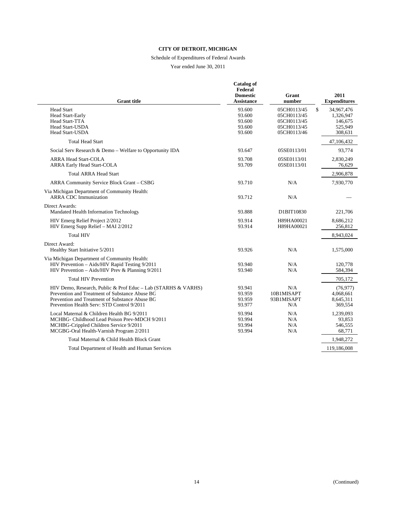# Schedule of Expenditures of Federal Awards

| <b>Grant title</b>                                                                                                                                                                                              | <b>Catalog of</b><br>Federal<br><b>Domestic</b><br><b>Assistance</b> | Grant<br>number                                                         | 2011<br><b>Expenditures</b>                                    |
|-----------------------------------------------------------------------------------------------------------------------------------------------------------------------------------------------------------------|----------------------------------------------------------------------|-------------------------------------------------------------------------|----------------------------------------------------------------|
| <b>Head Start</b><br><b>Head Start-Early</b><br>Head Start-TTA<br><b>Head Start-USDA</b><br><b>Head Start-USDA</b>                                                                                              | 93.600<br>93.600<br>93.600<br>93.600<br>93.600                       | 05CH0113/45<br>05CH0113/45<br>05CH0113/45<br>05CH0113/45<br>05CH0113/46 | \$<br>34,967,476<br>1,326,947<br>146,675<br>525,949<br>308,631 |
| <b>Total Head Start</b>                                                                                                                                                                                         |                                                                      |                                                                         | 47,106,432                                                     |
| Social Serv Research & Demo - Welfare to Opportunity IDA                                                                                                                                                        | 93.647                                                               | 05SE0113/01                                                             | 93,774                                                         |
| <b>ARRA Head Start-COLA</b><br><b>ARRA Early Head Start-COLA</b>                                                                                                                                                | 93.708<br>93.709                                                     | 05SE0113/01<br>05SE0113/01                                              | 2,830,249<br>76,629                                            |
| <b>Total ARRA Head Start</b>                                                                                                                                                                                    |                                                                      |                                                                         | 2,906,878                                                      |
| ARRA Community Service Block Grant - CSBG                                                                                                                                                                       | 93.710                                                               | N/A                                                                     | 7,930,770                                                      |
| Via Michigan Department of Community Health:<br><b>ARRA CDC</b> Immunization                                                                                                                                    | 93.712                                                               | N/A                                                                     |                                                                |
| Direct Awards:<br>Mandated Health Information Technology                                                                                                                                                        | 93.888                                                               | D1BIT10830                                                              | 221,706                                                        |
| HIV Emerg Relief Project 2/2012<br>HIV Emerg Supp Relief - MAI 2/2012                                                                                                                                           | 93.914<br>93.914                                                     | H89HA00021<br>H89HA00021                                                | 8,686,212<br>256,812                                           |
| <b>Total HIV</b>                                                                                                                                                                                                |                                                                      |                                                                         | 8,943,024                                                      |
| Direct Award:<br>Healthy Start Initiative 5/2011                                                                                                                                                                | 93.926                                                               | N/A                                                                     | 1,575,000                                                      |
| Via Michigan Department of Community Health:<br>HIV Prevention - Aids/HIV Rapid Testing 9/2011<br>HIV Prevention - Aids/HIV Prev & Planning 9/2011                                                              | 93.940<br>93.940                                                     | N/A<br>N/A                                                              | 120,778<br>584,394                                             |
| <b>Total HIV Prevention</b>                                                                                                                                                                                     |                                                                      |                                                                         | 705,172                                                        |
| HIV Demo, Research, Public & Prof Educ - Lab (STARHS & VARHS)<br>Prevention and Treatment of Substance Abuse BG<br>Prevention and Treatment of Substance Abuse BG<br>Prevention Health Serv: STD Control 9/2011 | 93.941<br>93.959<br>93.959<br>93.977                                 | N/A<br>10B1MISAPT<br>93B1MISAPT<br>N/A                                  | (76.977)<br>4,068,661<br>8,645,311<br>369,554                  |
| Local Maternal & Children Health BG 9/2011<br>MCHBG- Childhood Lead Poison Prev-MDCH 9/2011<br>MCHBG-Crippled Children Service 9/2011<br>MCGBG-Oral Health-Varnish Program 2/2011                               | 93.994<br>93.994<br>93.994<br>93.994                                 | N/A<br>N/A<br>N/A<br>N/A                                                | 1,239,093<br>93,853<br>546,555<br>68,771                       |
| Total Maternal & Child Health Block Grant                                                                                                                                                                       |                                                                      |                                                                         | 1,948,272                                                      |
| Total Department of Health and Human Services                                                                                                                                                                   |                                                                      |                                                                         | 119,186,008                                                    |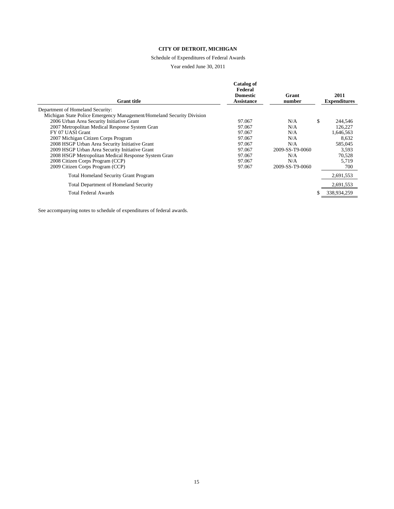# Schedule of Expenditures of Federal Awards

#### Year ended June 30, 2011

| <b>Grant</b> title                                                    | Catalog of<br>Federal<br><b>Domestic</b><br>Assistance | Grant<br>number | 2011<br><b>Expenditures</b> |
|-----------------------------------------------------------------------|--------------------------------------------------------|-----------------|-----------------------------|
| Department of Homeland Security:                                      |                                                        |                 |                             |
| Michigan State Police Emergency Management/Homeland Security Division |                                                        |                 |                             |
| 2006 Urban Area Security Initiative Grant                             | 97.067                                                 | N/A             | \$<br>244,546               |
| 2007 Metropolitan Medical Response System Gran                        | 97.067                                                 | N/A             | 126,227                     |
| FY 07 UASI Grant                                                      | 97.067                                                 | N/A             | 1,646,563                   |
| 2007 Michigan Citizen Corps Program                                   | 97.067                                                 | N/A             | 8,632                       |
| 2008 HSGP Urban Area Security Initiative Grant                        | 97.067                                                 | N/A             | 585,045                     |
| 2009 HSGP Urban Area Security Initiative Grant                        | 97.067                                                 | 2009-SS-T9-0060 | 3.593                       |
| 2008 HSGP Metropolitan Medical Response System Grant                  | 97.067                                                 | N/A             | 70,528                      |
| 2008 Citizen Corps Program (CCP)                                      | 97.067                                                 | N/A             | 5.719                       |
| 2009 Citizen Corps Program (CCP)                                      | 97.067                                                 | 2009-SS-T9-0060 | 700                         |
| <b>Total Homeland Security Grant Program</b>                          |                                                        |                 | 2,691,553                   |
| <b>Total Department of Homeland Security</b>                          |                                                        |                 | 2,691,553                   |
| Total Federal Awards                                                  |                                                        |                 | 338,934,259                 |
|                                                                       |                                                        |                 |                             |

See accompanying notes to schedule of expenditures of federal awards.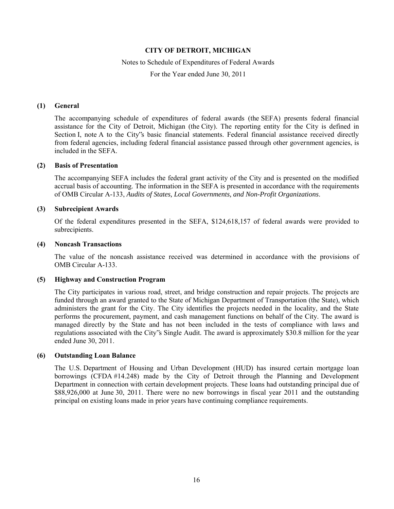#### Notes to Schedule of Expenditures of Federal Awards

For the Year ended June 30, 2011

#### **(1) General**

The accompanying schedule of expenditures of federal awards (the SEFA) presents federal financial assistance for the City of Detroit, Michigan (the City). The reporting entity for the City is defined in Section I, note A to the City's basic financial statements. Federal financial assistance received directly from federal agencies, including federal financial assistance passed through other government agencies, is included in the SEFA.

#### **(2) Basis of Presentation**

The accompanying SEFA includes the federal grant activity of the City and is presented on the modified accrual basis of accounting. The information in the SEFA is presented in accordance with the requirements of OMB Circular A-133, *Audits of States, Local Governments, and Non-Profit Organizations*.

#### **(3) Subrecipient Awards**

Of the federal expenditures presented in the SEFA, \$124,618,157 of federal awards were provided to subrecipients.

#### **(4) Noncash Transactions**

The value of the noncash assistance received was determined in accordance with the provisions of OMB Circular A-133.

#### **(5) Highway and Construction Program**

The City participates in various road, street, and bridge construction and repair projects. The projects are funded through an award granted to the State of Michigan Department of Transportation (the State), which administers the grant for the City. The City identifies the projects needed in the locality, and the State performs the procurement, payment, and cash management functions on behalf of the City. The award is managed directly by the State and has not been included in the tests of compliance with laws and regulations associated with the City"s Single Audit. The award is approximately \$30.8 million for the year ended June 30, 2011.

#### **(6) Outstanding Loan Balance**

The U.S. Department of Housing and Urban Development (HUD) has insured certain mortgage loan borrowings (CFDA #14.248) made by the City of Detroit through the Planning and Development Department in connection with certain development projects. These loans had outstanding principal due of \$88,926,000 at June 30, 2011. There were no new borrowings in fiscal year 2011 and the outstanding principal on existing loans made in prior years have continuing compliance requirements.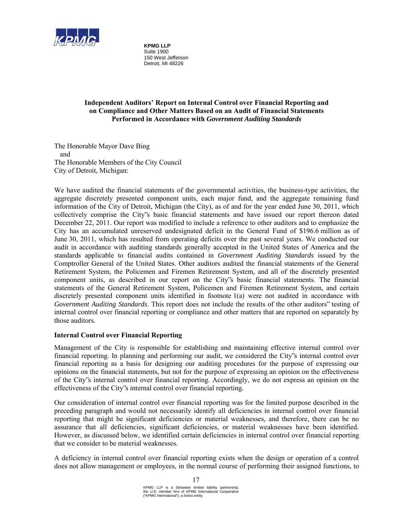

**KPMG LLP** Suite 1900 150 West Jefferson Detroit, MI 48226

# **Independent Auditors' Report on Internal Control over Financial Reporting and on Compliance and Other Matters Based on an Audit of Financial Statements Performed in Accordance with** *Government Auditing Standards*

The Honorable Mayor Dave Bing and The Honorable Members of the City Council City of Detroit, Michigan:

We have audited the financial statements of the governmental activities, the business-type activities, the aggregate discretely presented component units, each major fund, and the aggregate remaining fund information of the City of Detroit, Michigan (the City), as of and for the year ended June 30, 2011, which collectively comprise the City"s basic financial statements and have issued our report thereon dated December 22, 2011. Our report was modified to include a reference to other auditors and to emphasize the City has an accumulated unreserved undesignated deficit in the General Fund of \$196.6 million as of June 30, 2011, which has resulted from operating deficits over the past several years. We conducted our audit in accordance with auditing standards generally accepted in the United States of America and the standards applicable to financial audits contained in *Government Auditing Standards* issued by the Comptroller General of the United States. Other auditors audited the financial statements of the General Retirement System, the Policemen and Firemen Retirement System, and all of the discretely presented component units, as described in our report on the City"s basic financial statements. The financial statements of the General Retirement System, Policemen and Firemen Retirement System, and certain discretely presented component units identified in footnote 1(a) were not audited in accordance with *Government Auditing Standards*. This report does not include the results of the other auditors" testing of internal control over financial reporting or compliance and other matters that are reported on separately by those auditors.

## **Internal Control over Financial Reporting**

Management of the City is responsible for establishing and maintaining effective internal control over financial reporting. In planning and performing our audit, we considered the City"s internal control over financial reporting as a basis for designing our auditing procedures for the purpose of expressing our opinions on the financial statements, but not for the purpose of expressing an opinion on the effectiveness of the City"s internal control over financial reporting. Accordingly, we do not express an opinion on the effectiveness of the City"s internal control over financial reporting.

Our consideration of internal control over financial reporting was for the limited purpose described in the preceding paragraph and would not necessarily identify all deficiencies in internal control over financial reporting that might be significant deficiencies or material weaknesses, and therefore, there can be no assurance that all deficiencies, significant deficiencies, or material weaknesses have been identified. However, as discussed below, we identified certain deficiencies in internal control over financial reporting that we consider to be material weaknesses.

A deficiency in internal control over financial reporting exists when the design or operation of a control does not allow management or employees, in the normal course of performing their assigned functions, to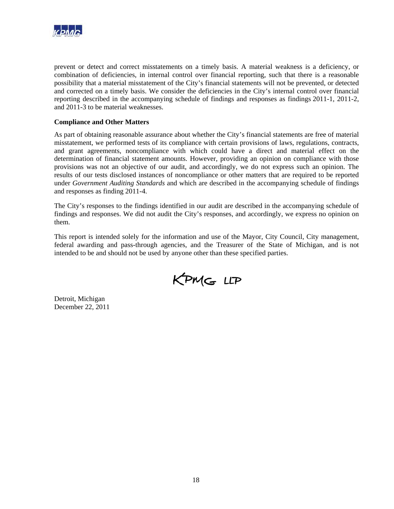

prevent or detect and correct misstatements on a timely basis. A material weakness is a deficiency, or combination of deficiencies, in internal control over financial reporting, such that there is a reasonable possibility that a material misstatement of the City's financial statements will not be prevented, or detected and corrected on a timely basis. We consider the deficiencies in the City's internal control over financial reporting described in the accompanying schedule of findings and responses as findings 2011-1, 2011-2, and 2011-3 to be material weaknesses.

## **Compliance and Other Matters**

As part of obtaining reasonable assurance about whether the City's financial statements are free of material misstatement, we performed tests of its compliance with certain provisions of laws, regulations, contracts, and grant agreements, noncompliance with which could have a direct and material effect on the determination of financial statement amounts. However, providing an opinion on compliance with those provisions was not an objective of our audit, and accordingly, we do not express such an opinion. The results of our tests disclosed instances of noncompliance or other matters that are required to be reported under *Government Auditing Standards* and which are described in the accompanying schedule of findings and responses as finding 2011-4.

The City's responses to the findings identified in our audit are described in the accompanying schedule of findings and responses. We did not audit the City's responses, and accordingly, we express no opinion on them.

This report is intended solely for the information and use of the Mayor, City Council, City management, federal awarding and pass-through agencies, and the Treasurer of the State of Michigan, and is not intended to be and should not be used by anyone other than these specified parties.

KPMG LLP

Detroit, Michigan December 22, 2011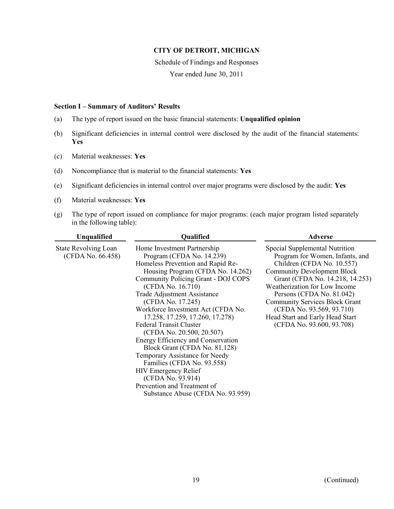Schedule of Findings and Responses

Year ended June 30, 2011

#### **Section I – Summary of Auditors' Results**

- (a) The type of report issued on the basic financial statements: **Unqualified opinion**
- (b) Significant deficiencies in internal control were disclosed by the audit of the financial statements: **Yes**
- (c) Material weaknesses: **Yes**
- (d) Noncompliance that is material to the financial statements: **Yes**
- (e) Significant deficiencies in internal control over major programs were disclosed by the audit: **Yes**
- (f) Material weaknesses: **Yes**
- (g) The type of report issued on compliance for major programs: (each major program listed separately in the following table):

| Unqualified                                      | Qualified                                                                                                                                                                                                                                                                                                                                                                                                                                                                                                                                                                                                                                                        | <b>Adverse</b>                                                                                                                                                                                                                                                                                                                                                               |
|--------------------------------------------------|------------------------------------------------------------------------------------------------------------------------------------------------------------------------------------------------------------------------------------------------------------------------------------------------------------------------------------------------------------------------------------------------------------------------------------------------------------------------------------------------------------------------------------------------------------------------------------------------------------------------------------------------------------------|------------------------------------------------------------------------------------------------------------------------------------------------------------------------------------------------------------------------------------------------------------------------------------------------------------------------------------------------------------------------------|
| <b>State Revolving Loan</b><br>(CFDA No. 66.458) | Home Investment Partnership<br>Program (CFDA No. 14.239)<br>Homeless Prevention and Rapid Re-<br>Housing Program (CFDA No. 14.262)<br>Community Policing Grant - DOJ COPS<br>(CFDA No. 16.710)<br><b>Trade Adjustment Assistance</b><br>(CFDA No. 17.245)<br>Workforce Investment Act (CFDA No.<br>17.258, 17.259, 17.260, 17.278)<br><b>Federal Transit Cluster</b><br>(CFDA No. 20.500, 20.507)<br>Energy Efficiency and Conservation<br>Block Grant (CFDA No. 81.128)<br>Temporary Assistance for Needy<br>Families (CFDA No. 93.558)<br><b>HIV Emergency Relief</b><br>(CFDA No. 93.914)<br>Prevention and Treatment of<br>Substance Abuse (CFDA No. 93.959) | Special Supplemental Nutrition<br>Program for Women, Infants, and<br>Children (CFDA No. 10.557)<br><b>Community Development Block</b><br>Grant (CFDA No. 14.218, 14.253)<br>Weatherization for Low Income<br>Persons (CFDA No. 81.042)<br><b>Community Services Block Grant</b><br>(CFDA No. 93.569, 93.710)<br>Head Start and Early Head Start<br>(CFDA No. 93.600, 93.708) |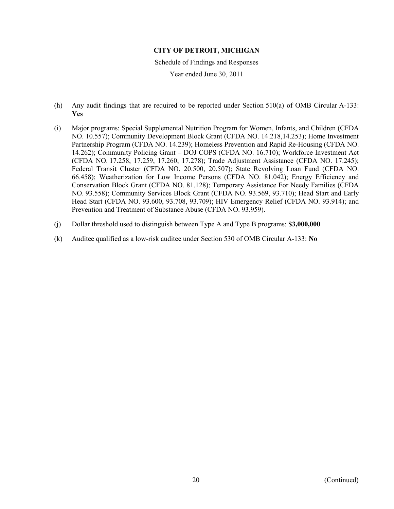Schedule of Findings and Responses

- (h) Any audit findings that are required to be reported under Section 510(a) of OMB Circular A-133: **Yes**
- (i) Major programs: Special Supplemental Nutrition Program for Women, Infants, and Children (CFDA NO. 10.557); Community Development Block Grant (CFDA NO. 14.218,14.253); Home Investment Partnership Program (CFDA NO. 14.239); Homeless Prevention and Rapid Re-Housing (CFDA NO. 14.262); Community Policing Grant – DOJ COPS (CFDA NO. 16.710); Workforce Investment Act (CFDA NO. 17.258, 17.259, 17.260, 17.278); Trade Adjustment Assistance (CFDA NO. 17.245); Federal Transit Cluster (CFDA NO. 20.500, 20.507); State Revolving Loan Fund (CFDA NO. 66.458); Weatherization for Low Income Persons (CFDA NO. 81.042); Energy Efficiency and Conservation Block Grant (CFDA NO. 81.128); Temporary Assistance For Needy Families (CFDA NO. 93.558); Community Services Block Grant (CFDA NO. 93.569, 93.710); Head Start and Early Head Start (CFDA NO. 93.600, 93.708, 93.709); HIV Emergency Relief (CFDA NO. 93.914); and Prevention and Treatment of Substance Abuse (CFDA NO. 93.959).
- (j) Dollar threshold used to distinguish between Type A and Type B programs: **\$3,000,000**
- (k) Auditee qualified as a low-risk auditee under Section 530 of OMB Circular A-133: **No**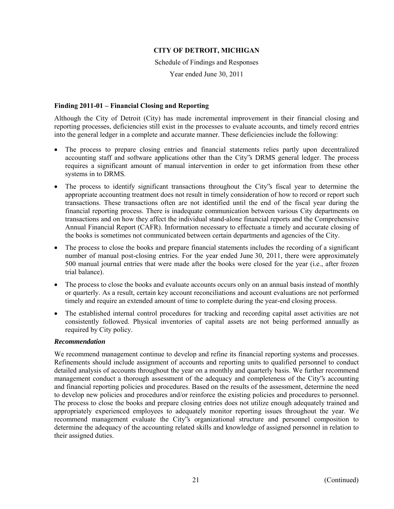Schedule of Findings and Responses

Year ended June 30, 2011

## **Finding 2011-01 – Financial Closing and Reporting**

Although the City of Detroit (City) has made incremental improvement in their financial closing and reporting processes, deficiencies still exist in the processes to evaluate accounts, and timely record entries into the general ledger in a complete and accurate manner. These deficiencies include the following:

- The process to prepare closing entries and financial statements relies partly upon decentralized accounting staff and software applications other than the City"s DRMS general ledger. The process requires a significant amount of manual intervention in order to get information from these other systems in to DRMS.
- The process to identify significant transactions throughout the City"s fiscal year to determine the appropriate accounting treatment does not result in timely consideration of how to record or report such transactions. These transactions often are not identified until the end of the fiscal year during the financial reporting process. There is inadequate communication between various City departments on transactions and on how they affect the individual stand-alone financial reports and the Comprehensive Annual Financial Report (CAFR). Information necessary to effectuate a timely and accurate closing of the books is sometimes not communicated between certain departments and agencies of the City.
- The process to close the books and prepare financial statements includes the recording of a significant number of manual post-closing entries. For the year ended June 30, 2011, there were approximately 500 manual journal entries that were made after the books were closed for the year (i.e., after frozen trial balance).
- The process to close the books and evaluate accounts occurs only on an annual basis instead of monthly or quarterly. As a result, certain key account reconciliations and account evaluations are not performed timely and require an extended amount of time to complete during the year-end closing process.
- The established internal control procedures for tracking and recording capital asset activities are not consistently followed. Physical inventories of capital assets are not being performed annually as required by City policy.

## *Recommendation*

We recommend management continue to develop and refine its financial reporting systems and processes. Refinements should include assignment of accounts and reporting units to qualified personnel to conduct detailed analysis of accounts throughout the year on a monthly and quarterly basis. We further recommend management conduct a thorough assessment of the adequacy and completeness of the City"s accounting and financial reporting policies and procedures. Based on the results of the assessment, determine the need to develop new policies and procedures and/or reinforce the existing policies and procedures to personnel. The process to close the books and prepare closing entries does not utilize enough adequately trained and appropriately experienced employees to adequately monitor reporting issues throughout the year. We recommend management evaluate the City"s organizational structure and personnel composition to determine the adequacy of the accounting related skills and knowledge of assigned personnel in relation to their assigned duties.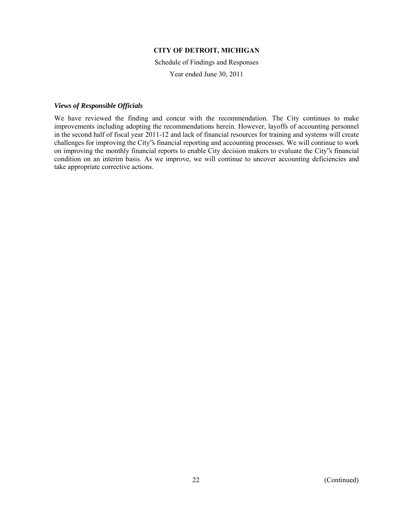Schedule of Findings and Responses

Year ended June 30, 2011

#### *Views of Responsible Officials*

We have reviewed the finding and concur with the recommendation. The City continues to make improvements including adopting the recommendations herein. However, layoffs of accounting personnel in the second half of fiscal year 2011-12 and lack of financial resources for training and systems will create challenges for improving the City"s financial reporting and accounting processes. We will continue to work on improving the monthly financial reports to enable City decision makers to evaluate the City"s financial condition on an interim basis. As we improve, we will continue to uncover accounting deficiencies and take appropriate corrective actions.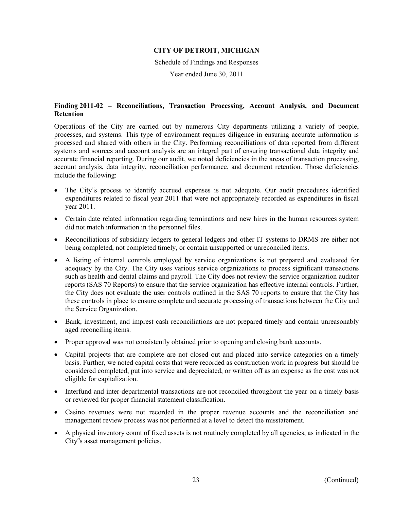Schedule of Findings and Responses

Year ended June 30, 2011

# **Finding 2011-02 – Reconciliations, Transaction Processing, Account Analysis, and Document Retention**

Operations of the City are carried out by numerous City departments utilizing a variety of people, processes, and systems. This type of environment requires diligence in ensuring accurate information is processed and shared with others in the City. Performing reconciliations of data reported from different systems and sources and account analysis are an integral part of ensuring transactional data integrity and accurate financial reporting. During our audit, we noted deficiencies in the areas of transaction processing, account analysis, data integrity, reconciliation performance, and document retention. Those deficiencies include the following:

- The City"s process to identify accrued expenses is not adequate. Our audit procedures identified expenditures related to fiscal year 2011 that were not appropriately recorded as expenditures in fiscal year 2011.
- Certain date related information regarding terminations and new hires in the human resources system did not match information in the personnel files.
- Reconciliations of subsidiary ledgers to general ledgers and other IT systems to DRMS are either not being completed, not completed timely, or contain unsupported or unreconciled items.
- A listing of internal controls employed by service organizations is not prepared and evaluated for adequacy by the City. The City uses various service organizations to process significant transactions such as health and dental claims and payroll. The City does not review the service organization auditor reports (SAS 70 Reports) to ensure that the service organization has effective internal controls. Further, the City does not evaluate the user controls outlined in the SAS 70 reports to ensure that the City has these controls in place to ensure complete and accurate processing of transactions between the City and the Service Organization.
- Bank, investment, and imprest cash reconciliations are not prepared timely and contain unreasonably aged reconciling items.
- Proper approval was not consistently obtained prior to opening and closing bank accounts.
- Capital projects that are complete are not closed out and placed into service categories on a timely basis. Further, we noted capital costs that were recorded as construction work in progress but should be considered completed, put into service and depreciated, or written off as an expense as the cost was not eligible for capitalization.
- Interfund and inter-departmental transactions are not reconciled throughout the year on a timely basis or reviewed for proper financial statement classification.
- Casino revenues were not recorded in the proper revenue accounts and the reconciliation and management review process was not performed at a level to detect the misstatement.
- A physical inventory count of fixed assets is not routinely completed by all agencies, as indicated in the City"s asset management policies.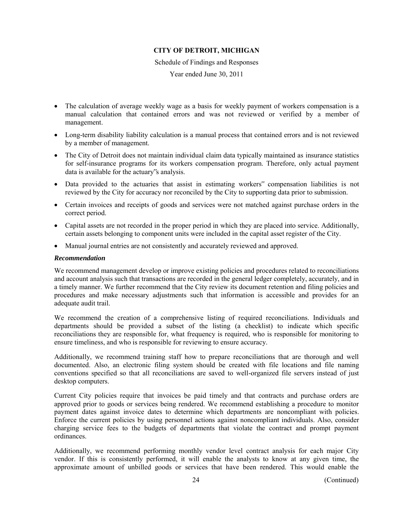Schedule of Findings and Responses

Year ended June 30, 2011

- The calculation of average weekly wage as a basis for weekly payment of workers compensation is a manual calculation that contained errors and was not reviewed or verified by a member of management.
- Long-term disability liability calculation is a manual process that contained errors and is not reviewed by a member of management.
- The City of Detroit does not maintain individual claim data typically maintained as insurance statistics for self-insurance programs for its workers compensation program. Therefore, only actual payment data is available for the actuary"s analysis.
- Data provided to the actuaries that assist in estimating workers" compensation liabilities is not reviewed by the City for accuracy nor reconciled by the City to supporting data prior to submission.
- Certain invoices and receipts of goods and services were not matched against purchase orders in the correct period.
- Capital assets are not recorded in the proper period in which they are placed into service. Additionally, certain assets belonging to component units were included in the capital asset register of the City.
- Manual journal entries are not consistently and accurately reviewed and approved.

#### *Recommendation*

We recommend management develop or improve existing policies and procedures related to reconciliations and account analysis such that transactions are recorded in the general ledger completely, accurately, and in a timely manner. We further recommend that the City review its document retention and filing policies and procedures and make necessary adjustments such that information is accessible and provides for an adequate audit trail.

We recommend the creation of a comprehensive listing of required reconciliations. Individuals and departments should be provided a subset of the listing (a checklist) to indicate which specific reconciliations they are responsible for, what frequency is required, who is responsible for monitoring to ensure timeliness, and who is responsible for reviewing to ensure accuracy.

Additionally, we recommend training staff how to prepare reconciliations that are thorough and well documented. Also, an electronic filing system should be created with file locations and file naming conventions specified so that all reconciliations are saved to well-organized file servers instead of just desktop computers.

Current City policies require that invoices be paid timely and that contracts and purchase orders are approved prior to goods or services being rendered. We recommend establishing a procedure to monitor payment dates against invoice dates to determine which departments are noncompliant with policies. Enforce the current policies by using personnel actions against noncompliant individuals. Also, consider charging service fees to the budgets of departments that violate the contract and prompt payment ordinances.

Additionally, we recommend performing monthly vendor level contract analysis for each major City vendor. If this is consistently performed, it will enable the analysts to know at any given time, the approximate amount of unbilled goods or services that have been rendered. This would enable the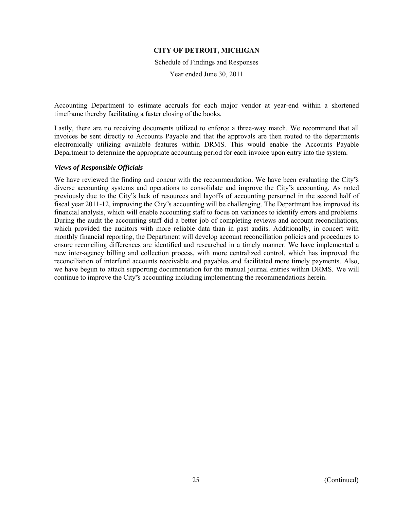Schedule of Findings and Responses

Year ended June 30, 2011

Accounting Department to estimate accruals for each major vendor at year-end within a shortened timeframe thereby facilitating a faster closing of the books.

Lastly, there are no receiving documents utilized to enforce a three-way match. We recommend that all invoices be sent directly to Accounts Payable and that the approvals are then routed to the departments electronically utilizing available features within DRMS. This would enable the Accounts Payable Department to determine the appropriate accounting period for each invoice upon entry into the system.

#### *Views of Responsible Officials*

We have reviewed the finding and concur with the recommendation. We have been evaluating the City's diverse accounting systems and operations to consolidate and improve the City"s accounting. As noted previously due to the City"s lack of resources and layoffs of accounting personnel in the second half of fiscal year 2011-12, improving the City"s accounting will be challenging. The Department has improved its financial analysis, which will enable accounting staff to focus on variances to identify errors and problems. During the audit the accounting staff did a better job of completing reviews and account reconciliations, which provided the auditors with more reliable data than in past audits. Additionally, in concert with monthly financial reporting, the Department will develop account reconciliation policies and procedures to ensure reconciling differences are identified and researched in a timely manner. We have implemented a new inter-agency billing and collection process, with more centralized control, which has improved the reconciliation of interfund accounts receivable and payables and facilitated more timely payments. Also, we have begun to attach supporting documentation for the manual journal entries within DRMS. We will continue to improve the City"s accounting including implementing the recommendations herein.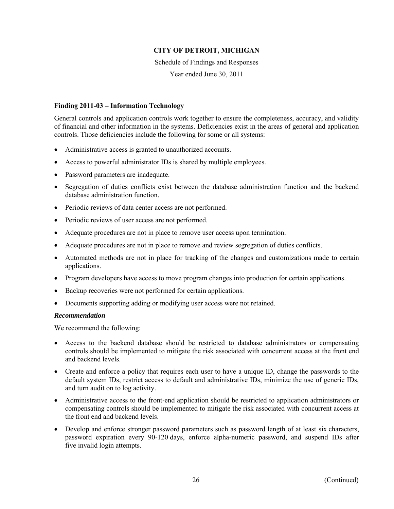Schedule of Findings and Responses

Year ended June 30, 2011

## **Finding 2011-03 – Information Technology**

General controls and application controls work together to ensure the completeness, accuracy, and validity of financial and other information in the systems. Deficiencies exist in the areas of general and application controls. Those deficiencies include the following for some or all systems:

- Administrative access is granted to unauthorized accounts.
- Access to powerful administrator IDs is shared by multiple employees.
- Password parameters are inadequate.
- Segregation of duties conflicts exist between the database administration function and the backend database administration function.
- Periodic reviews of data center access are not performed.
- Periodic reviews of user access are not performed.
- Adequate procedures are not in place to remove user access upon termination.
- Adequate procedures are not in place to remove and review segregation of duties conflicts.
- Automated methods are not in place for tracking of the changes and customizations made to certain applications.
- Program developers have access to move program changes into production for certain applications.
- Backup recoveries were not performed for certain applications.
- Documents supporting adding or modifying user access were not retained.

#### *Recommendation*

We recommend the following:

- Access to the backend database should be restricted to database administrators or compensating controls should be implemented to mitigate the risk associated with concurrent access at the front end and backend levels.
- Create and enforce a policy that requires each user to have a unique ID, change the passwords to the default system IDs, restrict access to default and administrative IDs, minimize the use of generic IDs, and turn audit on to log activity.
- Administrative access to the front-end application should be restricted to application administrators or compensating controls should be implemented to mitigate the risk associated with concurrent access at the front end and backend levels.
- Develop and enforce stronger password parameters such as password length of at least six characters, password expiration every 90-120 days, enforce alpha-numeric password, and suspend IDs after five invalid login attempts.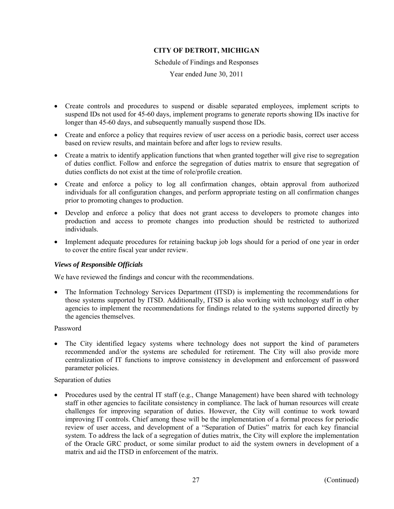Schedule of Findings and Responses

Year ended June 30, 2011

- Create controls and procedures to suspend or disable separated employees, implement scripts to suspend IDs not used for 45-60 days, implement programs to generate reports showing IDs inactive for longer than 45-60 days, and subsequently manually suspend those IDs.
- Create and enforce a policy that requires review of user access on a periodic basis, correct user access based on review results, and maintain before and after logs to review results.
- Create a matrix to identify application functions that when granted together will give rise to segregation of duties conflict. Follow and enforce the segregation of duties matrix to ensure that segregation of duties conflicts do not exist at the time of role/profile creation.
- Create and enforce a policy to log all confirmation changes, obtain approval from authorized individuals for all configuration changes, and perform appropriate testing on all confirmation changes prior to promoting changes to production.
- Develop and enforce a policy that does not grant access to developers to promote changes into production and access to promote changes into production should be restricted to authorized individuals.
- Implement adequate procedures for retaining backup job logs should for a period of one year in order to cover the entire fiscal year under review.

## *Views of Responsible Officials*

We have reviewed the findings and concur with the recommendations.

• The Information Technology Services Department (ITSD) is implementing the recommendations for those systems supported by ITSD. Additionally, ITSD is also working with technology staff in other agencies to implement the recommendations for findings related to the systems supported directly by the agencies themselves.

## Password

• The City identified legacy systems where technology does not support the kind of parameters recommended and/or the systems are scheduled for retirement. The City will also provide more centralization of IT functions to improve consistency in development and enforcement of password parameter policies.

## Separation of duties

• Procedures used by the central IT staff (e.g., Change Management) have been shared with technology staff in other agencies to facilitate consistency in compliance. The lack of human resources will create challenges for improving separation of duties. However, the City will continue to work toward improving IT controls. Chief among these will be the implementation of a formal process for periodic review of user access, and development of a "Separation of Duties" matrix for each key financial system. To address the lack of a segregation of duties matrix, the City will explore the implementation of the Oracle GRC product, or some similar product to aid the system owners in development of a matrix and aid the ITSD in enforcement of the matrix.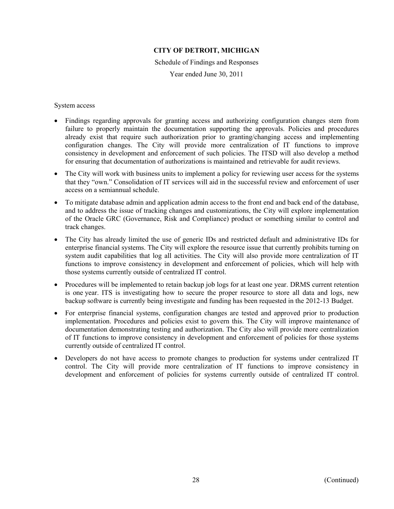Schedule of Findings and Responses

Year ended June 30, 2011

System access

- Findings regarding approvals for granting access and authorizing configuration changes stem from failure to properly maintain the documentation supporting the approvals. Policies and procedures already exist that require such authorization prior to granting/changing access and implementing configuration changes. The City will provide more centralization of IT functions to improve consistency in development and enforcement of such policies. The ITSD will also develop a method for ensuring that documentation of authorizations is maintained and retrievable for audit reviews.
- The City will work with business units to implement a policy for reviewing user access for the systems that they "own." Consolidation of IT services will aid in the successful review and enforcement of user access on a semiannual schedule.
- To mitigate database admin and application admin access to the front end and back end of the database, and to address the issue of tracking changes and customizations, the City will explore implementation of the Oracle GRC (Governance, Risk and Compliance) product or something similar to control and track changes.
- The City has already limited the use of generic IDs and restricted default and administrative IDs for enterprise financial systems. The City will explore the resource issue that currently prohibits turning on system audit capabilities that log all activities. The City will also provide more centralization of IT functions to improve consistency in development and enforcement of policies, which will help with those systems currently outside of centralized IT control.
- Procedures will be implemented to retain backup job logs for at least one year. DRMS current retention is one year. ITS is investigating how to secure the proper resource to store all data and logs, new backup software is currently being investigate and funding has been requested in the 2012-13 Budget.
- For enterprise financial systems, configuration changes are tested and approved prior to production implementation. Procedures and policies exist to govern this. The City will improve maintenance of documentation demonstrating testing and authorization. The City also will provide more centralization of IT functions to improve consistency in development and enforcement of policies for those systems currently outside of centralized IT control.
- Developers do not have access to promote changes to production for systems under centralized IT control. The City will provide more centralization of IT functions to improve consistency in development and enforcement of policies for systems currently outside of centralized IT control.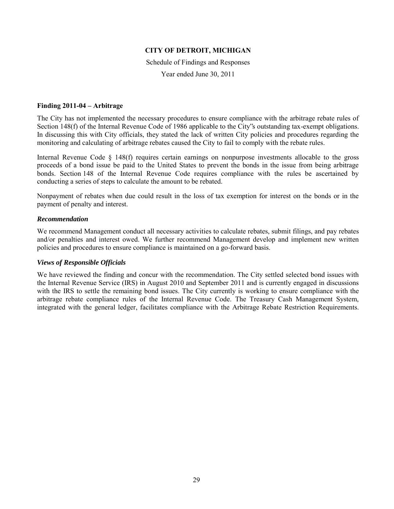Schedule of Findings and Responses

Year ended June 30, 2011

#### **Finding 2011-04 – Arbitrage**

The City has not implemented the necessary procedures to ensure compliance with the arbitrage rebate rules of Section 148(f) of the Internal Revenue Code of 1986 applicable to the City's outstanding tax-exempt obligations. In discussing this with City officials, they stated the lack of written City policies and procedures regarding the monitoring and calculating of arbitrage rebates caused the City to fail to comply with the rebate rules.

Internal Revenue Code § 148(f) requires certain earnings on nonpurpose investments allocable to the gross proceeds of a bond issue be paid to the United States to prevent the bonds in the issue from being arbitrage bonds. Section 148 of the Internal Revenue Code requires compliance with the rules be ascertained by conducting a series of steps to calculate the amount to be rebated.

Nonpayment of rebates when due could result in the loss of tax exemption for interest on the bonds or in the payment of penalty and interest.

#### *Recommendation*

We recommend Management conduct all necessary activities to calculate rebates, submit filings, and pay rebates and/or penalties and interest owed. We further recommend Management develop and implement new written policies and procedures to ensure compliance is maintained on a go-forward basis.

## *Views of Responsible Officials*

We have reviewed the finding and concur with the recommendation. The City settled selected bond issues with the Internal Revenue Service (IRS) in August 2010 and September 2011 and is currently engaged in discussions with the IRS to settle the remaining bond issues. The City currently is working to ensure compliance with the arbitrage rebate compliance rules of the Internal Revenue Code. The Treasury Cash Management System, integrated with the general ledger, facilitates compliance with the Arbitrage Rebate Restriction Requirements.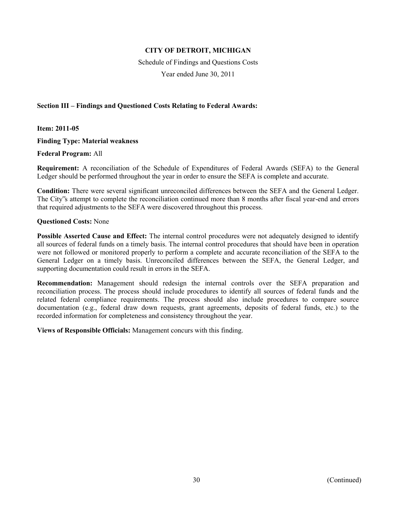Schedule of Findings and Questions Costs

Year ended June 30, 2011

## **Section III – Findings and Questioned Costs Relating to Federal Awards:**

**Item: 2011-05** 

**Finding Type: Material weakness** 

**Federal Program:** All

**Requirement:** A reconciliation of the Schedule of Expenditures of Federal Awards (SEFA) to the General Ledger should be performed throughout the year in order to ensure the SEFA is complete and accurate.

**Condition:** There were several significant unreconciled differences between the SEFA and the General Ledger. The City"s attempt to complete the reconciliation continued more than 8 months after fiscal year-end and errors that required adjustments to the SEFA were discovered throughout this process.

#### **Questioned Costs:** None

**Possible Asserted Cause and Effect:** The internal control procedures were not adequately designed to identify all sources of federal funds on a timely basis. The internal control procedures that should have been in operation were not followed or monitored properly to perform a complete and accurate reconciliation of the SEFA to the General Ledger on a timely basis. Unreconciled differences between the SEFA, the General Ledger, and supporting documentation could result in errors in the SEFA.

**Recommendation:** Management should redesign the internal controls over the SEFA preparation and reconciliation process. The process should include procedures to identify all sources of federal funds and the related federal compliance requirements. The process should also include procedures to compare source documentation (e.g., federal draw down requests, grant agreements, deposits of federal funds, etc.) to the recorded information for completeness and consistency throughout the year.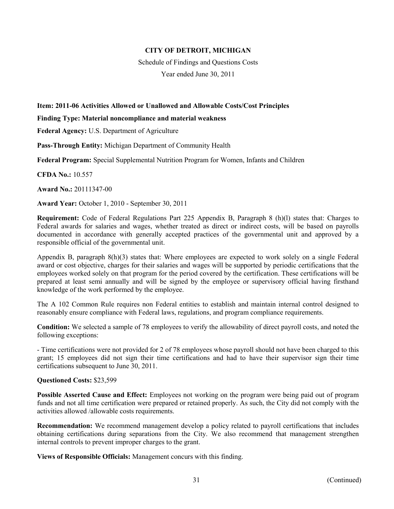Schedule of Findings and Questions Costs

Year ended June 30, 2011

# **Item: 2011-06 Activities Allowed or Unallowed and Allowable Costs/Cost Principles**

#### **Finding Type: Material noncompliance and material weakness**

**Federal Agency:** U.S. Department of Agriculture

**Pass-Through Entity:** Michigan Department of Community Health

**Federal Program:** Special Supplemental Nutrition Program for Women, Infants and Children

**CFDA No.:** 10.557

**Award No.:** 20111347-00

**Award Year:** October 1, 2010 - September 30, 2011

**Requirement:** Code of Federal Regulations Part 225 Appendix B, Paragraph 8 (h)(l) states that: Charges to Federal awards for salaries and wages, whether treated as direct or indirect costs, will be based on payrolls documented in accordance with generally accepted practices of the governmental unit and approved by a responsible official of the governmental unit.

Appendix B, paragraph 8(h)(3) states that: Where employees are expected to work solely on a single Federal award or cost objective, charges for their salaries and wages will be supported by periodic certifications that the employees worked solely on that program for the period covered by the certification. These certifications will be prepared at least semi annually and will be signed by the employee or supervisory official having firsthand knowledge of the work performed by the employee.

The A 102 Common Rule requires non Federal entities to establish and maintain internal control designed to reasonably ensure compliance with Federal laws, regulations, and program compliance requirements.

**Condition:** We selected a sample of 78 employees to verify the allowability of direct payroll costs, and noted the following exceptions:

- Time certifications were not provided for 2 of 78 employees whose payroll should not have been charged to this grant; 15 employees did not sign their time certifications and had to have their supervisor sign their time certifications subsequent to June 30, 2011.

## **Questioned Costs:** \$23,599

**Possible Asserted Cause and Effect:** Employees not working on the program were being paid out of program funds and not all time certification were prepared or retained properly. As such, the City did not comply with the activities allowed /allowable costs requirements.

**Recommendation:** We recommend management develop a policy related to payroll certifications that includes obtaining certifications during separations from the City. We also recommend that management strengthen internal controls to prevent improper charges to the grant.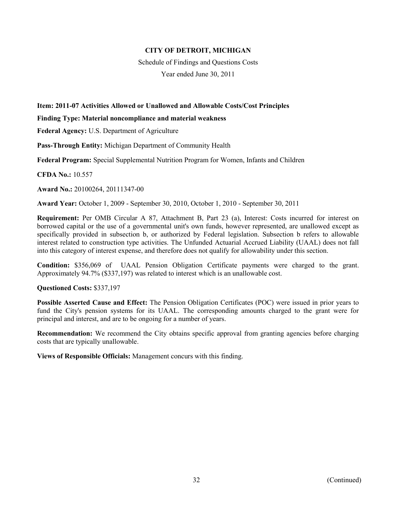Schedule of Findings and Questions Costs

Year ended June 30, 2011

# **Item: 2011-07 Activities Allowed or Unallowed and Allowable Costs/Cost Principles**

#### **Finding Type: Material noncompliance and material weakness**

**Federal Agency:** U.S. Department of Agriculture

**Pass-Through Entity:** Michigan Department of Community Health

**Federal Program:** Special Supplemental Nutrition Program for Women, Infants and Children

**CFDA No.:** 10.557

**Award No.:** 20100264, 20111347-00

**Award Year:** October 1, 2009 - September 30, 2010, October 1, 2010 - September 30, 2011

**Requirement:** Per OMB Circular A 87, Attachment B, Part 23 (a), Interest: Costs incurred for interest on borrowed capital or the use of a governmental unit's own funds, however represented, are unallowed except as specifically provided in subsection b, or authorized by Federal legislation. Subsection b refers to allowable interest related to construction type activities. The Unfunded Actuarial Accrued Liability (UAAL) does not fall into this category of interest expense, and therefore does not qualify for allowability under this section.

**Condition:** \$356,069 of UAAL Pension Obligation Certificate payments were charged to the grant. Approximately 94.7% (\$337,197) was related to interest which is an unallowable cost.

## **Questioned Costs:** \$337,197

**Possible Asserted Cause and Effect:** The Pension Obligation Certificates (POC) were issued in prior years to fund the City's pension systems for its UAAL. The corresponding amounts charged to the grant were for principal and interest, and are to be ongoing for a number of years.

**Recommendation:** We recommend the City obtains specific approval from granting agencies before charging costs that are typically unallowable.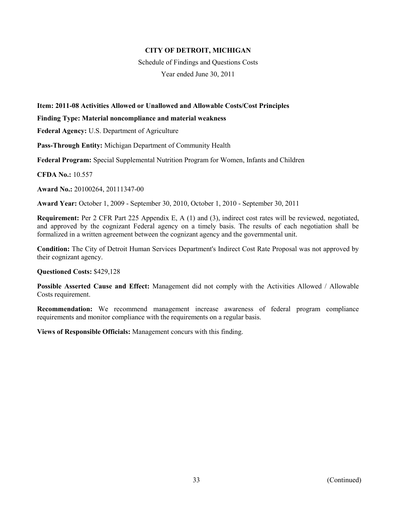Schedule of Findings and Questions Costs

Year ended June 30, 2011

# **Item: 2011-08 Activities Allowed or Unallowed and Allowable Costs/Cost Principles**

#### **Finding Type: Material noncompliance and material weakness**

**Federal Agency:** U.S. Department of Agriculture

**Pass-Through Entity:** Michigan Department of Community Health

**Federal Program:** Special Supplemental Nutrition Program for Women, Infants and Children

**CFDA No.:** 10.557

**Award No.:** 20100264, 20111347-00

**Award Year:** October 1, 2009 - September 30, 2010, October 1, 2010 - September 30, 2011

**Requirement:** Per 2 CFR Part 225 Appendix E, A (1) and (3), indirect cost rates will be reviewed, negotiated, and approved by the cognizant Federal agency on a timely basis. The results of each negotiation shall be formalized in a written agreement between the cognizant agency and the governmental unit.

**Condition:** The City of Detroit Human Services Department's Indirect Cost Rate Proposal was not approved by their cognizant agency.

## **Questioned Costs:** \$429,128

**Possible Asserted Cause and Effect:** Management did not comply with the Activities Allowed / Allowable Costs requirement.

**Recommendation:** We recommend management increase awareness of federal program compliance requirements and monitor compliance with the requirements on a regular basis.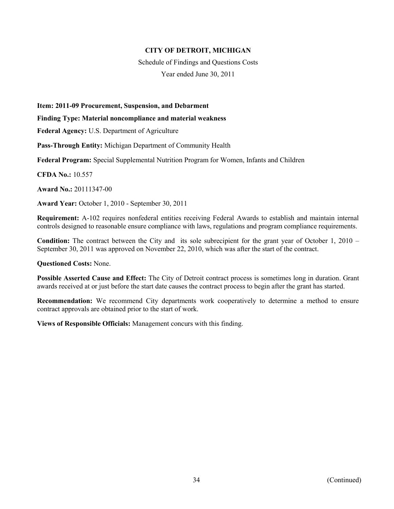Schedule of Findings and Questions Costs

Year ended June 30, 2011

**Item: 2011-09 Procurement, Suspension, and Debarment** 

**Finding Type: Material noncompliance and material weakness** 

**Federal Agency:** U.S. Department of Agriculture

**Pass-Through Entity:** Michigan Department of Community Health

**Federal Program:** Special Supplemental Nutrition Program for Women, Infants and Children

**CFDA No.:** 10.557

**Award No.:** 20111347-00

**Award Year:** October 1, 2010 - September 30, 2011

**Requirement:** A-102 requires nonfederal entities receiving Federal Awards to establish and maintain internal controls designed to reasonable ensure compliance with laws, regulations and program compliance requirements.

**Condition:** The contract between the City and its sole subrecipient for the grant year of October 1, 2010 – September 30, 2011 was approved on November 22, 2010, which was after the start of the contract.

**Questioned Costs:** None.

**Possible Asserted Cause and Effect:** The City of Detroit contract process is sometimes long in duration. Grant awards received at or just before the start date causes the contract process to begin after the grant has started.

**Recommendation:** We recommend City departments work cooperatively to determine a method to ensure contract approvals are obtained prior to the start of work.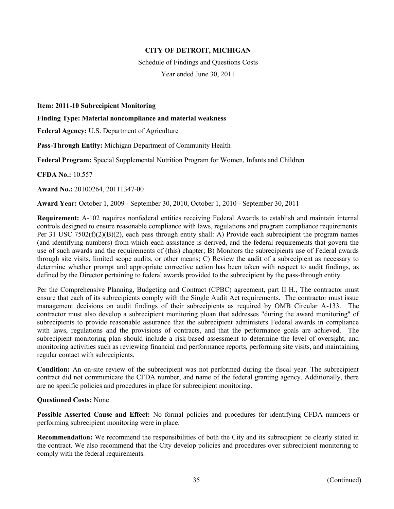Schedule of Findings and Questions Costs Year ended June 30, 2011

**Item: 2011-10 Subrecipient Monitoring** 

**Finding Type: Material noncompliance and material weakness** 

**Federal Agency:** U.S. Department of Agriculture

**Pass-Through Entity:** Michigan Department of Community Health

**Federal Program:** Special Supplemental Nutrition Program for Women, Infants and Children

**CFDA No.:** 10.557

**Award No.:** 20100264, 20111347-00

**Award Year:** October 1, 2009 - September 30, 2010, October 1, 2010 - September 30, 2011

**Requirement:** A-102 requires nonfederal entities receiving Federal Awards to establish and maintain internal controls designed to ensure reasonable compliance with laws, regulations and program compliance requirements. Per 31 USC 7502(f)(2)(B)(2), each pass through entity shall: A) Provide each subrecipient the program names (and identifying numbers) from which each assistance is derived, and the federal requirements that govern the use of such awards and the requirements of (this) chapter; B) Monitors the subrecipients use of Federal awards through site visits, limited scope audits, or other means; C) Review the audit of a subrecipient as necessary to determine whether prompt and appropriate corrective action has been taken with respect to audit findings, as defined by the Director pertaining to federal awards provided to the subrecipient by the pass-through entity.

Per the Comprehensive Planning, Budgeting and Contract (CPBC) agreement, part II H., The contractor must ensure that each of its subrecipients comply with the Single Audit Act requirements. The contractor must issue management decisions on audit findings of their subrecipients as required by OMB Circular A-133. The contractor must also develop a subrecipient monitoring ploan that addresses "during the award monitoring" of subrecipients to provide reasonable assurance that the subrecipient administers Federal awards in compliance with laws, regulations and the provisions of contracts, and that the performance goals are achieved. The subrecipient monitoring plan should include a risk-based assessment to determine the level of oversight, and monitoring activities such as reviewing financial and performance reports, performing site visits, and maintaining regular contact with subrecipients.

**Condition:** An on-site review of the subrecipient was not performed during the fiscal year. The subrecipient contract did not communicate the CFDA number, and name of the federal granting agency. Additionally, there are no specific policies and procedures in place for subrecipient monitoring.

#### **Questioned Costs:** None

**Possible Asserted Cause and Effect:** No formal policies and procedures for identifying CFDA numbers or performing subrecipient monitoring were in place.

**Recommendation:** We recommend the responsibilities of both the City and its subrecipient be clearly stated in the contract. We also recommend that the City develop policies and procedures over subrecipient monitoring to comply with the federal requirements.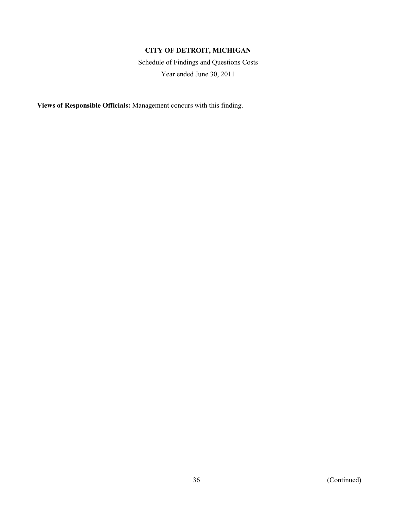Schedule of Findings and Questions Costs Year ended June 30, 2011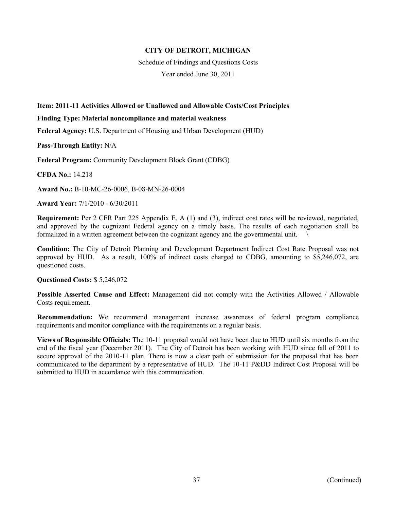Schedule of Findings and Questions Costs

Year ended June 30, 2011

## **Item: 2011-11 Activities Allowed or Unallowed and Allowable Costs/Cost Principles**

#### **Finding Type: Material noncompliance and material weakness**

**Federal Agency:** U.S. Department of Housing and Urban Development (HUD)

**Pass-Through Entity:** N/A

**Federal Program:** Community Development Block Grant (CDBG)

**CFDA No.:** 14.218

**Award No.:** B-10-MC-26-0006, B-08-MN-26-0004

**Award Year:** 7/1/2010 - 6/30/2011

**Requirement:** Per 2 CFR Part 225 Appendix E, A (1) and (3), indirect cost rates will be reviewed, negotiated, and approved by the cognizant Federal agency on a timely basis. The results of each negotiation shall be formalized in a written agreement between the cognizant agency and the governmental unit.

**Condition:** The City of Detroit Planning and Development Department Indirect Cost Rate Proposal was not approved by HUD. As a result, 100% of indirect costs charged to CDBG, amounting to \$5,246,072, are questioned costs.

### **Questioned Costs:** \$ 5,246,072

**Possible Asserted Cause and Effect:** Management did not comply with the Activities Allowed / Allowable Costs requirement.

**Recommendation:** We recommend management increase awareness of federal program compliance requirements and monitor compliance with the requirements on a regular basis.

**Views of Responsible Officials:** The 10-11 proposal would not have been due to HUD until six months from the end of the fiscal year (December 2011). The City of Detroit has been working with HUD since fall of 2011 to secure approval of the 2010-11 plan. There is now a clear path of submission for the proposal that has been communicated to the department by a representative of HUD. The 10-11 P&DD Indirect Cost Proposal will be submitted to HUD in accordance with this communication.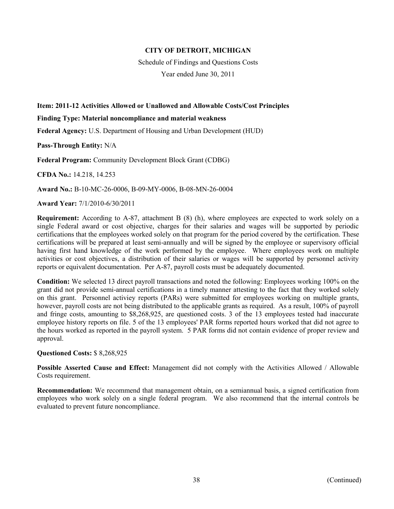Schedule of Findings and Questions Costs

Year ended June 30, 2011

## **Item: 2011-12 Activities Allowed or Unallowed and Allowable Costs/Cost Principles**

#### **Finding Type: Material noncompliance and material weakness**

**Federal Agency:** U.S. Department of Housing and Urban Development (HUD)

**Pass-Through Entity:** N/A

**Federal Program:** Community Development Block Grant (CDBG)

**CFDA No.:** 14.218, 14.253

**Award No.:** B-10-MC-26-0006, B-09-MY-0006, B-08-MN-26-0004

**Award Year:** 7/1/2010-6/30/2011

**Requirement:** According to A-87, attachment B (8) (h), where employees are expected to work solely on a single Federal award or cost objective, charges for their salaries and wages will be supported by periodic certifications that the employees worked solely on that program for the period covered by the certification. These certifications will be prepared at least semi-annually and will be signed by the employee or supervisory official having first hand knowledge of the work performed by the employee. Where employees work on multiple activities or cost objectives, a distribution of their salaries or wages will be supported by personnel activity reports or equivalent documentation. Per A-87, payroll costs must be adequately documented.

**Condition:** We selected 13 direct payroll transactions and noted the following: Employees working 100% on the grant did not provide semi-annual certifications in a timely manner attesting to the fact that they worked solely on this grant. Personnel activiey reports (PARs) were submitted for employees working on multiple grants, however, payroll costs are not being distributed to the applicable grants as required. As a result, 100% of payroll and fringe costs, amounting to \$8,268,925, are questioned costs. 3 of the 13 employees tested had inaccurate employee history reports on file. 5 of the 13 employees' PAR forms reported hours worked that did not agree to the hours worked as reported in the payroll system. 5 PAR forms did not contain evidence of proper review and approval.

### **Questioned Costs:** \$ 8,268,925

**Possible Asserted Cause and Effect:** Management did not comply with the Activities Allowed / Allowable Costs requirement.

**Recommendation:** We recommend that management obtain, on a semiannual basis, a signed certification from employees who work solely on a single federal program. We also recommend that the internal controls be evaluated to prevent future noncompliance.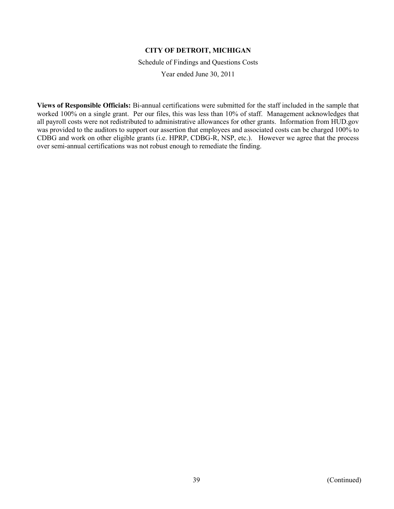Schedule of Findings and Questions Costs

Year ended June 30, 2011

**Views of Responsible Officials:** Bi-annual certifications were submitted for the staff included in the sample that worked 100% on a single grant. Per our files, this was less than 10% of staff. Management acknowledges that all payroll costs were not redistributed to administrative allowances for other grants. Information from HUD.gov was provided to the auditors to support our assertion that employees and associated costs can be charged 100% to CDBG and work on other eligible grants (i.e. HPRP, CDBG-R, NSP, etc.). However we agree that the process over semi-annual certifications was not robust enough to remediate the finding.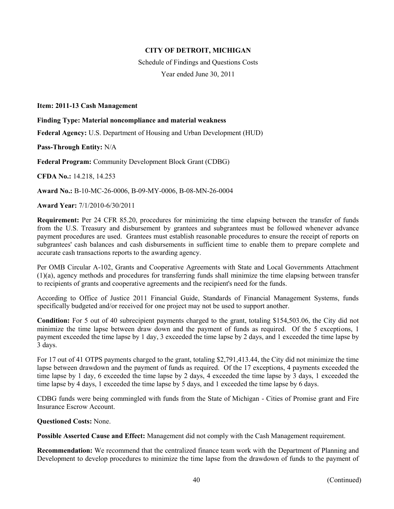Schedule of Findings and Questions Costs Year ended June 30, 2011

#### **Item: 2011-13 Cash Management**

#### **Finding Type: Material noncompliance and material weakness**

**Federal Agency:** U.S. Department of Housing and Urban Development (HUD)

**Pass-Through Entity:** N/A

**Federal Program:** Community Development Block Grant (CDBG)

**CFDA No.:** 14.218, 14.253

**Award No.:** B-10-MC-26-0006, B-09-MY-0006, B-08-MN-26-0004

**Award Year:** 7/1/2010-6/30/2011

**Requirement:** Per 24 CFR 85.20, procedures for minimizing the time elapsing between the transfer of funds from the U.S. Treasury and disbursement by grantees and subgrantees must be followed whenever advance payment procedures are used. Grantees must establish reasonable procedures to ensure the receipt of reports on subgrantees' cash balances and cash disbursements in sufficient time to enable them to prepare complete and accurate cash transactions reports to the awarding agency.

Per OMB Circular A-102, Grants and Cooperative Agreements with State and Local Governments Attachment (1)(a), agency methods and procedures for transferring funds shall minimize the time elapsing between transfer to recipients of grants and cooperative agreements and the recipient's need for the funds.

According to Office of Justice 2011 Financial Guide, Standards of Financial Management Systems, funds specifically budgeted and/or received for one project may not be used to support another.

**Condition:** For 5 out of 40 subrecipient payments charged to the grant, totaling \$154,503.06, the City did not minimize the time lapse between draw down and the payment of funds as required. Of the 5 exceptions, 1 payment exceeded the time lapse by 1 day, 3 exceeded the time lapse by 2 days, and 1 exceeded the time lapse by 3 days.

For 17 out of 41 OTPS payments charged to the grant, totaling \$2,791,413.44, the City did not minimize the time lapse between drawdown and the payment of funds as required. Of the 17 exceptions, 4 payments exceeded the time lapse by 1 day, 6 exceeded the time lapse by 2 days, 4 exceeded the time lapse by 3 days, 1 exceeded the time lapse by 4 days, 1 exceeded the time lapse by 5 days, and 1 exceeded the time lapse by 6 days.

CDBG funds were being commingled with funds from the State of Michigan - Cities of Promise grant and Fire Insurance Escrow Account.

**Questioned Costs:** None.

**Possible Asserted Cause and Effect:** Management did not comply with the Cash Management requirement.

**Recommendation:** We recommend that the centralized finance team work with the Department of Planning and Development to develop procedures to minimize the time lapse from the drawdown of funds to the payment of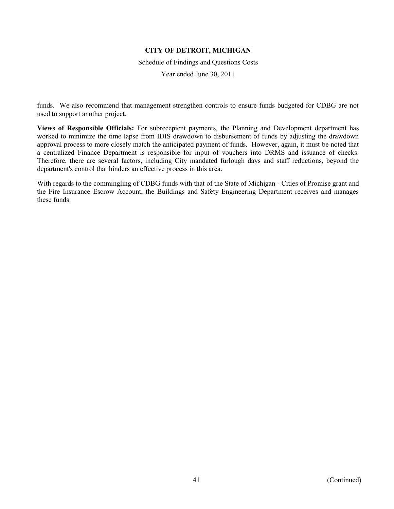Schedule of Findings and Questions Costs

Year ended June 30, 2011

funds. We also recommend that management strengthen controls to ensure funds budgeted for CDBG are not used to support another project.

**Views of Responsible Officials:** For subrecepient payments, the Planning and Development department has worked to minimize the time lapse from IDIS drawdown to disbursement of funds by adjusting the drawdown approval process to more closely match the anticipated payment of funds. However, again, it must be noted that a centralized Finance Department is responsible for input of vouchers into DRMS and issuance of checks. Therefore, there are several factors, including City mandated furlough days and staff reductions, beyond the department's control that hinders an effective process in this area.

With regards to the commingling of CDBG funds with that of the State of Michigan - Cities of Promise grant and the Fire Insurance Escrow Account, the Buildings and Safety Engineering Department receives and manages these funds.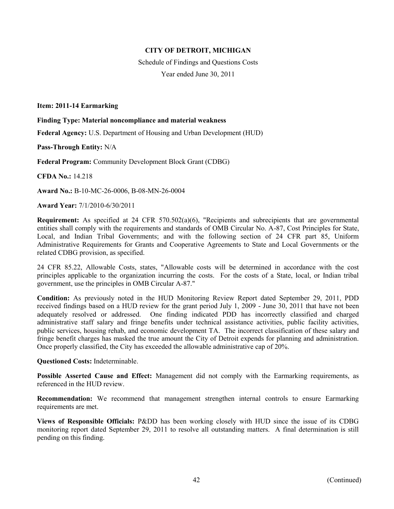Schedule of Findings and Questions Costs Year ended June 30, 2011

### **Item: 2011-14 Earmarking**

#### **Finding Type: Material noncompliance and material weakness**

**Federal Agency:** U.S. Department of Housing and Urban Development (HUD)

**Pass-Through Entity:** N/A

**Federal Program:** Community Development Block Grant (CDBG)

**CFDA No.:** 14.218

**Award No.:** B-10-MC-26-0006, B-08-MN-26-0004

**Award Year:** 7/1/2010-6/30/2011

**Requirement:** As specified at 24 CFR 570.502(a)(6), "Recipients and subrecipients that are governmental entities shall comply with the requirements and standards of OMB Circular No. A-87, Cost Principles for State, Local, and Indian Tribal Governments; and with the following section of 24 CFR part 85, Uniform Administrative Requirements for Grants and Cooperative Agreements to State and Local Governments or the related CDBG provision, as specified.

24 CFR 85.22, Allowable Costs, states, "Allowable costs will be determined in accordance with the cost principles applicable to the organization incurring the costs. For the costs of a State, local, or Indian tribal government, use the principles in OMB Circular A-87."

**Condition:** As previously noted in the HUD Monitoring Review Report dated September 29, 2011, PDD received findings based on a HUD review for the grant period July 1, 2009 - June 30, 2011 that have not been adequately resolved or addressed. One finding indicated PDD has incorrectly classified and charged administrative staff salary and fringe benefits under technical assistance activities, public facility activities, public services, housing rehab, and economic development TA. The incorrect classification of these salary and fringe benefit charges has masked the true amount the City of Detroit expends for planning and administration. Once properly classified, the City has exceeded the allowable administrative cap of 20%.

**Questioned Costs:** Indeterminable.

**Possible Asserted Cause and Effect:** Management did not comply with the Earmarking requirements, as referenced in the HUD review.

**Recommendation:** We recommend that management strengthen internal controls to ensure Earmarking requirements are met.

**Views of Responsible Officials:** P&DD has been working closely with HUD since the issue of its CDBG monitoring report dated September 29, 2011 to resolve all outstanding matters. A final determination is still pending on this finding.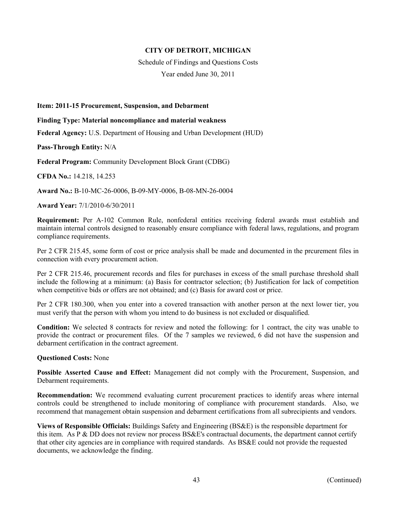Schedule of Findings and Questions Costs

Year ended June 30, 2011

#### **Item: 2011-15 Procurement, Suspension, and Debarment**

**Finding Type: Material noncompliance and material weakness** 

**Federal Agency:** U.S. Department of Housing and Urban Development (HUD)

**Pass-Through Entity:** N/A

**Federal Program:** Community Development Block Grant (CDBG)

**CFDA No.:** 14.218, 14.253

**Award No.:** B-10-MC-26-0006, B-09-MY-0006, B-08-MN-26-0004

**Award Year:** 7/1/2010-6/30/2011

**Requirement:** Per A-102 Common Rule, nonfederal entities receiving federal awards must establish and maintain internal controls designed to reasonably ensure compliance with federal laws, regulations, and program compliance requirements.

Per 2 CFR 215.45, some form of cost or price analysis shall be made and documented in the prcurement files in connection with every procurement action.

Per 2 CFR 215.46, procurement records and files for purchases in excess of the small purchase threshold shall include the following at a minimum: (a) Basis for contractor selection; (b) Justification for lack of competition when competitive bids or offers are not obtained; and (c) Basis for award cost or price.

Per 2 CFR 180.300, when you enter into a covered transaction with another person at the next lower tier, you must verify that the person with whom you intend to do business is not excluded or disqualified.

**Condition:** We selected 8 contracts for review and noted the following: for 1 contract, the city was unable to provide the contract or procurement files. Of the 7 samples we reviewed, 6 did not have the suspension and debarment certification in the contract agreement.

#### **Questioned Costs:** None

**Possible Asserted Cause and Effect:** Management did not comply with the Procurement, Suspension, and Debarment requirements.

**Recommendation:** We recommend evaluating current procurement practices to identify areas where internal controls could be strengthened to include monitoring of compliance with procurement standards. Also, we recommend that management obtain suspension and debarment certifications from all subrecipients and vendors.

**Views of Responsible Officials:** Buildings Safety and Engineering (BS&E) is the responsible department for this item. As P & DD does not review nor process BS&E's contractual documents, the department cannot certify that other city agencies are in compliance with required standards. As BS&E could not provide the requested documents, we acknowledge the finding.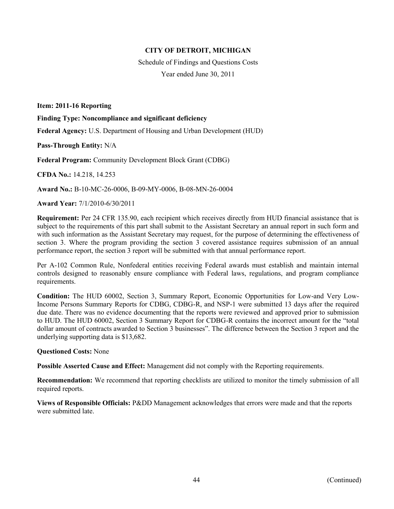Schedule of Findings and Questions Costs Year ended June 30, 2011

**Item: 2011-16 Reporting** 

**Finding Type: Noncompliance and significant deficiency** 

**Federal Agency:** U.S. Department of Housing and Urban Development (HUD)

**Pass-Through Entity:** N/A

**Federal Program:** Community Development Block Grant (CDBG)

**CFDA No.:** 14.218, 14.253

**Award No.:** B-10-MC-26-0006, B-09-MY-0006, B-08-MN-26-0004

**Award Year:** 7/1/2010-6/30/2011

**Requirement:** Per 24 CFR 135.90, each recipient which receives directly from HUD financial assistance that is subject to the requirements of this part shall submit to the Assistant Secretary an annual report in such form and with such information as the Assistant Secretary may request, for the purpose of determining the effectiveness of section 3. Where the program providing the section 3 covered assistance requires submission of an annual performance report, the section 3 report will be submitted with that annual performance report.

Per A-102 Common Rule, Nonfederal entities receiving Federal awards must establish and maintain internal controls designed to reasonably ensure compliance with Federal laws, regulations, and program compliance requirements.

**Condition:** The HUD 60002, Section 3, Summary Report, Economic Opportunities for Low-and Very Low-Income Persons Summary Reports for CDBG, CDBG-R, and NSP-1 were submitted 13 days after the required due date. There was no evidence documenting that the reports were reviewed and approved prior to submission to HUD. The HUD 60002, Section 3 Summary Report for CDBG-R contains the incorrect amount for the "total dollar amount of contracts awarded to Section 3 businesses". The difference between the Section 3 report and the underlying supporting data is \$13,682.

#### **Questioned Costs:** None

**Possible Asserted Cause and Effect:** Management did not comply with the Reporting requirements.

**Recommendation:** We recommend that reporting checklists are utilized to monitor the timely submission of all required reports.

**Views of Responsible Officials:** P&DD Management acknowledges that errors were made and that the reports were submitted late.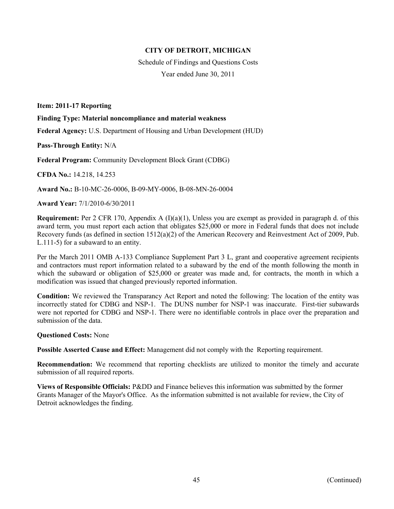Schedule of Findings and Questions Costs Year ended June 30, 2011

**Item: 2011-17 Reporting** 

**Finding Type: Material noncompliance and material weakness** 

**Federal Agency:** U.S. Department of Housing and Urban Development (HUD)

**Pass-Through Entity:** N/A

**Federal Program:** Community Development Block Grant (CDBG)

**CFDA No.:** 14.218, 14.253

**Award No.:** B-10-MC-26-0006, B-09-MY-0006, B-08-MN-26-0004

**Award Year:** 7/1/2010-6/30/2011

**Requirement:** Per 2 CFR 170, Appendix A (I)(a)(1), Unless you are exempt as provided in paragraph d. of this award term, you must report each action that obligates \$25,000 or more in Federal funds that does not include Recovery funds (as defined in section 1512(a)(2) of the American Recovery and Reinvestment Act of 2009, Pub. L.111-5) for a subaward to an entity.

Per the March 2011 OMB A-133 Compliance Supplement Part 3 L, grant and cooperative agreement recipients and contractors must report information related to a subaward by the end of the month following the month in which the subaward or obligation of \$25,000 or greater was made and, for contracts, the month in which a modification was issued that changed previously reported information.

**Condition:** We reviewed the Transparancy Act Report and noted the following: The location of the entity was incorrectly stated for CDBG and NSP-1. The DUNS number for NSP-1 was inaccurate. First-tier subawards were not reported for CDBG and NSP-1. There were no identifiable controls in place over the preparation and submission of the data.

#### **Questioned Costs:** None

**Possible Asserted Cause and Effect:** Management did not comply with the Reporting requirement.

**Recommendation:** We recommend that reporting checklists are utilized to monitor the timely and accurate submission of all required reports.

**Views of Responsible Officials:** P&DD and Finance believes this information was submitted by the former Grants Manager of the Mayor's Office. As the information submitted is not available for review, the City of Detroit acknowledges the finding.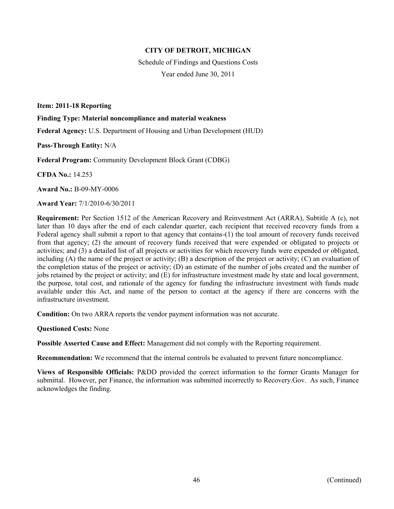Schedule of Findings and Questions Costs Year ended June 30, 2011

**Item: 2011-18 Reporting** 

**Finding Type: Material noncompliance and material weakness** 

**Federal Agency:** U.S. Department of Housing and Urban Development (HUD)

**Pass-Through Entity:** N/A

**Federal Program:** Community Development Block Grant (CDBG)

**CFDA No.:** 14.253

**Award No.:** B-09-MY-0006

**Award Year:** 7/1/2010-6/30/2011

**Requirement:** Per Section 1512 of the American Recovery and Reinvestment Act (ARRA), Subtitle A (c), not later than 10 days after the end of each calendar quarter, each recipient that received recovery funds from a Federal agency shall submit a report to that agency that contains-(1) the toal amount of recovery funds received from that agency; (2) the amount of recovery funds received that were expended or obligated to projects or activities; and (3) a detailed list of all projects or activities for which recovery funds were expended or obligated, including  $(A)$  the name of the project or activity;  $(B)$  a description of the project or activity;  $(C)$  an evaluation of the completion status of the project or activity; (D) an estimate of the number of jobs created and the number of jobs retained by the project or activity; and (E) for infrastructure investment made by state and local government, the purpose, total cost, and rationale of the agency for funding the infrastructure investment with funds made available under this Act, and name of the person to contact at the agency if there are concerns with the infrastructure investment.

**Condition:** On two ARRA reports the vendor payment information was not accurate.

**Questioned Costs:** None

**Possible Asserted Cause and Effect:** Management did not comply with the Reporting requirement.

**Recommendation:** We recommend that the internal controls be evaluated to prevent future noncompliance.

**Views of Responsible Officials:** P&DD provided the correct information to the former Grants Manager for submittal. However, per Finance, the information was submitted incorrectly to Recovery.Gov. As such, Finance acknowledges the finding.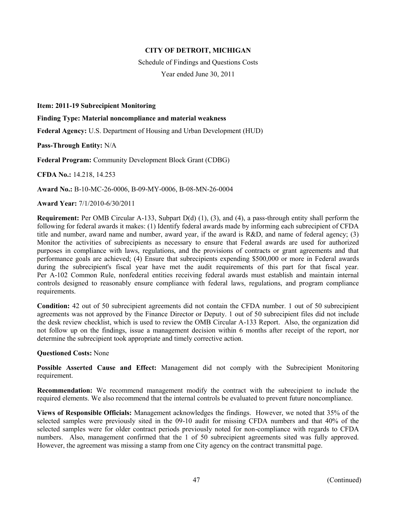Schedule of Findings and Questions Costs

Year ended June 30, 2011

**Item: 2011-19 Subrecipient Monitoring** 

**Finding Type: Material noncompliance and material weakness** 

**Federal Agency:** U.S. Department of Housing and Urban Development (HUD)

**Pass-Through Entity:** N/A

**Federal Program:** Community Development Block Grant (CDBG)

**CFDA No.:** 14.218, 14.253

**Award No.:** B-10-MC-26-0006, B-09-MY-0006, B-08-MN-26-0004

**Award Year:** 7/1/2010-6/30/2011

**Requirement:** Per OMB Circular A-133, Subpart D(d) (1), (3), and (4), a pass-through entity shall perform the following for federal awards it makes: (1) Identify federal awards made by informing each subrecipient of CFDA title and number, award name and number, award year, if the award is R&D, and name of federal agency; (3) Monitor the activities of subrecipients as necessary to ensure that Federal awards are used for authorized purposes in compliance with laws, regulations, and the provisions of contracts or grant agreements and that performance goals are achieved; (4) Ensure that subrecipients expending \$500,000 or more in Federal awards during the subrecipient's fiscal year have met the audit requirements of this part for that fiscal year. Per A-102 Common Rule, nonfederal entities receiving federal awards must establish and maintain internal controls designed to reasonably ensure compliance with federal laws, regulations, and program compliance requirements.

**Condition:** 42 out of 50 subrecipient agreements did not contain the CFDA number. 1 out of 50 subrecipient agreements was not approved by the Finance Director or Deputy. 1 out of 50 subrecipient files did not include the desk review checklist, which is used to review the OMB Circular A-133 Report. Also, the organization did not follow up on the findings, issue a management decision within 6 months after receipt of the report, nor determine the subrecipient took appropriate and timely corrective action.

**Questioned Costs:** None

**Possible Asserted Cause and Effect:** Management did not comply with the Subrecipient Monitoring requirement.

**Recommendation:** We recommend management modify the contract with the subrecipient to include the required elements. We also recommend that the internal controls be evaluated to prevent future noncompliance.

**Views of Responsible Officials:** Management acknowledges the findings. However, we noted that 35% of the selected samples were previously sited in the 09-10 audit for missing CFDA numbers and that 40% of the selected samples were for older contract periods previously noted for non-compliance with regards to CFDA numbers. Also, management confirmed that the 1 of 50 subrecipient agreements sited was fully approved. However, the agreement was missing a stamp from one City agency on the contract transmittal page.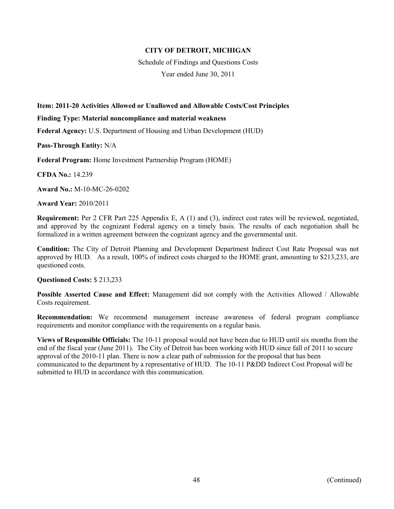Schedule of Findings and Questions Costs

Year ended June 30, 2011

## **Item: 2011-20 Activities Allowed or Unallowed and Allowable Costs/Cost Principles**

#### **Finding Type: Material noncompliance and material weakness**

**Federal Agency:** U.S. Department of Housing and Urban Development (HUD)

**Pass-Through Entity:** N/A

**Federal Program:** Home Investment Partnership Program (HOME)

**CFDA No.:** 14.239

**Award No.:** M-10-MC-26-0202

**Award Year:** 2010/2011

**Requirement:** Per 2 CFR Part 225 Appendix E, A (1) and (3), indirect cost rates will be reviewed, negotiated, and approved by the cognizant Federal agency on a timely basis. The results of each negotiation shall be formalized in a written agreement between the cognizant agency and the governmental unit.

**Condition:** The City of Detroit Planning and Development Department Indirect Cost Rate Proposal was not approved by HUD. As a result, 100% of indirect costs charged to the HOME grant, amounting to \$213,233, are questioned costs.

### **Questioned Costs:** \$ 213,233

**Possible Asserted Cause and Effect:** Management did not comply with the Activities Allowed / Allowable Costs requirement.

**Recommendation:** We recommend management increase awareness of federal program compliance requirements and monitor compliance with the requirements on a regular basis.

**Views of Responsible Officials:** The 10-11 proposal would not have been due to HUD until six months from the end of the fiscal year (June 2011). The City of Detroit has been working with HUD since fall of 2011 to secure approval of the 2010-11 plan. There is now a clear path of submission for the proposal that has been communicated to the department by a representative of HUD. The 10-11 P&DD Indirect Cost Proposal will be submitted to HUD in accordance with this communication.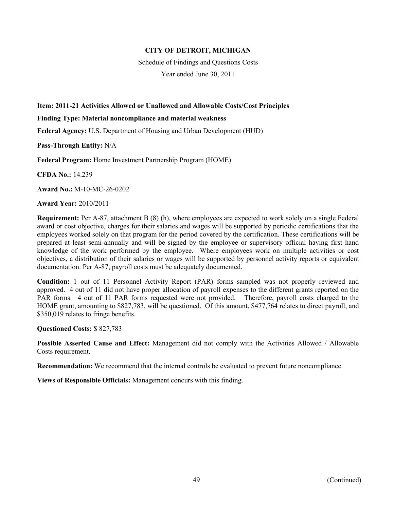Schedule of Findings and Questions Costs

Year ended June 30, 2011

## **Item: 2011-21 Activities Allowed or Unallowed and Allowable Costs/Cost Principles**

#### **Finding Type: Material noncompliance and material weakness**

**Federal Agency:** U.S. Department of Housing and Urban Development (HUD)

**Pass-Through Entity:** N/A

**Federal Program:** Home Investment Partnership Program (HOME)

**CFDA No.:** 14.239

**Award No.:** M-10-MC-26-0202

**Award Year:** 2010/2011

**Requirement:** Per A-87, attachment B (8) (h), where employees are expected to work solely on a single Federal award or cost objective, charges for their salaries and wages will be supported by periodic certifications that the employees worked solely on that program for the period covered by the certification. These certifications will be prepared at least semi-annually and will be signed by the employee or supervisory official having first hand knowledge of the work performed by the employee. Where employees work on multiple activities or cost objectives, a distribution of their salaries or wages will be supported by personnel activity reports or equivalent documentation. Per A-87, payroll costs must be adequately documented.

**Condition:** 1 out of 11 Personnel Activity Report (PAR) forms sampled was not properly reviewed and approved. 4 out of 11 did not have proper allocation of payroll expenses to the different grants reported on the PAR forms. 4 out of 11 PAR forms requested were not provided. Therefore, payroll costs charged to the HOME grant, amounting to \$827,783, will be questioned. Of this amount, \$477,764 relates to direct payroll, and \$350,019 relates to fringe benefits.

**Questioned Costs:** \$ 827,783

**Possible Asserted Cause and Effect:** Management did not comply with the Activities Allowed / Allowable Costs requirement.

**Recommendation:** We recommend that the internal controls be evaluated to prevent future noncompliance.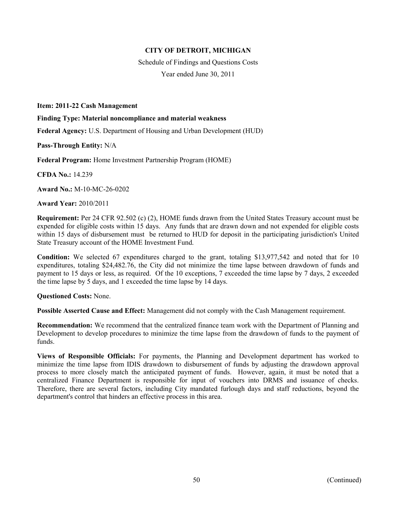Schedule of Findings and Questions Costs Year ended June 30, 2011

**Item: 2011-22 Cash Management** 

**Finding Type: Material noncompliance and material weakness** 

**Federal Agency:** U.S. Department of Housing and Urban Development (HUD)

**Pass-Through Entity:** N/A

**Federal Program:** Home Investment Partnership Program (HOME)

**CFDA No.:** 14.239

**Award No.:** M-10-MC-26-0202

**Award Year:** 2010/2011

**Requirement:** Per 24 CFR 92.502 (c) (2), HOME funds drawn from the United States Treasury account must be expended for eligible costs within 15 days. Any funds that are drawn down and not expended for eligible costs within 15 days of disbursement must be returned to HUD for deposit in the participating jurisdiction's United State Treasury account of the HOME Investment Fund.

**Condition:** We selected 67 expenditures charged to the grant, totaling \$13,977,542 and noted that for 10 expenditures, totaling \$24,482.76, the City did not minimize the time lapse between drawdown of funds and payment to 15 days or less, as required. Of the 10 exceptions, 7 exceeded the time lapse by 7 days, 2 exceeded the time lapse by 5 days, and 1 exceeded the time lapse by 14 days.

**Questioned Costs:** None.

**Possible Asserted Cause and Effect:** Management did not comply with the Cash Management requirement.

**Recommendation:** We recommend that the centralized finance team work with the Department of Planning and Development to develop procedures to minimize the time lapse from the drawdown of funds to the payment of funds.

**Views of Responsible Officials:** For payments, the Planning and Development department has worked to minimize the time lapse from IDIS drawdown to disbursement of funds by adjusting the drawdown approval process to more closely match the anticipated payment of funds. However, again, it must be noted that a centralized Finance Department is responsible for input of vouchers into DRMS and issuance of checks. Therefore, there are several factors, including City mandated furlough days and staff reductions, beyond the department's control that hinders an effective process in this area.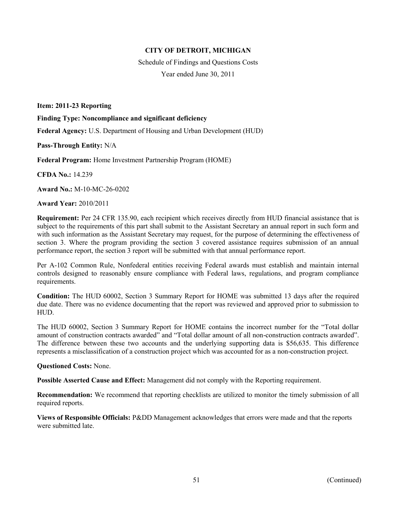Schedule of Findings and Questions Costs Year ended June 30, 2011

**Item: 2011-23 Reporting** 

**Finding Type: Noncompliance and significant deficiency** 

**Federal Agency:** U.S. Department of Housing and Urban Development (HUD)

**Pass-Through Entity:** N/A

**Federal Program:** Home Investment Partnership Program (HOME)

**CFDA No.:** 14.239

**Award No.:** M-10-MC-26-0202

**Award Year:** 2010/2011

**Requirement:** Per 24 CFR 135.90, each recipient which receives directly from HUD financial assistance that is subject to the requirements of this part shall submit to the Assistant Secretary an annual report in such form and with such information as the Assistant Secretary may request, for the purpose of determining the effectiveness of section 3. Where the program providing the section 3 covered assistance requires submission of an annual performance report, the section 3 report will be submitted with that annual performance report.

Per A-102 Common Rule, Nonfederal entities receiving Federal awards must establish and maintain internal controls designed to reasonably ensure compliance with Federal laws, regulations, and program compliance requirements.

**Condition:** The HUD 60002, Section 3 Summary Report for HOME was submitted 13 days after the required due date. There was no evidence documenting that the report was reviewed and approved prior to submission to HUD.

The HUD 60002, Section 3 Summary Report for HOME contains the incorrect number for the "Total dollar amount of construction contracts awarded" and "Total dollar amount of all non-construction contracts awarded". The difference between these two accounts and the underlying supporting data is \$56,635. This difference represents a misclassification of a construction project which was accounted for as a non-construction project.

#### **Questioned Costs:** None.

**Possible Asserted Cause and Effect:** Management did not comply with the Reporting requirement.

**Recommendation:** We recommend that reporting checklists are utilized to monitor the timely submission of all required reports.

**Views of Responsible Officials:** P&DD Management acknowledges that errors were made and that the reports were submitted late.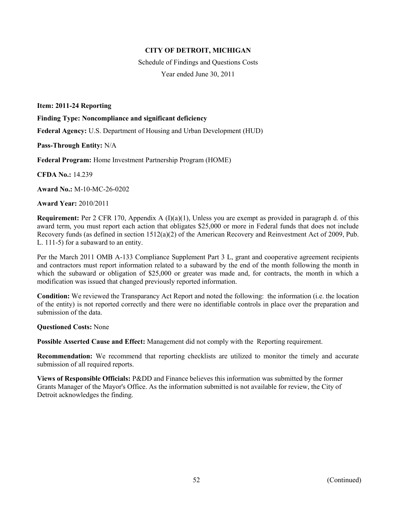Schedule of Findings and Questions Costs Year ended June 30, 2011

**Item: 2011-24 Reporting** 

**Finding Type: Noncompliance and significant deficiency** 

**Federal Agency:** U.S. Department of Housing and Urban Development (HUD)

**Pass-Through Entity:** N/A

**Federal Program:** Home Investment Partnership Program (HOME)

**CFDA No.:** 14.239

**Award No.:** M-10-MC-26-0202

**Award Year:** 2010/2011

**Requirement:** Per 2 CFR 170, Appendix A (I)(a)(1), Unless you are exempt as provided in paragraph d. of this award term, you must report each action that obligates \$25,000 or more in Federal funds that does not include Recovery funds (as defined in section 1512(a)(2) of the American Recovery and Reinvestment Act of 2009, Pub. L. 111-5) for a subaward to an entity.

Per the March 2011 OMB A-133 Compliance Supplement Part 3 L, grant and cooperative agreement recipients and contractors must report information related to a subaward by the end of the month following the month in which the subaward or obligation of \$25,000 or greater was made and, for contracts, the month in which a modification was issued that changed previously reported information.

**Condition:** We reviewed the Transparancy Act Report and noted the following: the information (i.e. the location of the entity) is not reported correctly and there were no identifiable controls in place over the preparation and submission of the data

**Questioned Costs:** None

**Possible Asserted Cause and Effect:** Management did not comply with the Reporting requirement.

**Recommendation:** We recommend that reporting checklists are utilized to monitor the timely and accurate submission of all required reports.

**Views of Responsible Officials:** P&DD and Finance believes this information was submitted by the former Grants Manager of the Mayor's Office. As the information submitted is not available for review, the City of Detroit acknowledges the finding.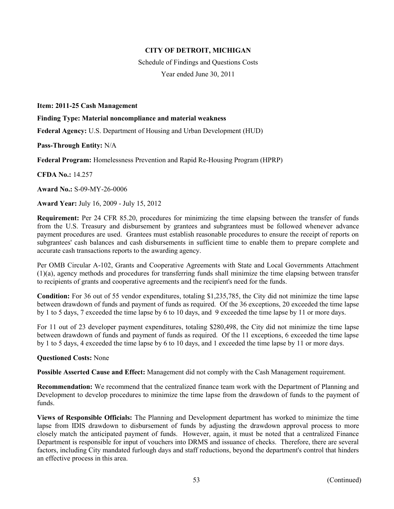Schedule of Findings and Questions Costs

Year ended June 30, 2011

#### **Item: 2011-25 Cash Management**

**Finding Type: Material noncompliance and material weakness** 

**Federal Agency:** U.S. Department of Housing and Urban Development (HUD)

**Pass-Through Entity:** N/A

**Federal Program:** Homelessness Prevention and Rapid Re-Housing Program (HPRP)

**CFDA No.:** 14.257

**Award No.:** S-09-MY-26-0006

**Award Year:** July 16, 2009 - July 15, 2012

**Requirement:** Per 24 CFR 85.20, procedures for minimizing the time elapsing between the transfer of funds from the U.S. Treasury and disbursement by grantees and subgrantees must be followed whenever advance payment procedures are used. Grantees must establish reasonable procedures to ensure the receipt of reports on subgrantees' cash balances and cash disbursements in sufficient time to enable them to prepare complete and accurate cash transactions reports to the awarding agency.

Per OMB Circular A-102, Grants and Cooperative Agreements with State and Local Governments Attachment (1)(a), agency methods and procedures for transferring funds shall minimize the time elapsing between transfer to recipients of grants and cooperative agreements and the recipient's need for the funds.

**Condition:** For 36 out of 55 vendor expenditures, totaling \$1,235,785, the City did not minimize the time lapse between drawdown of funds and payment of funds as required. Of the 36 exceptions, 20 exceeded the time lapse by 1 to 5 days, 7 exceeded the time lapse by 6 to 10 days, and 9 exceeded the time lapse by 11 or more days.

For 11 out of 23 developer payment expenditures, totaling \$280,498, the City did not minimize the time lapse between drawdown of funds and payment of funds as required. Of the 11 exceptions, 6 exceeded the time lapse by 1 to 5 days, 4 exceeded the time lapse by 6 to 10 days, and 1 exceeded the time lapse by 11 or more days.

### **Questioned Costs:** None

**Possible Asserted Cause and Effect:** Management did not comply with the Cash Management requirement.

**Recommendation:** We recommend that the centralized finance team work with the Department of Planning and Development to develop procedures to minimize the time lapse from the drawdown of funds to the payment of funds.

**Views of Responsible Officials:** The Planning and Development department has worked to minimize the time lapse from IDIS drawdown to disbursement of funds by adjusting the drawdown approval process to more closely match the anticipated payment of funds. However, again, it must be noted that a centralized Finance Department is responsible for input of vouchers into DRMS and issuance of checks. Therefore, there are several factors, including City mandated furlough days and staff reductions, beyond the department's control that hinders an effective process in this area.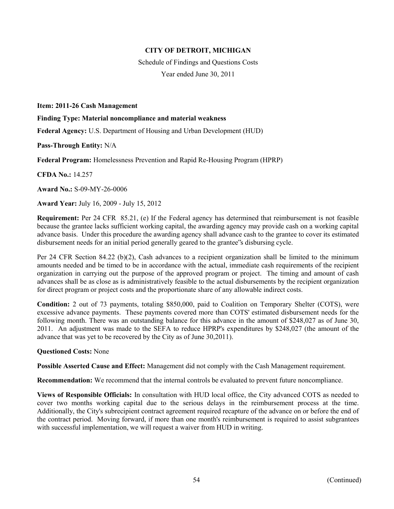Schedule of Findings and Questions Costs

Year ended June 30, 2011

#### **Item: 2011-26 Cash Management**

**Finding Type: Material noncompliance and material weakness** 

**Federal Agency:** U.S. Department of Housing and Urban Development (HUD)

**Pass-Through Entity:** N/A

**Federal Program:** Homelessness Prevention and Rapid Re-Housing Program (HPRP)

**CFDA No.:** 14.257

**Award No.:** S-09-MY-26-0006

**Award Year:** July 16, 2009 - July 15, 2012

**Requirement:** Per 24 CFR 85.21, (e) If the Federal agency has determined that reimbursement is not feasible because the grantee lacks sufficient working capital, the awarding agency may provide cash on a working capital advance basis. Under this procedure the awarding agency shall advance cash to the grantee to cover its estimated disbursement needs for an initial period generally geared to the grantee"s disbursing cycle.

Per 24 CFR Section 84.22 (b)(2), Cash advances to a recipient organization shall be limited to the minimum amounts needed and be timed to be in accordance with the actual, immediate cash requirements of the recipient organization in carrying out the purpose of the approved program or project. The timing and amount of cash advances shall be as close as is administratively feasible to the actual disbursements by the recipient organization for direct program or project costs and the proportionate share of any allowable indirect costs.

**Condition:** 2 out of 73 payments, totaling \$850,000, paid to Coalition on Temporary Shelter (COTS), were excessive advance payments. These payments covered more than COTS' estimated disbursement needs for the following month. There was an outstanding balance for this advance in the amount of \$248,027 as of June 30, 2011. An adjustment was made to the SEFA to reduce HPRP's expenditures by \$248,027 (the amount of the advance that was yet to be recovered by the City as of June 30,2011).

### **Questioned Costs:** None

**Possible Asserted Cause and Effect:** Management did not comply with the Cash Management requirement.

**Recommendation:** We recommend that the internal controls be evaluated to prevent future noncompliance.

**Views of Responsible Officials:** In consultation with HUD local office, the City advanced COTS as needed to cover two months working capital due to the serious delays in the reimbursement process at the time. Additionally, the City's subrecipient contract agreement required recapture of the advance on or before the end of the contract period. Moving forward, if more than one month's reimbursement is required to assist subgrantees with successful implementation, we will request a waiver from HUD in writing.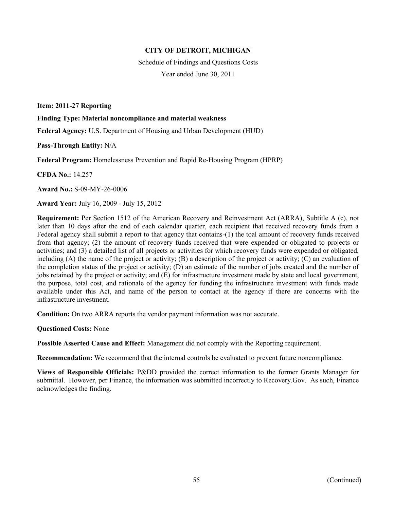Schedule of Findings and Questions Costs

Year ended June 30, 2011

**Item: 2011-27 Reporting** 

**Finding Type: Material noncompliance and material weakness** 

**Federal Agency:** U.S. Department of Housing and Urban Development (HUD)

**Pass-Through Entity:** N/A

**Federal Program:** Homelessness Prevention and Rapid Re-Housing Program (HPRP)

**CFDA No.:** 14.257

**Award No.:** S-09-MY-26-0006

**Award Year:** July 16, 2009 - July 15, 2012

**Requirement:** Per Section 1512 of the American Recovery and Reinvestment Act (ARRA), Subtitle A (c), not later than 10 days after the end of each calendar quarter, each recipient that received recovery funds from a Federal agency shall submit a report to that agency that contains-(1) the toal amount of recovery funds received from that agency; (2) the amount of recovery funds received that were expended or obligated to projects or activities; and (3) a detailed list of all projects or activities for which recovery funds were expended or obligated, including  $(A)$  the name of the project or activity;  $(B)$  a description of the project or activity;  $(C)$  an evaluation of the completion status of the project or activity; (D) an estimate of the number of jobs created and the number of jobs retained by the project or activity; and (E) for infrastructure investment made by state and local government, the purpose, total cost, and rationale of the agency for funding the infrastructure investment with funds made available under this Act, and name of the person to contact at the agency if there are concerns with the infrastructure investment.

**Condition:** On two ARRA reports the vendor payment information was not accurate.

**Questioned Costs:** None

**Possible Asserted Cause and Effect:** Management did not comply with the Reporting requirement.

**Recommendation:** We recommend that the internal controls be evaluated to prevent future noncompliance.

**Views of Responsible Officials:** P&DD provided the correct information to the former Grants Manager for submittal. However, per Finance, the information was submitted incorrectly to Recovery.Gov. As such, Finance acknowledges the finding.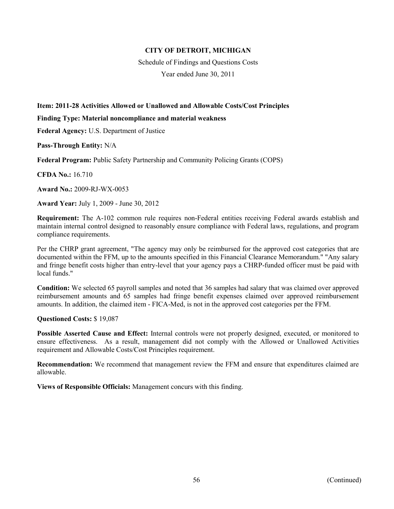Schedule of Findings and Questions Costs

Year ended June 30, 2011

## **Item: 2011-28 Activities Allowed or Unallowed and Allowable Costs/Cost Principles**

#### **Finding Type: Material noncompliance and material weakness**

**Federal Agency:** U.S. Department of Justice

**Pass-Through Entity:** N/A

**Federal Program:** Public Safety Partnership and Community Policing Grants (COPS)

**CFDA No.:** 16.710

**Award No.:** 2009-RJ-WX-0053

**Award Year:** July 1, 2009 - June 30, 2012

**Requirement:** The A-102 common rule requires non-Federal entities receiving Federal awards establish and maintain internal control designed to reasonably ensure compliance with Federal laws, regulations, and program compliance requirements.

Per the CHRP grant agreement, "The agency may only be reimbursed for the approved cost categories that are documented within the FFM, up to the amounts specified in this Financial Clearance Memorandum." "Any salary and fringe benefit costs higher than entry-level that your agency pays a CHRP-funded officer must be paid with local funds."

**Condition:** We selected 65 payroll samples and noted that 36 samples had salary that was claimed over approved reimbursement amounts and 65 samples had fringe benefit expenses claimed over approved reimbursement amounts. In addition, the claimed item - FICA-Med, is not in the approved cost categories per the FFM.

**Questioned Costs:** \$ 19,087

**Possible Asserted Cause and Effect:** Internal controls were not properly designed, executed, or monitored to ensure effectiveness. As a result, management did not comply with the Allowed or Unallowed Activities requirement and Allowable Costs/Cost Principles requirement.

**Recommendation:** We recommend that management review the FFM and ensure that expenditures claimed are allowable.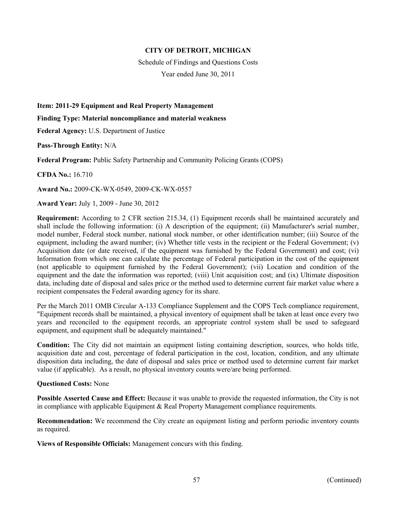Schedule of Findings and Questions Costs

Year ended June 30, 2011

**Item: 2011-29 Equipment and Real Property Management** 

**Finding Type: Material noncompliance and material weakness** 

**Federal Agency:** U.S. Department of Justice

**Pass-Through Entity:** N/A

**Federal Program:** Public Safety Partnership and Community Policing Grants (COPS)

**CFDA No.:** 16.710

**Award No.:** 2009-CK-WX-0549, 2009-CK-WX-0557

**Award Year:** July 1, 2009 - June 30, 2012

**Requirement:** According to 2 CFR section 215.34, (1) Equipment records shall be maintained accurately and shall include the following information: (i) A description of the equipment; (ii) Manufacturer's serial number, model number, Federal stock number, national stock number, or other identification number; (iii) Source of the equipment, including the award number; (iv) Whether title vests in the recipient or the Federal Government; (v) Acquisition date (or date received, if the equipment was furnished by the Federal Government) and cost; (vi) Information from which one can calculate the percentage of Federal participation in the cost of the equipment (not applicable to equipment furnished by the Federal Government); (vii) Location and condition of the equipment and the date the information was reported; (viii) Unit acquisition cost; and (ix) Ultimate disposition data, including date of disposal and sales price or the method used to determine current fair market value where a recipient compensates the Federal awarding agency for its share.

Per the March 2011 OMB Circular A-133 Compliance Supplement and the COPS Tech compliance requirement, "Equipment records shall be maintained, a physical inventory of equipment shall be taken at least once every two years and reconciled to the equipment records, an appropriate control system shall be used to safeguard equipment, and equipment shall be adequately maintained."

**Condition:** The City did not maintain an equipment listing containing description, sources, who holds title, acquisition date and cost, percentage of federal participation in the cost, location, condition, and any ultimate disposition data including, the date of disposal and sales price or method used to determine current fair market value (if applicable). As a result, no physical inventory counts were/are being performed.

#### **Questioned Costs:** None

**Possible Asserted Cause and Effect:** Because it was unable to provide the requested information, the City is not in compliance with applicable Equipment & Real Property Management compliance requirements.

**Recommendation:** We recommend the City create an equipment listing and perform periodic inventory counts as required.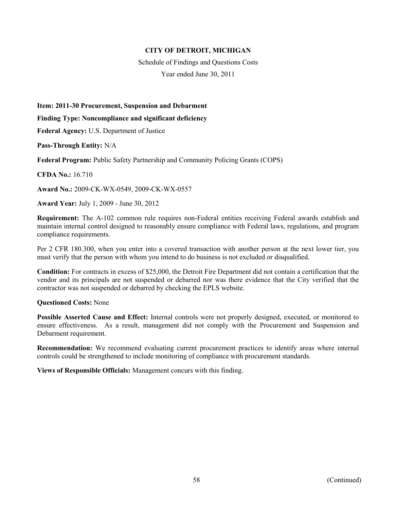Schedule of Findings and Questions Costs

Year ended June 30, 2011

**Item: 2011-30 Procurement, Suspension and Debarment** 

**Finding Type: Noncompliance and significant deficiency** 

**Federal Agency:** U.S. Department of Justice

**Pass-Through Entity:** N/A

**Federal Program:** Public Safety Partnership and Community Policing Grants (COPS)

**CFDA No.:** 16.710

**Award No.:** 2009-CK-WX-0549, 2009-CK-WX-0557

**Award Year:** July 1, 2009 - June 30, 2012

**Requirement:** The A-102 common rule requires non-Federal entities receiving Federal awards establish and maintain internal control designed to reasonably ensure compliance with Federal laws, regulations, and program compliance requirements.

Per 2 CFR 180.300, when you enter into a covered transaction with another person at the next lower tier, you must verify that the person with whom you intend to do business is not excluded or disqualified.

**Condition:** For contracts in excess of \$25,000, the Detroit Fire Department did not contain a certification that the vendor and its principals are not suspended or debarred nor was there evidence that the City verified that the contractor was not suspended or debarred by checking the EPLS website.

### **Questioned Costs:** None

**Possible Asserted Cause and Effect:** Internal controls were not properly designed, executed, or monitored to ensure effectiveness. As a result, management did not comply with the Procurement and Suspension and Debarment requirement.

**Recommendation:** We recommend evaluating current procurement practices to identify areas where internal controls could be strengthened to include monitoring of compliance with procurement standards.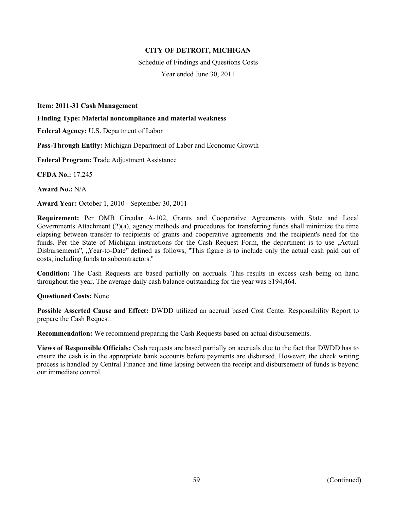Schedule of Findings and Questions Costs Year ended June 30, 2011

**Item: 2011-31 Cash Management** 

**Finding Type: Material noncompliance and material weakness** 

**Federal Agency:** U.S. Department of Labor

**Pass-Through Entity:** Michigan Department of Labor and Economic Growth

**Federal Program:** Trade Adjustment Assistance

**CFDA No.:** 17.245

**Award No.:** N/A

**Award Year:** October 1, 2010 - September 30, 2011

**Requirement:** Per OMB Circular A-102, Grants and Cooperative Agreements with State and Local Governments Attachment (2)(a), agency methods and procedures for transferring funds shall minimize the time elapsing between transfer to recipients of grants and cooperative agreements and the recipient's need for the funds. Per the State of Michigan instructions for the Cash Request Form, the department is to use , Actual Disbursements", "Year-to-Date" defined as follows, "This figure is to include only the actual cash paid out of costs, including funds to subcontractors.''

**Condition:** The Cash Requests are based partially on accruals. This results in excess cash being on hand throughout the year. The average daily cash balance outstanding for the year was \$194,464.

#### **Questioned Costs:** None

**Possible Asserted Cause and Effect:** DWDD utilized an accrual based Cost Center Responsibility Report to prepare the Cash Request.

**Recommendation:** We recommend preparing the Cash Requests based on actual disbursements.

**Views of Responsible Officials:** Cash requests are based partially on accruals due to the fact that DWDD has to ensure the cash is in the appropriate bank accounts before payments are disbursed. However, the check writing process is handled by Central Finance and time lapsing between the receipt and disbursement of funds is beyond our immediate control.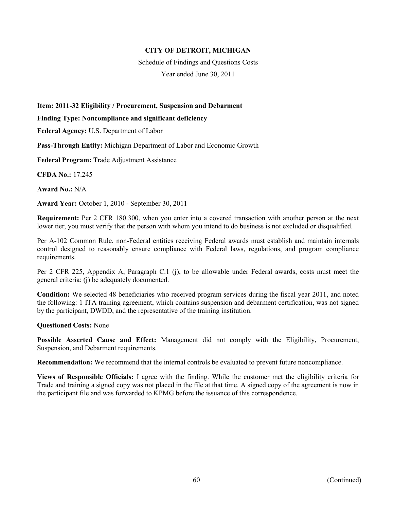Schedule of Findings and Questions Costs

Year ended June 30, 2011

**Item: 2011-32 Eligibility / Procurement, Suspension and Debarment** 

**Finding Type: Noncompliance and significant deficiency** 

**Federal Agency:** U.S. Department of Labor

**Pass-Through Entity:** Michigan Department of Labor and Economic Growth

**Federal Program:** Trade Adjustment Assistance

**CFDA No.:** 17.245

**Award No.:** N/A

**Award Year:** October 1, 2010 - September 30, 2011

**Requirement:** Per 2 CFR 180.300, when you enter into a covered transaction with another person at the next lower tier, you must verify that the person with whom you intend to do business is not excluded or disqualified.

Per A-102 Common Rule, non-Federal entities receiving Federal awards must establish and maintain internals control designed to reasonably ensure compliance with Federal laws, regulations, and program compliance requirements.

Per 2 CFR 225, Appendix A, Paragraph C.1 (j), to be allowable under Federal awards, costs must meet the general criteria: (j) be adequately documented.

**Condition:** We selected 48 beneficiaries who received program services during the fiscal year 2011, and noted the following: 1 ITA training agreement, which contains suspension and debarment certification, was not signed by the participant, DWDD, and the representative of the training institution.

### **Questioned Costs:** None

**Possible Asserted Cause and Effect:** Management did not comply with the Eligibility, Procurement, Suspension, and Debarment requirements.

**Recommendation:** We recommend that the internal controls be evaluated to prevent future noncompliance.

**Views of Responsible Officials:** I agree with the finding. While the customer met the eligibility criteria for Trade and training a signed copy was not placed in the file at that time. A signed copy of the agreement is now in the participant file and was forwarded to KPMG before the issuance of this correspondence.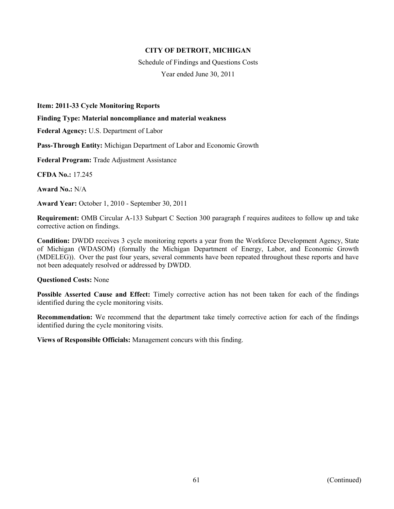Schedule of Findings and Questions Costs Year ended June 30, 2011

**Item: 2011-33 Cycle Monitoring Reports** 

#### **Finding Type: Material noncompliance and material weakness**

**Federal Agency:** U.S. Department of Labor

**Pass-Through Entity:** Michigan Department of Labor and Economic Growth

**Federal Program:** Trade Adjustment Assistance

**CFDA No.:** 17.245

**Award No.:** N/A

**Award Year:** October 1, 2010 - September 30, 2011

**Requirement:** OMB Circular A-133 Subpart C Section 300 paragraph f requires auditees to follow up and take corrective action on findings.

**Condition:** DWDD receives 3 cycle monitoring reports a year from the Workforce Development Agency, State of Michigan (WDASOM) (formally the Michigan Department of Energy, Labor, and Economic Growth (MDELEG)). Over the past four years, several comments have been repeated throughout these reports and have not been adequately resolved or addressed by DWDD.

#### **Questioned Costs:** None

**Possible Asserted Cause and Effect:** Timely corrective action has not been taken for each of the findings identified during the cycle monitoring visits.

**Recommendation:** We recommend that the department take timely corrective action for each of the findings identified during the cycle monitoring visits.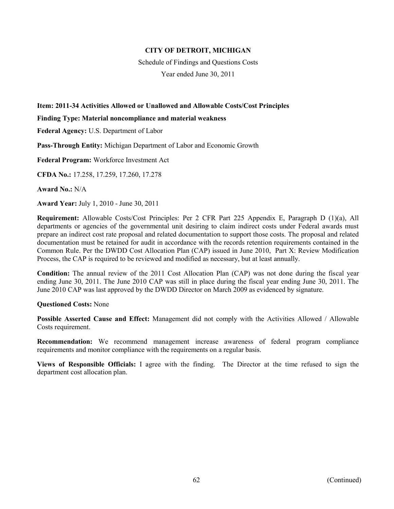Schedule of Findings and Questions Costs

Year ended June 30, 2011

## **Item: 2011-34 Activities Allowed or Unallowed and Allowable Costs/Cost Principles**

#### **Finding Type: Material noncompliance and material weakness**

**Federal Agency:** U.S. Department of Labor

**Pass-Through Entity:** Michigan Department of Labor and Economic Growth

**Federal Program:** Workforce Investment Act

**CFDA No.:** 17.258, 17.259, 17.260, 17.278

**Award No.:** N/A

**Award Year:** July 1, 2010 - June 30, 2011

**Requirement:** Allowable Costs/Cost Principles: Per 2 CFR Part 225 Appendix E, Paragraph D (1)(a), All departments or agencies of the governmental unit desiring to claim indirect costs under Federal awards must prepare an indirect cost rate proposal and related documentation to support those costs. The proposal and related documentation must be retained for audit in accordance with the records retention requirements contained in the Common Rule. Per the DWDD Cost Allocation Plan (CAP) issued in June 2010, Part X: Review Modification Process, the CAP is required to be reviewed and modified as necessary, but at least annually.

**Condition:** The annual review of the 2011 Cost Allocation Plan (CAP) was not done during the fiscal year ending June 30, 2011. The June 2010 CAP was still in place during the fiscal year ending June 30, 2011. The June 2010 CAP was last approved by the DWDD Director on March 2009 as evidenced by signature.

### **Questioned Costs:** None

**Possible Asserted Cause and Effect:** Management did not comply with the Activities Allowed / Allowable Costs requirement.

**Recommendation:** We recommend management increase awareness of federal program compliance requirements and monitor compliance with the requirements on a regular basis.

**Views of Responsible Officials:** I agree with the finding. The Director at the time refused to sign the department cost allocation plan.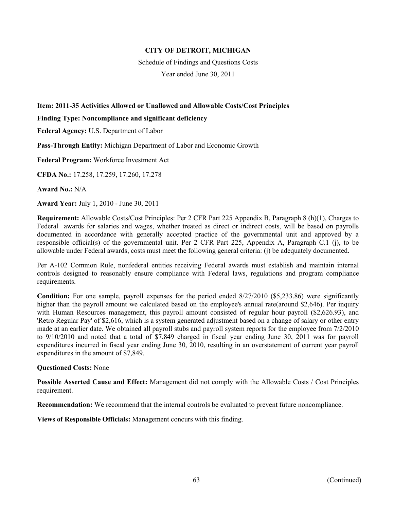Schedule of Findings and Questions Costs

Year ended June 30, 2011

## **Item: 2011-35 Activities Allowed or Unallowed and Allowable Costs/Cost Principles**

**Finding Type: Noncompliance and significant deficiency** 

**Federal Agency:** U.S. Department of Labor

**Pass-Through Entity:** Michigan Department of Labor and Economic Growth

**Federal Program:** Workforce Investment Act

**CFDA No.:** 17.258, 17.259, 17.260, 17.278

**Award No.:** N/A

**Award Year:** July 1, 2010 - June 30, 2011

**Requirement:** Allowable Costs/Cost Principles: Per 2 CFR Part 225 Appendix B, Paragraph 8 (h)(1), Charges to Federal awards for salaries and wages, whether treated as direct or indirect costs, will be based on payrolls documented in accordance with generally accepted practice of the governmental unit and approved by a responsible official(s) of the governmental unit. Per 2 CFR Part 225, Appendix A, Paragraph C.1 (j), to be allowable under Federal awards, costs must meet the following general criteria: (j) be adequately documented.

Per A-102 Common Rule, nonfederal entities receiving Federal awards must establish and maintain internal controls designed to reasonably ensure compliance with Federal laws, regulations and program compliance requirements.

**Condition:** For one sample, payroll expenses for the period ended 8/27/2010 (\$5,233.86) were significantly higher than the payroll amount we calculated based on the employee's annual rate(around \$2,646). Per inquiry with Human Resources management, this payroll amount consisted of regular hour payroll (\$2,626.93), and 'Retro Regular Pay' of \$2,616, which is a system generated adjustment based on a change of salary or other entry made at an earlier date. We obtained all payroll stubs and payroll system reports for the employee from 7/2/2010 to 9/10/2010 and noted that a total of \$7,849 charged in fiscal year ending June 30, 2011 was for payroll expenditures incurred in fiscal year ending June 30, 2010, resulting in an overstatement of current year payroll expenditures in the amount of \$7,849.

### **Questioned Costs:** None

**Possible Asserted Cause and Effect:** Management did not comply with the Allowable Costs / Cost Principles requirement.

**Recommendation:** We recommend that the internal controls be evaluated to prevent future noncompliance.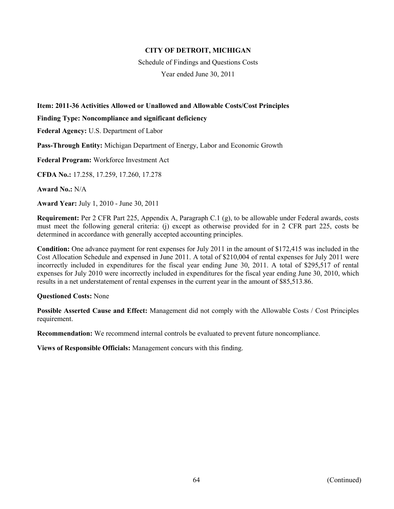Schedule of Findings and Questions Costs

Year ended June 30, 2011

## **Item: 2011-36 Activities Allowed or Unallowed and Allowable Costs/Cost Principles**

**Finding Type: Noncompliance and significant deficiency** 

**Federal Agency:** U.S. Department of Labor

**Pass-Through Entity:** Michigan Department of Energy, Labor and Economic Growth

**Federal Program:** Workforce Investment Act

**CFDA No.:** 17.258, 17.259, 17.260, 17.278

**Award No.:** N/A

**Award Year:** July 1, 2010 - June 30, 2011

**Requirement:** Per 2 CFR Part 225, Appendix A, Paragraph C.1 (g), to be allowable under Federal awards, costs must meet the following general criteria: (j) except as otherwise provided for in 2 CFR part 225, costs be determined in accordance with generally accepted accounting principles.

**Condition:** One advance payment for rent expenses for July 2011 in the amount of \$172,415 was included in the Cost Allocation Schedule and expensed in June 2011. A total of \$210,004 of rental expenses for July 2011 were incorrectly included in expenditures for the fiscal year ending June 30, 2011. A total of \$295,517 of rental expenses for July 2010 were incorrectly included in expenditures for the fiscal year ending June 30, 2010, which results in a net understatement of rental expenses in the current year in the amount of \$85,513.86.

### **Questioned Costs:** None

**Possible Asserted Cause and Effect:** Management did not comply with the Allowable Costs / Cost Principles requirement.

**Recommendation:** We recommend internal controls be evaluated to prevent future noncompliance.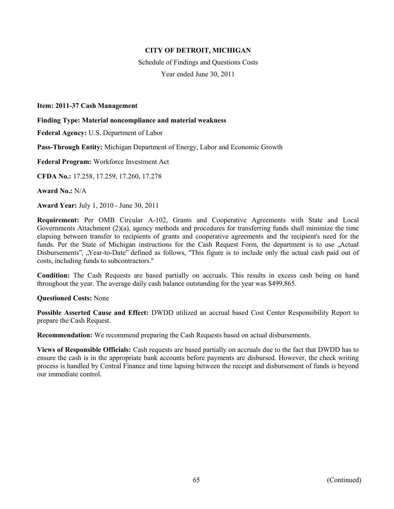Schedule of Findings and Questions Costs Year ended June 30, 2011

#### **Item: 2011-37 Cash Management**

#### **Finding Type: Material noncompliance and material weakness**

**Federal Agency:** U.S. Department of Labor

**Pass-Through Entity:** Michigan Department of Energy, Labor and Economic Growth

**Federal Program:** Workforce Investment Act

**CFDA No.:** 17.258, 17.259, 17.260, 17.278

**Award No.:** N/A

**Award Year:** July 1, 2010 - June 30, 2011

**Requirement:** Per OMB Circular A-102, Grants and Cooperative Agreements with State and Local Governments Attachment (2)(a), agency methods and procedures for transferring funds shall minimize the time elapsing between transfer to recipients of grants and cooperative agreements and the recipient's need for the funds. Per the State of Michigan instructions for the Cash Request Form, the department is to use , Actual Disbursements", "Year-to-Date" defined as follows, "This figure is to include only the actual cash paid out of costs, including funds to subcontractors.''

**Condition:** The Cash Requests are based partially on accruals. This results in excess cash being on hand throughout the year. The average daily cash balance outstanding for the year was \$499,865.

**Questioned Costs:** None

**Possible Asserted Cause and Effect:** DWDD utilized an accrual based Cost Center Responsibility Report to prepare the Cash Request.

**Recommendation:** We recommend preparing the Cash Requests based on actual disbursements.

**Views of Responsible Officials:** Cash requests are based partially on accruals due to the fact that DWDD has to ensure the cash is in the appropriate bank accounts before payments are disbursed. However, the check writing process is handled by Central Finance and time lapsing between the receipt and disbursement of funds is beyond our immediate control.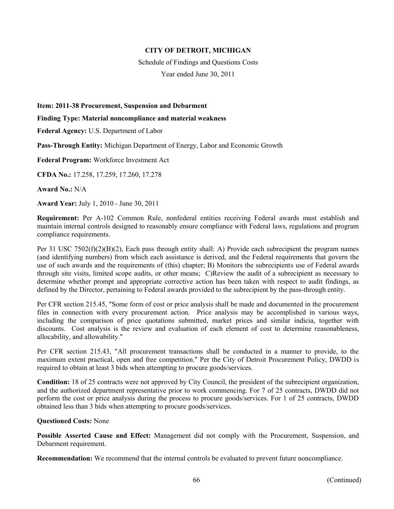Schedule of Findings and Questions Costs

Year ended June 30, 2011

**Item: 2011-38 Procurement, Suspension and Debarment** 

**Finding Type: Material noncompliance and material weakness** 

**Federal Agency:** U.S. Department of Labor

**Pass-Through Entity:** Michigan Department of Energy, Labor and Economic Growth

**Federal Program:** Workforce Investment Act

**CFDA No.:** 17.258, 17.259, 17.260, 17.278

**Award No.:** N/A

**Award Year:** July 1, 2010 - June 30, 2011

**Requirement:** Per A-102 Common Rule, nonfederal entities receiving Federal awards must establish and maintain internal controls designed to reasonably ensure compliance with Federal laws, regulations and program compliance requirements.

Per 31 USC 7502(f)(2)(B)(2), Each pass through entity shall: A) Provide each subrecipient the program names (and identifying numbers) from which each assistance is derived, and the Federal requirements that govern the use of such awards and the requirements of (this) chapter; B) Monitors the subrecipients use of Federal awards through site visits, limited scope audits, or other means; C)Review the audit of a subrecipient as necessary to determine whether prompt and appropriate corrective action has been taken with respect to audit findings, as defined by the Director, pertaining to Federal awards provided to the subrecipient by the pass-through entity.

Per CFR section 215.45, "Some form of cost or price analysis shall be made and documented in the procurement files in connection with every procurement action. Price analysis may be accomplished in various ways, including the comparison of price quotations submitted, market prices and similar indicia, together with discounts. Cost analysis is the review and evaluation of each element of cost to determine reasonableness, allocability, and allowability."

Per CFR section 215.43, "All procurement transactions shall be conducted in a manner to provide, to the maximum extent practical, open and free competition." Per the City of Detroit Procurement Policy, DWDD is required to obtain at least 3 bids when attempting to procure goods/services.

**Condition:** 18 of 25 contracts were not approved by City Council, the president of the subrecipient organization, and the authorized department representative prior to work commencing. For 7 of 25 contracts, DWDD did not perform the cost or price analysis during the process to procure goods/services. For 1 of 25 contracts, DWDD obtained less than 3 bids when attempting to procure goods/services.

### **Questioned Costs:** None

**Possible Asserted Cause and Effect:** Management did not comply with the Procurement, Suspension, and Debarment requirement.

**Recommendation:** We recommend that the internal controls be evaluated to prevent future noncompliance.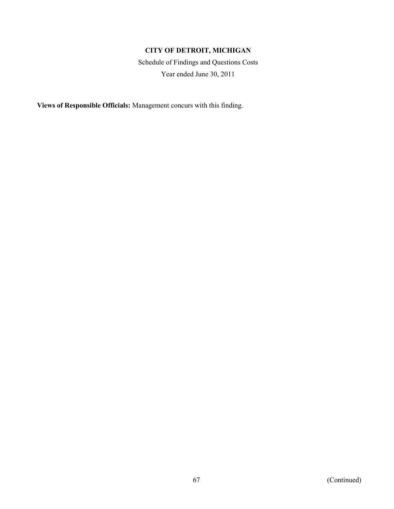Schedule of Findings and Questions Costs Year ended June 30, 2011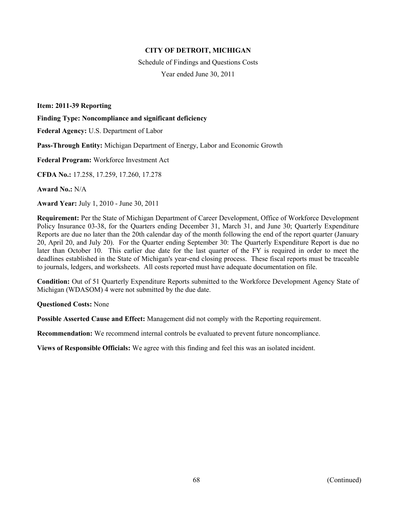Schedule of Findings and Questions Costs Year ended June 30, 2011

**Item: 2011-39 Reporting** 

**Finding Type: Noncompliance and significant deficiency** 

**Federal Agency:** U.S. Department of Labor

**Pass-Through Entity:** Michigan Department of Energy, Labor and Economic Growth

**Federal Program:** Workforce Investment Act

**CFDA No.:** 17.258, 17.259, 17.260, 17.278

**Award No.:** N/A

**Award Year:** July 1, 2010 - June 30, 2011

**Requirement:** Per the State of Michigan Department of Career Development, Office of Workforce Development Policy Insurance 03-38, for the Quarters ending December 31, March 31, and June 30; Quarterly Expenditure Reports are due no later than the 20th calendar day of the month following the end of the report quarter (January 20, April 20, and July 20). For the Quarter ending September 30: The Quarterly Expenditure Report is due no later than October 10. This earlier due date for the last quarter of the FY is required in order to meet the deadlines established in the State of Michigan's year-end closing process. These fiscal reports must be traceable to journals, ledgers, and worksheets. All costs reported must have adequate documentation on file.

**Condition:** Out of 51 Quarterly Expenditure Reports submitted to the Workforce Development Agency State of Michigan (WDASOM) 4 were not submitted by the due date.

**Questioned Costs:** None

**Possible Asserted Cause and Effect:** Management did not comply with the Reporting requirement.

**Recommendation:** We recommend internal controls be evaluated to prevent future noncompliance.

**Views of Responsible Officials:** We agree with this finding and feel this was an isolated incident.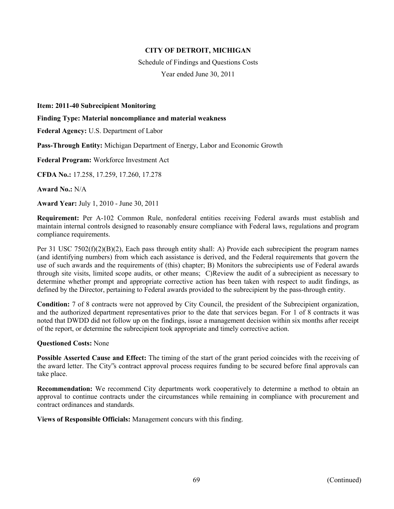Schedule of Findings and Questions Costs Year ended June 30, 2011

**Item: 2011-40 Subrecipient Monitoring** 

**Finding Type: Material noncompliance and material weakness** 

**Federal Agency:** U.S. Department of Labor

**Pass-Through Entity:** Michigan Department of Energy, Labor and Economic Growth

**Federal Program:** Workforce Investment Act

**CFDA No.:** 17.258, 17.259, 17.260, 17.278

**Award No.:** N/A

**Award Year:** July 1, 2010 - June 30, 2011

**Requirement:** Per A-102 Common Rule, nonfederal entities receiving Federal awards must establish and maintain internal controls designed to reasonably ensure compliance with Federal laws, regulations and program compliance requirements.

Per 31 USC 7502(f)(2)(B)(2), Each pass through entity shall: A) Provide each subrecipient the program names (and identifying numbers) from which each assistance is derived, and the Federal requirements that govern the use of such awards and the requirements of (this) chapter; B) Monitors the subrecipients use of Federal awards through site visits, limited scope audits, or other means; C)Review the audit of a subrecipient as necessary to determine whether prompt and appropriate corrective action has been taken with respect to audit findings, as defined by the Director, pertaining to Federal awards provided to the subrecipient by the pass-through entity.

**Condition:** 7 of 8 contracts were not approved by City Council, the president of the Subrecipient organization, and the authorized department representatives prior to the date that services began. For 1 of 8 contracts it was noted that DWDD did not follow up on the findings, issue a management decision within six months after receipt of the report, or determine the subrecipient took appropriate and timely corrective action.

#### **Questioned Costs:** None

**Possible Asserted Cause and Effect:** The timing of the start of the grant period coincides with the receiving of the award letter. The City"s contract approval process requires funding to be secured before final approvals can take place.

**Recommendation:** We recommend City departments work cooperatively to determine a method to obtain an approval to continue contracts under the circumstances while remaining in compliance with procurement and contract ordinances and standards.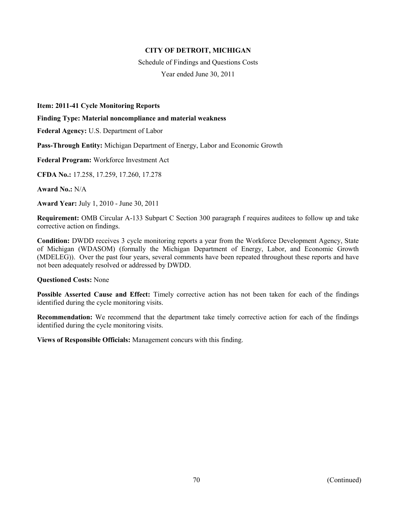Schedule of Findings and Questions Costs Year ended June 30, 2011

#### **Item: 2011-41 Cycle Monitoring Reports**

#### **Finding Type: Material noncompliance and material weakness**

**Federal Agency:** U.S. Department of Labor

**Pass-Through Entity:** Michigan Department of Energy, Labor and Economic Growth

**Federal Program:** Workforce Investment Act

**CFDA No.:** 17.258, 17.259, 17.260, 17.278

**Award No.:** N/A

**Award Year:** July 1, 2010 - June 30, 2011

**Requirement:** OMB Circular A-133 Subpart C Section 300 paragraph f requires auditees to follow up and take corrective action on findings.

**Condition:** DWDD receives 3 cycle monitoring reports a year from the Workforce Development Agency, State of Michigan (WDASOM) (formally the Michigan Department of Energy, Labor, and Economic Growth (MDELEG)). Over the past four years, several comments have been repeated throughout these reports and have not been adequately resolved or addressed by DWDD.

#### **Questioned Costs:** None

**Possible Asserted Cause and Effect:** Timely corrective action has not been taken for each of the findings identified during the cycle monitoring visits.

**Recommendation:** We recommend that the department take timely corrective action for each of the findings identified during the cycle monitoring visits.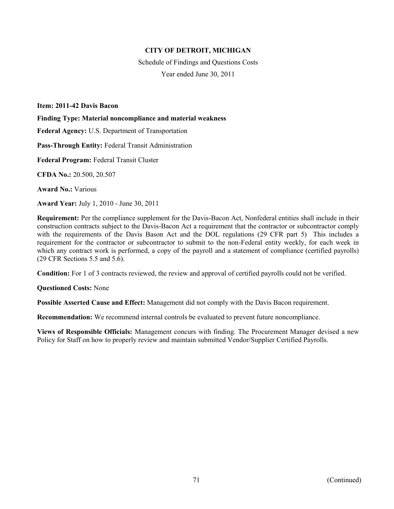Schedule of Findings and Questions Costs Year ended June 30, 2011

**Item: 2011-42 Davis Bacon** 

**Finding Type: Material noncompliance and material weakness** 

**Federal Agency:** U.S. Department of Transportation

**Pass-Through Entity:** Federal Transit Administration

**Federal Program:** Federal Transit Cluster

**CFDA No.:** 20.500, 20.507

**Award No.:** Various

**Award Year:** July 1, 2010 - June 30, 2011

**Requirement:** Per the compliance supplement for the Davis-Bacon Act, Nonfederal entities shall include in their construction contracts subject to the Davis-Bacon Act a requirement that the contractor or subcontractor comply with the requirements of the Davis Bason Act and the DOL regulations (29 CFR part 5) This includes a requirement for the contractor or subcontractor to submit to the non-Federal entity weekly, for each week in which any contract work is performed, a copy of the payroll and a statement of compliance (certified payrolls) (29 CFR Sections 5.5 and 5.6).

**Condition:** For 1 of 3 contracts reviewed, the review and approval of certified payrolls could not be verified.

**Questioned Costs:** None

**Possible Asserted Cause and Effect:** Management did not comply with the Davis Bacon requirement.

**Recommendation:** We recommend internal controls be evaluated to prevent future noncompliance.

**Views of Responsible Officials:** Management concurs with finding. The Procurement Manager devised a new Policy for Staff on how to properly review and maintain submitted Vendor/Supplier Certified Payrolls.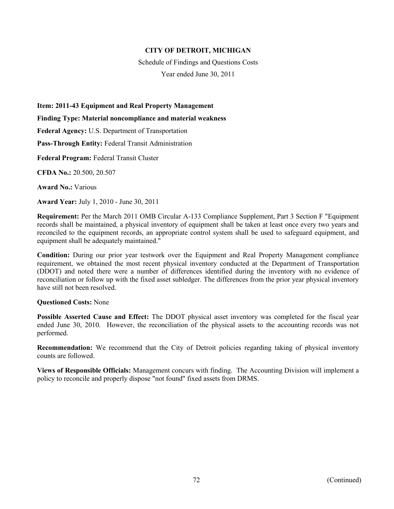Schedule of Findings and Questions Costs Year ended June 30, 2011

**Item: 2011-43 Equipment and Real Property Management** 

**Finding Type: Material noncompliance and material weakness** 

**Federal Agency:** U.S. Department of Transportation

**Pass-Through Entity:** Federal Transit Administration

**Federal Program:** Federal Transit Cluster

**CFDA No.:** 20.500, 20.507

**Award No.:** Various

**Award Year:** July 1, 2010 - June 30, 2011

**Requirement:** Per the March 2011 OMB Circular A-133 Compliance Supplement, Part 3 Section F "Equipment records shall be maintained, a physical inventory of equipment shall be taken at least once every two years and reconciled to the equipment records, an appropriate control system shall be used to safeguard equipment, and equipment shall be adequately maintained."

**Condition:** During our prior year testwork over the Equipment and Real Property Management compliance requirement, we obtained the most recent physical inventory conducted at the Department of Transportation (DDOT) and noted there were a number of differences identified during the inventory with no evidence of reconciliation or follow up with the fixed asset subledger. The differences from the prior year physical inventory have still not been resolved.

#### **Questioned Costs:** None

**Possible Asserted Cause and Effect:** The DDOT physical asset inventory was completed for the fiscal year ended June 30, 2010. However, the reconciliation of the physical assets to the accounting records was not performed.

**Recommendation:** We recommend that the City of Detroit policies regarding taking of physical inventory counts are followed.

**Views of Responsible Officials:** Management concurs with finding. The Accounting Division will implement a policy to reconcile and properly dispose "not found" fixed assets from DRMS.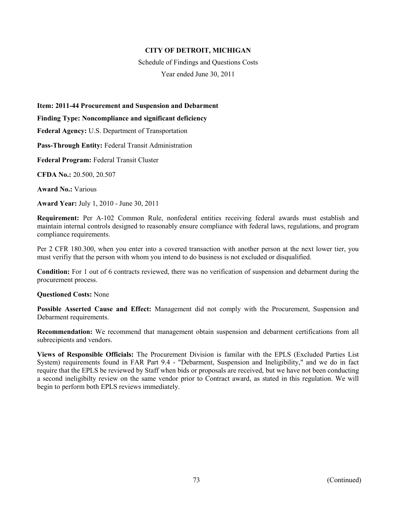Schedule of Findings and Questions Costs Year ended June 30, 2011

**Item: 2011-44 Procurement and Suspension and Debarment** 

**Finding Type: Noncompliance and significant deficiency** 

**Federal Agency:** U.S. Department of Transportation

**Pass-Through Entity:** Federal Transit Administration

**Federal Program:** Federal Transit Cluster

**CFDA No.:** 20.500, 20.507

**Award No.:** Various

**Award Year:** July 1, 2010 - June 30, 2011

**Requirement:** Per A-102 Common Rule, nonfederal entities receiving federal awards must establish and maintain internal controls designed to reasonably ensure compliance with federal laws, regulations, and program compliance requirements.

Per 2 CFR 180.300, when you enter into a covered transaction with another person at the next lower tier, you must verifiy that the person with whom you intend to do business is not excluded or disqualified.

**Condition:** For 1 out of 6 contracts reviewed, there was no verification of suspension and debarment during the procurement process.

**Questioned Costs:** None

**Possible Asserted Cause and Effect:** Management did not comply with the Procurement, Suspension and Debarment requirements.

**Recommendation:** We recommend that management obtain suspension and debarment certifications from all subrecipients and vendors.

**Views of Responsible Officials:** The Procurement Division is familar with the EPLS (Excluded Parties List System) requirements found in FAR Part 9.4 - "Debarment, Suspension and Ineligibility," and we do in fact require that the EPLS be reviewed by Staff when bids or proposals are received, but we have not been conducting a second ineligibilty review on the same vendor prior to Contract award, as stated in this regulation. We will begin to perform both EPLS reviews immediately.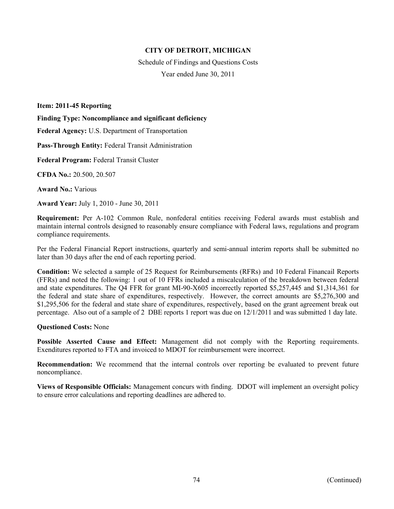Schedule of Findings and Questions Costs Year ended June 30, 2011

**Item: 2011-45 Reporting** 

**Finding Type: Noncompliance and significant deficiency** 

**Federal Agency:** U.S. Department of Transportation

**Pass-Through Entity:** Federal Transit Administration

**Federal Program:** Federal Transit Cluster

**CFDA No.:** 20.500, 20.507

**Award No.:** Various

**Award Year:** July 1, 2010 - June 30, 2011

**Requirement:** Per A-102 Common Rule, nonfederal entities receiving Federal awards must establish and maintain internal controls designed to reasonably ensure compliance with Federal laws, regulations and program compliance requirements.

Per the Federal Financial Report instructions, quarterly and semi-annual interim reports shall be submitted no later than 30 days after the end of each reporting period.

**Condition:** We selected a sample of 25 Request for Reimbursements (RFRs) and 10 Federal Financail Reports (FFRs) and noted the following: 1 out of 10 FFRs included a miscalculation of the breakdown between federal and state expenditures. The Q4 FFR for grant MI-90-X605 incorrectly reported \$5,257,445 and \$1,314,361 for the federal and state share of expenditures, respectively. However, the correct amounts are \$5,276,300 and \$1,295,506 for the federal and state share of expenditures, respectively, based on the grant agreement break out percentage. Also out of a sample of 2 DBE reports 1 report was due on 12/1/2011 and was submitted 1 day late.

#### **Questioned Costs:** None

**Possible Asserted Cause and Effect:** Management did not comply with the Reporting requirements. Exenditures reported to FTA and invoiced to MDOT for reimbursement were incorrect.

**Recommendation:** We recommend that the internal controls over reporting be evaluated to prevent future noncompliance.

**Views of Responsible Officials:** Management concurs with finding. DDOT will implement an oversight policy to ensure error calculations and reporting deadlines are adhered to.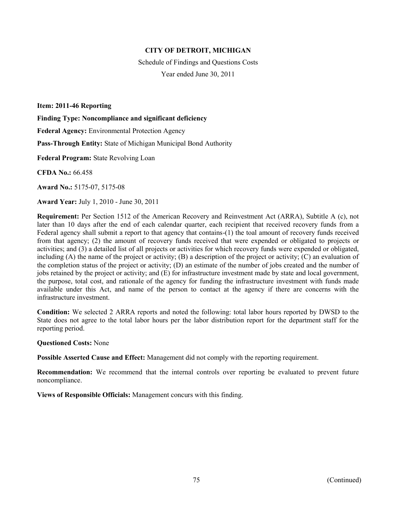Schedule of Findings and Questions Costs Year ended June 30, 2011

**Item: 2011-46 Reporting** 

**Finding Type: Noncompliance and significant deficiency** 

**Federal Agency:** Environmental Protection Agency

**Pass-Through Entity:** State of Michigan Municipal Bond Authority

**Federal Program:** State Revolving Loan

**CFDA No.:** 66.458

**Award No.:** 5175-07, 5175-08

**Award Year:** July 1, 2010 - June 30, 2011

**Requirement:** Per Section 1512 of the American Recovery and Reinvestment Act (ARRA), Subtitle A (c), not later than 10 days after the end of each calendar quarter, each recipient that received recovery funds from a Federal agency shall submit a report to that agency that contains-(1) the toal amount of recovery funds received from that agency; (2) the amount of recovery funds received that were expended or obligated to projects or activities; and (3) a detailed list of all projects or activities for which recovery funds were expended or obligated, including  $(A)$  the name of the project or activity;  $(B)$  a description of the project or activity;  $(C)$  an evaluation of the completion status of the project or activity; (D) an estimate of the number of jobs created and the number of jobs retained by the project or activity; and (E) for infrastructure investment made by state and local government, the purpose, total cost, and rationale of the agency for funding the infrastructure investment with funds made available under this Act, and name of the person to contact at the agency if there are concerns with the infrastructure investment.

**Condition:** We selected 2 ARRA reports and noted the following: total labor hours reported by DWSD to the State does not agree to the total labor hours per the labor distribution report for the department staff for the reporting period.

**Questioned Costs:** None

**Possible Asserted Cause and Effect:** Management did not comply with the reporting requirement.

**Recommendation:** We recommend that the internal controls over reporting be evaluated to prevent future noncompliance.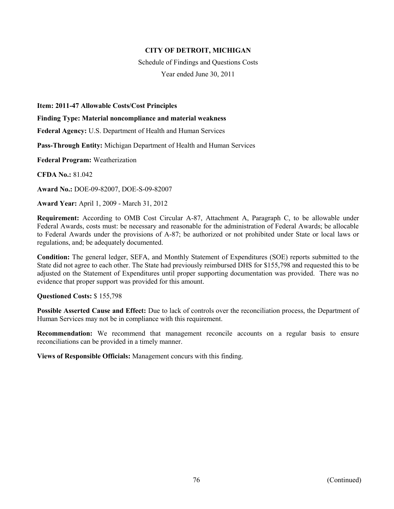Schedule of Findings and Questions Costs Year ended June 30, 2011

**Item: 2011-47 Allowable Costs/Cost Principles** 

**Finding Type: Material noncompliance and material weakness** 

**Federal Agency:** U.S. Department of Health and Human Services

**Pass-Through Entity:** Michigan Department of Health and Human Services

**Federal Program:** Weatherization

**CFDA No.:** 81.042

**Award No.:** DOE-09-82007, DOE-S-09-82007

**Award Year:** April 1, 2009 - March 31, 2012

**Requirement:** According to OMB Cost Circular A-87, Attachment A, Paragraph C, to be allowable under Federal Awards, costs must: be necessary and reasonable for the administration of Federal Awards; be allocable to Federal Awards under the provisions of A-87; be authorized or not prohibited under State or local laws or regulations, and; be adequately documented.

**Condition:** The general ledger, SEFA, and Monthly Statement of Expenditures (SOE) reports submitted to the State did not agree to each other. The State had previously reimbursed DHS for \$155,798 and requested this to be adjusted on the Statement of Expenditures until proper supporting documentation was provided. There was no evidence that proper support was provided for this amount.

**Questioned Costs:** \$ 155,798

**Possible Asserted Cause and Effect:** Due to lack of controls over the reconciliation process, the Department of Human Services may not be in compliance with this requirement.

**Recommendation:** We recommend that management reconcile accounts on a regular basis to ensure reconciliations can be provided in a timely manner.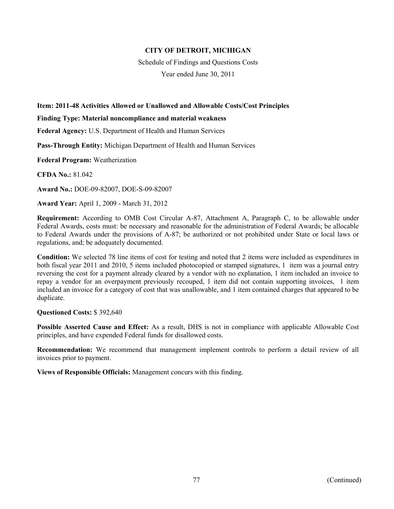Schedule of Findings and Questions Costs

Year ended June 30, 2011

## **Item: 2011-48 Activities Allowed or Unallowed and Allowable Costs/Cost Principles**

#### **Finding Type: Material noncompliance and material weakness**

**Federal Agency:** U.S. Department of Health and Human Services

**Pass-Through Entity:** Michigan Department of Health and Human Services

**Federal Program:** Weatherization

**CFDA No.:** 81.042

**Award No.:** DOE-09-82007, DOE-S-09-82007

**Award Year:** April 1, 2009 - March 31, 2012

**Requirement:** According to OMB Cost Circular A-87, Attachment A, Paragraph C, to be allowable under Federal Awards, costs must: be necessary and reasonable for the administration of Federal Awards; be allocable to Federal Awards under the provisions of A-87; be authorized or not prohibited under State or local laws or regulations, and; be adequately documented.

**Condition:** We selected 78 line items of cost for testing and noted that 2 items were included as expenditures in both fiscal year 2011 and 2010, 5 items included photocopied or stamped signatures, 1 item was a journal entry reversing the cost for a payment already cleared by a vendor with no explanation, 1 item included an invoice to repay a vendor for an overpayment previously recouped, 1 item did not contain supporting invoices, 1 item included an invoice for a category of cost that was unallowable, and 1 item contained charges that appeared to be duplicate.

#### **Questioned Costs:** \$ 392,640

**Possible Asserted Cause and Effect:** As a result, DHS is not in compliance with applicable Allowable Cost principles, and have expended Federal funds for disallowed costs.

**Recommendation:** We recommend that management implement controls to perform a detail review of all invoices prior to payment.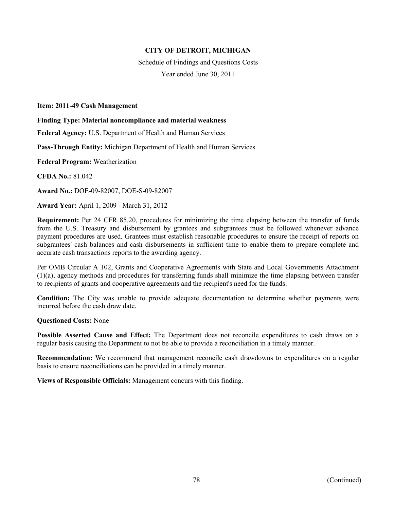Schedule of Findings and Questions Costs Year ended June 30, 2011

#### **Item: 2011-49 Cash Management**

**Finding Type: Material noncompliance and material weakness** 

**Federal Agency:** U.S. Department of Health and Human Services

**Pass-Through Entity:** Michigan Department of Health and Human Services

**Federal Program:** Weatherization

**CFDA No.:** 81.042

**Award No.:** DOE-09-82007, DOE-S-09-82007

**Award Year:** April 1, 2009 - March 31, 2012

**Requirement:** Per 24 CFR 85.20, procedures for minimizing the time elapsing between the transfer of funds from the U.S. Treasury and disbursement by grantees and subgrantees must be followed whenever advance payment procedures are used. Grantees must establish reasonable procedures to ensure the receipt of reports on subgrantees' cash balances and cash disbursements in sufficient time to enable them to prepare complete and accurate cash transactions reports to the awarding agency.

Per OMB Circular A 102, Grants and Cooperative Agreements with State and Local Governments Attachment (1)(a), agency methods and procedures for transferring funds shall minimize the time elapsing between transfer to recipients of grants and cooperative agreements and the recipient's need for the funds.

**Condition:** The City was unable to provide adequate documentation to determine whether payments were incurred before the cash draw date.

**Questioned Costs:** None

**Possible Asserted Cause and Effect:** The Department does not reconcile expenditures to cash draws on a regular basis causing the Department to not be able to provide a reconciliation in a timely manner.

**Recommendation:** We recommend that management reconcile cash drawdowns to expenditures on a regular basis to ensure reconciliations can be provided in a timely manner.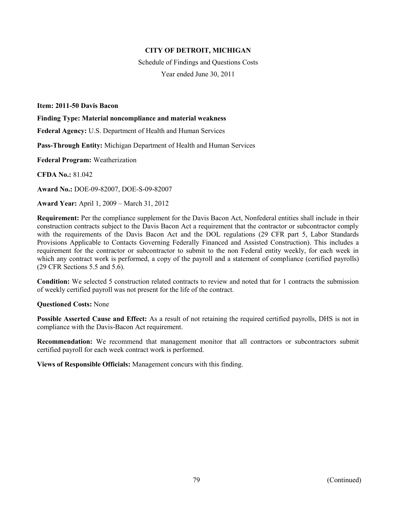Schedule of Findings and Questions Costs Year ended June 30, 2011

**Item: 2011-50 Davis Bacon** 

**Finding Type: Material noncompliance and material weakness** 

**Federal Agency:** U.S. Department of Health and Human Services

**Pass-Through Entity:** Michigan Department of Health and Human Services

**Federal Program:** Weatherization

**CFDA No.:** 81.042

**Award No.:** DOE-09-82007, DOE-S-09-82007

**Award Year:** April 1, 2009 – March 31, 2012

**Requirement:** Per the compliance supplement for the Davis Bacon Act, Nonfederal entities shall include in their construction contracts subject to the Davis Bacon Act a requirement that the contractor or subcontractor comply with the requirements of the Davis Bacon Act and the DOL regulations (29 CFR part 5, Labor Standards Provisions Applicable to Contacts Governing Federally Financed and Assisted Construction). This includes a requirement for the contractor or subcontractor to submit to the non Federal entity weekly, for each week in which any contract work is performed, a copy of the payroll and a statement of compliance (certified payrolls) (29 CFR Sections 5.5 and 5.6).

**Condition:** We selected 5 construction related contracts to review and noted that for 1 contracts the submission of weekly certified payroll was not present for the life of the contract.

**Questioned Costs:** None

**Possible Asserted Cause and Effect:** As a result of not retaining the required certified payrolls, DHS is not in compliance with the Davis-Bacon Act requirement.

**Recommendation:** We recommend that management monitor that all contractors or subcontractors submit certified payroll for each week contract work is performed.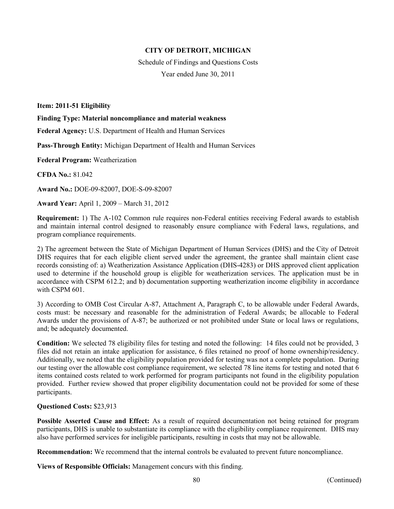Schedule of Findings and Questions Costs Year ended June 30, 2011

**Item: 2011-51 Eligibility** 

**Finding Type: Material noncompliance and material weakness** 

**Federal Agency:** U.S. Department of Health and Human Services

**Pass-Through Entity:** Michigan Department of Health and Human Services

**Federal Program:** Weatherization

**CFDA No.:** 81.042

**Award No.:** DOE-09-82007, DOE-S-09-82007

**Award Year:** April 1, 2009 – March 31, 2012

**Requirement:** 1) The A-102 Common rule requires non-Federal entities receiving Federal awards to establish and maintain internal control designed to reasonably ensure compliance with Federal laws, regulations, and program compliance requirements.

2) The agreement between the State of Michigan Department of Human Services (DHS) and the City of Detroit DHS requires that for each eligible client served under the agreement, the grantee shall maintain client case records consisting of: a) Weatherization Assistance Application (DHS-4283) or DHS approved client application used to determine if the household group is eligible for weatherization services. The application must be in accordance with CSPM 612.2; and b) documentation supporting weatherization income eligibility in accordance with CSPM 601.

3) According to OMB Cost Circular A-87, Attachment A, Paragraph C, to be allowable under Federal Awards, costs must: be necessary and reasonable for the administration of Federal Awards; be allocable to Federal Awards under the provisions of A-87; be authorized or not prohibited under State or local laws or regulations, and; be adequately documented.

**Condition:** We selected 78 eligibility files for testing and noted the following: 14 files could not be provided, 3 files did not retain an intake application for assistance, 6 files retained no proof of home ownership/residency. Additionally, we noted that the eligibility population provided for testing was not a complete population. During our testing over the allowable cost compliance requirement, we selected 78 line items for testing and noted that 6 items contained costs related to work performed for program participants not found in the eligibility population provided. Further review showed that proper eligibility documentation could not be provided for some of these participants.

#### **Questioned Costs:** \$23,913

**Possible Asserted Cause and Effect:** As a result of required documentation not being retained for program participants, DHS is unable to substantiate its compliance with the eligibility compliance requirement. DHS may also have performed services for ineligible participants, resulting in costs that may not be allowable.

**Recommendation:** We recommend that the internal controls be evaluated to prevent future noncompliance.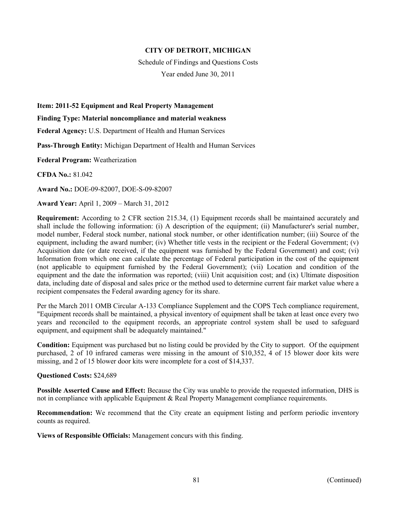Schedule of Findings and Questions Costs

Year ended June 30, 2011

**Item: 2011-52 Equipment and Real Property Management** 

**Finding Type: Material noncompliance and material weakness** 

**Federal Agency:** U.S. Department of Health and Human Services

**Pass-Through Entity:** Michigan Department of Health and Human Services

**Federal Program:** Weatherization

**CFDA No.:** 81.042

**Award No.:** DOE-09-82007, DOE-S-09-82007

**Award Year:** April 1, 2009 – March 31, 2012

**Requirement:** According to 2 CFR section 215.34, (1) Equipment records shall be maintained accurately and shall include the following information: (i) A description of the equipment; (ii) Manufacturer's serial number, model number, Federal stock number, national stock number, or other identification number; (iii) Source of the equipment, including the award number; (iv) Whether title vests in the recipient or the Federal Government; (v) Acquisition date (or date received, if the equipment was furnished by the Federal Government) and cost; (vi) Information from which one can calculate the percentage of Federal participation in the cost of the equipment (not applicable to equipment furnished by the Federal Government); (vii) Location and condition of the equipment and the date the information was reported; (viii) Unit acquisition cost; and (ix) Ultimate disposition data, including date of disposal and sales price or the method used to determine current fair market value where a recipient compensates the Federal awarding agency for its share.

Per the March 2011 OMB Circular A-133 Compliance Supplement and the COPS Tech compliance requirement, "Equipment records shall be maintained, a physical inventory of equipment shall be taken at least once every two years and reconciled to the equipment records, an appropriate control system shall be used to safeguard equipment, and equipment shall be adequately maintained."

**Condition:** Equipment was purchased but no listing could be provided by the City to support. Of the equipment purchased, 2 of 10 infrared cameras were missing in the amount of \$10,352, 4 of 15 blower door kits were missing, and 2 of 15 blower door kits were incomplete for a cost of \$14,337.

#### **Questioned Costs:** \$24,689

**Possible Asserted Cause and Effect:** Because the City was unable to provide the requested information, DHS is not in compliance with applicable Equipment & Real Property Management compliance requirements.

**Recommendation:** We recommend that the City create an equipment listing and perform periodic inventory counts as required.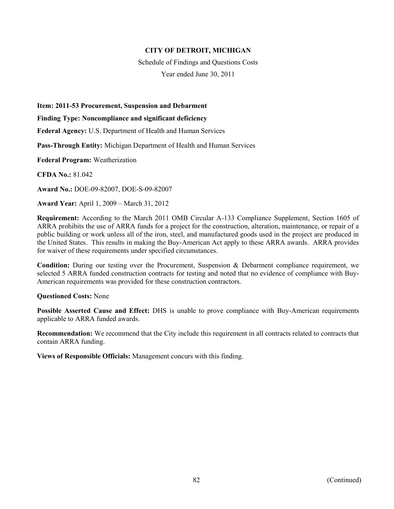Schedule of Findings and Questions Costs

Year ended June 30, 2011

**Item: 2011-53 Procurement, Suspension and Debarment** 

**Finding Type: Noncompliance and significant deficiency** 

**Federal Agency:** U.S. Department of Health and Human Services

**Pass-Through Entity:** Michigan Department of Health and Human Services

**Federal Program:** Weatherization

**CFDA No.:** 81.042

**Award No.:** DOE-09-82007, DOE-S-09-82007

**Award Year:** April 1, 2009 – March 31, 2012

**Requirement:** According to the March 2011 OMB Circular A-133 Compliance Supplement, Section 1605 of ARRA prohibits the use of ARRA funds for a project for the construction, alteration, maintenance, or repair of a public building or work unless all of the iron, steel, and manufactured goods used in the project are produced in the United States. This results in making the Buy-American Act apply to these ARRA awards. ARRA provides for waiver of these requirements under specified circumstances.

**Condition:** During our testing over the Procurement, Suspension & Debarment compliance requirement, we selected 5 ARRA funded construction contracts for testing and noted that no evidence of compliance with Buy-American requirements was provided for these construction contractors.

#### **Questioned Costs:** None

**Possible Asserted Cause and Effect:** DHS is unable to prove compliance with Buy-American requirements applicable to ARRA funded awards.

**Recommendation:** We recommend that the City include this requirement in all contracts related to contracts that contain ARRA funding.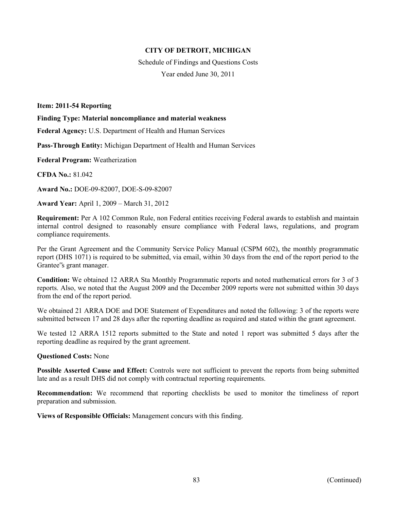Schedule of Findings and Questions Costs Year ended June 30, 2011

#### **Item: 2011-54 Reporting**

**Finding Type: Material noncompliance and material weakness** 

**Federal Agency:** U.S. Department of Health and Human Services

**Pass-Through Entity:** Michigan Department of Health and Human Services

**Federal Program:** Weatherization

**CFDA No.:** 81.042

**Award No.:** DOE-09-82007, DOE-S-09-82007

**Award Year:** April 1, 2009 – March 31, 2012

**Requirement:** Per A 102 Common Rule, non Federal entities receiving Federal awards to establish and maintain internal control designed to reasonably ensure compliance with Federal laws, regulations, and program compliance requirements.

Per the Grant Agreement and the Community Service Policy Manual (CSPM 602), the monthly programmatic report (DHS 1071) is required to be submitted, via email, within 30 days from the end of the report period to the Grantee"s grant manager.

**Condition:** We obtained 12 ARRA Sta Monthly Programmatic reports and noted mathematical errors for 3 of 3 reports. Also, we noted that the August 2009 and the December 2009 reports were not submitted within 30 days from the end of the report period.

We obtained 21 ARRA DOE and DOE Statement of Expenditures and noted the following: 3 of the reports were submitted between 17 and 28 days after the reporting deadline as required and stated within the grant agreement.

We tested 12 ARRA 1512 reports submitted to the State and noted 1 report was submitted 5 days after the reporting deadline as required by the grant agreement.

#### **Questioned Costs:** None

**Possible Asserted Cause and Effect:** Controls were not sufficient to prevent the reports from being submitted late and as a result DHS did not comply with contractual reporting requirements.

**Recommendation:** We recommend that reporting checklists be used to monitor the timeliness of report preparation and submission.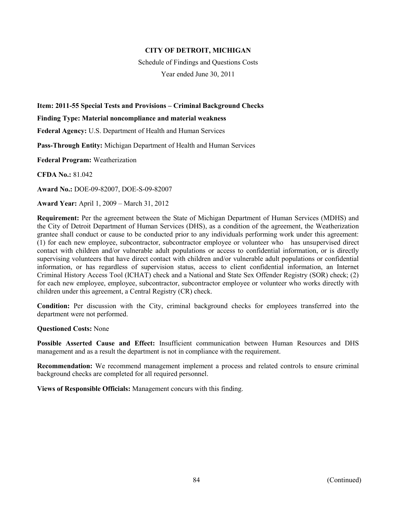Schedule of Findings and Questions Costs

Year ended June 30, 2011

# **Item: 2011-55 Special Tests and Provisions – Criminal Background Checks**

**Finding Type: Material noncompliance and material weakness** 

**Federal Agency:** U.S. Department of Health and Human Services

**Pass-Through Entity:** Michigan Department of Health and Human Services

**Federal Program:** Weatherization

**CFDA No.:** 81.042

**Award No.:** DOE-09-82007, DOE-S-09-82007

**Award Year:** April 1, 2009 – March 31, 2012

**Requirement:** Per the agreement between the State of Michigan Department of Human Services (MDHS) and the City of Detroit Department of Human Services (DHS), as a condition of the agreement, the Weatherization grantee shall conduct or cause to be conducted prior to any individuals performing work under this agreement: (1) for each new employee, subcontractor, subcontractor employee or volunteer who has unsupervised direct contact with children and/or vulnerable adult populations or access to confidential information, or is directly supervising volunteers that have direct contact with children and/or vulnerable adult populations or confidential information, or has regardless of supervision status, access to client confidential information, an Internet Criminal History Access Tool (ICHAT) check and a National and State Sex Offender Registry (SOR) check; (2) for each new employee, employee, subcontractor, subcontractor employee or volunteer who works directly with children under this agreement, a Central Registry (CR) check.

**Condition:** Per discussion with the City, criminal background checks for employees transferred into the department were not performed.

#### **Questioned Costs:** None

**Possible Asserted Cause and Effect:** Insufficient communication between Human Resources and DHS management and as a result the department is not in compliance with the requirement.

**Recommendation:** We recommend management implement a process and related controls to ensure criminal background checks are completed for all required personnel.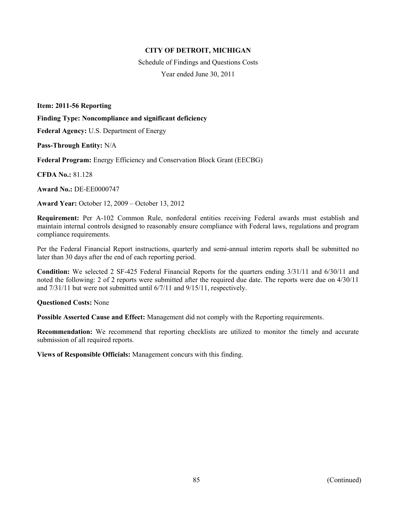Schedule of Findings and Questions Costs Year ended June 30, 2011

**Item: 2011-56 Reporting** 

**Finding Type: Noncompliance and significant deficiency** 

**Federal Agency:** U.S. Department of Energy

**Pass-Through Entity:** N/A

**Federal Program:** Energy Efficiency and Conservation Block Grant (EECBG)

**CFDA No.:** 81.128

**Award No.:** DE-EE0000747

**Award Year:** October 12, 2009 – October 13, 2012

**Requirement:** Per A-102 Common Rule, nonfederal entities receiving Federal awards must establish and maintain internal controls designed to reasonably ensure compliance with Federal laws, regulations and program compliance requirements.

Per the Federal Financial Report instructions, quarterly and semi-annual interim reports shall be submitted no later than 30 days after the end of each reporting period.

**Condition:** We selected 2 SF-425 Federal Financial Reports for the quarters ending 3/31/11 and 6/30/11 and noted the following: 2 of 2 reports were submitted after the required due date. The reports were due on 4/30/11 and 7/31/11 but were not submitted until 6/7/11 and 9/15/11, respectively.

**Questioned Costs:** None

**Possible Asserted Cause and Effect:** Management did not comply with the Reporting requirements.

**Recommendation:** We recommend that reporting checklists are utilized to monitor the timely and accurate submission of all required reports.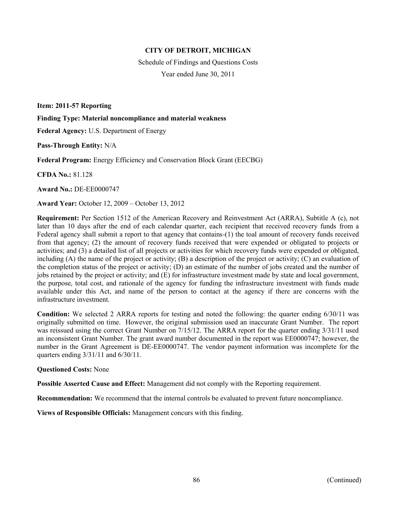Schedule of Findings and Questions Costs Year ended June 30, 2011

**Item: 2011-57 Reporting** 

**Finding Type: Material noncompliance and material weakness** 

**Federal Agency:** U.S. Department of Energy

**Pass-Through Entity:** N/A

**Federal Program:** Energy Efficiency and Conservation Block Grant (EECBG)

**CFDA No.:** 81.128

**Award No.:** DE-EE0000747

**Award Year:** October 12, 2009 – October 13, 2012

**Requirement:** Per Section 1512 of the American Recovery and Reinvestment Act (ARRA), Subtitle A (c), not later than 10 days after the end of each calendar quarter, each recipient that received recovery funds from a Federal agency shall submit a report to that agency that contains-(1) the toal amount of recovery funds received from that agency; (2) the amount of recovery funds received that were expended or obligated to projects or activities; and (3) a detailed list of all projects or activities for which recovery funds were expended or obligated, including  $(A)$  the name of the project or activity;  $(B)$  a description of the project or activity;  $(C)$  an evaluation of the completion status of the project or activity; (D) an estimate of the number of jobs created and the number of jobs retained by the project or activity; and (E) for infrastructure investment made by state and local government, the purpose, total cost, and rationale of the agency for funding the infrastructure investment with funds made available under this Act, and name of the person to contact at the agency if there are concerns with the infrastructure investment.

**Condition:** We selected 2 ARRA reports for testing and noted the following: the quarter ending 6/30/11 was originally submitted on time. However, the original submission used an inaccurate Grant Number. The report was reissued using the correct Grant Number on 7/15/12. The ARRA report for the quarter ending 3/31/11 used an inconsistent Grant Number. The grant award number documented in the report was EE0000747; however, the number in the Grant Agreement is DE-EE0000747. The vendor payment information was incomplete for the quarters ending 3/31/11 and 6/30/11.

#### **Questioned Costs:** None

**Possible Asserted Cause and Effect:** Management did not comply with the Reporting requirement.

**Recommendation:** We recommend that the internal controls be evaluated to prevent future noncompliance.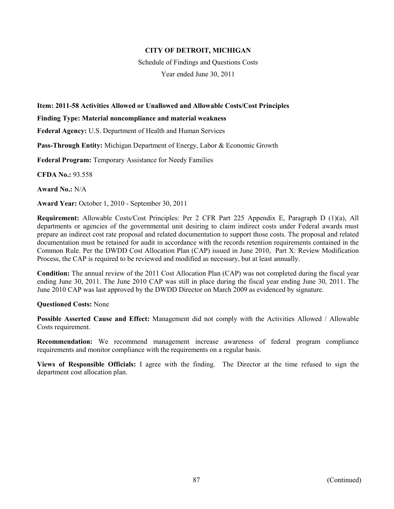Schedule of Findings and Questions Costs

Year ended June 30, 2011

## **Item: 2011-58 Activities Allowed or Unallowed and Allowable Costs/Cost Principles**

#### **Finding Type: Material noncompliance and material weakness**

**Federal Agency:** U.S. Department of Health and Human Services

**Pass-Through Entity:** Michigan Department of Energy, Labor & Economic Growth

**Federal Program:** Temporary Assistance for Needy Families

**CFDA No.:** 93.558

**Award No.:** N/A

**Award Year:** October 1, 2010 - September 30, 2011

**Requirement:** Allowable Costs/Cost Principles: Per 2 CFR Part 225 Appendix E, Paragraph D (1)(a), All departments or agencies of the governmental unit desiring to claim indirect costs under Federal awards must prepare an indirect cost rate proposal and related documentation to support those costs. The proposal and related documentation must be retained for audit in accordance with the records retention requirements contained in the Common Rule. Per the DWDD Cost Allocation Plan (CAP) issued in June 2010, Part X: Review Modification Process, the CAP is required to be reviewed and modified as necessary, but at least annually.

**Condition:** The annual review of the 2011 Cost Allocation Plan (CAP) was not completed during the fiscal year ending June 30, 2011. The June 2010 CAP was still in place during the fiscal year ending June 30, 2011. The June 2010 CAP was last approved by the DWDD Director on March 2009 as evidenced by signature.

#### **Questioned Costs:** None

**Possible Asserted Cause and Effect:** Management did not comply with the Activities Allowed / Allowable Costs requirement.

**Recommendation:** We recommend management increase awareness of federal program compliance requirements and monitor compliance with the requirements on a regular basis.

**Views of Responsible Officials:** I agree with the finding. The Director at the time refused to sign the department cost allocation plan.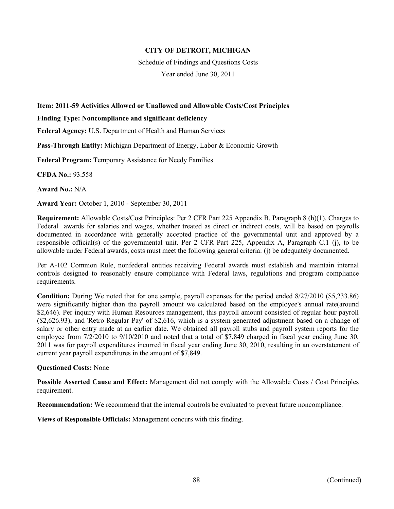Schedule of Findings and Questions Costs

Year ended June 30, 2011

# **Item: 2011-59 Activities Allowed or Unallowed and Allowable Costs/Cost Principles**

**Finding Type: Noncompliance and significant deficiency** 

**Federal Agency:** U.S. Department of Health and Human Services

**Pass-Through Entity:** Michigan Department of Energy, Labor & Economic Growth

**Federal Program:** Temporary Assistance for Needy Families

**CFDA No.:** 93.558

**Award No.:** N/A

**Award Year:** October 1, 2010 - September 30, 2011

**Requirement:** Allowable Costs/Cost Principles: Per 2 CFR Part 225 Appendix B, Paragraph 8 (h)(1), Charges to Federal awards for salaries and wages, whether treated as direct or indirect costs, will be based on payrolls documented in accordance with generally accepted practice of the governmental unit and approved by a responsible official(s) of the governmental unit. Per 2 CFR Part 225, Appendix A, Paragraph C.1 (j), to be allowable under Federal awards, costs must meet the following general criteria: (j) be adequately documented.

Per A-102 Common Rule, nonfederal entities receiving Federal awards must establish and maintain internal controls designed to reasonably ensure compliance with Federal laws, regulations and program compliance requirements.

**Condition:** During We noted that for one sample, payroll expenses for the period ended 8/27/2010 (\$5,233.86) were significantly higher than the payroll amount we calculated based on the employee's annual rate(around \$2,646). Per inquiry with Human Resources management, this payroll amount consisted of regular hour payroll (\$2,626.93), and 'Retro Regular Pay' of \$2,616, which is a system generated adjustment based on a change of salary or other entry made at an earlier date. We obtained all payroll stubs and payroll system reports for the employee from 7/2/2010 to 9/10/2010 and noted that a total of \$7,849 charged in fiscal year ending June 30, 2011 was for payroll expenditures incurred in fiscal year ending June 30, 2010, resulting in an overstatement of current year payroll expenditures in the amount of \$7,849.

#### **Questioned Costs:** None

**Possible Asserted Cause and Effect:** Management did not comply with the Allowable Costs / Cost Principles requirement.

**Recommendation:** We recommend that the internal controls be evaluated to prevent future noncompliance.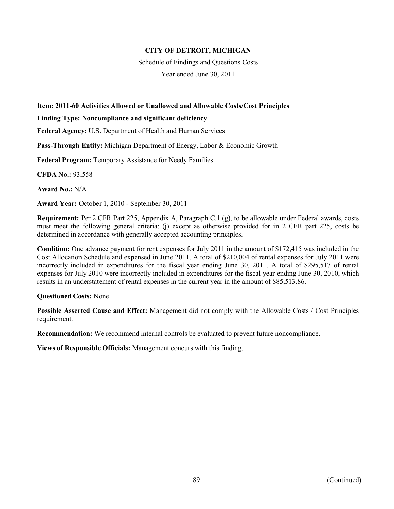Schedule of Findings and Questions Costs

Year ended June 30, 2011

# **Item: 2011-60 Activities Allowed or Unallowed and Allowable Costs/Cost Principles**

**Finding Type: Noncompliance and significant deficiency** 

**Federal Agency:** U.S. Department of Health and Human Services

**Pass-Through Entity:** Michigan Department of Energy, Labor & Economic Growth

**Federal Program:** Temporary Assistance for Needy Families

**CFDA No.:** 93.558

**Award No.:** N/A

**Award Year:** October 1, 2010 - September 30, 2011

**Requirement:** Per 2 CFR Part 225, Appendix A, Paragraph C.1 (g), to be allowable under Federal awards, costs must meet the following general criteria: (j) except as otherwise provided for in 2 CFR part 225, costs be determined in accordance with generally accepted accounting principles.

**Condition:** One advance payment for rent expenses for July 2011 in the amount of \$172,415 was included in the Cost Allocation Schedule and expensed in June 2011. A total of \$210,004 of rental expenses for July 2011 were incorrectly included in expenditures for the fiscal year ending June 30, 2011. A total of \$295,517 of rental expenses for July 2010 were incorrectly included in expenditures for the fiscal year ending June 30, 2010, which results in an understatement of rental expenses in the current year in the amount of \$85,513.86.

#### **Questioned Costs:** None

**Possible Asserted Cause and Effect:** Management did not comply with the Allowable Costs / Cost Principles requirement.

**Recommendation:** We recommend internal controls be evaluated to prevent future noncompliance.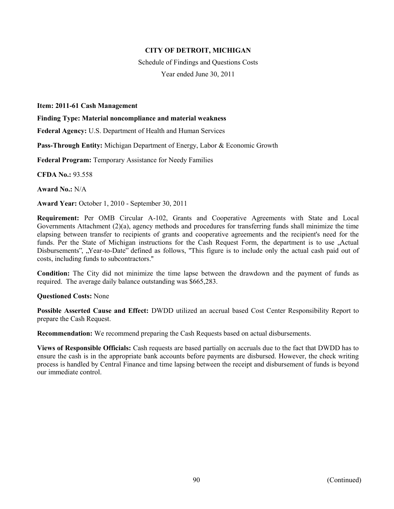Schedule of Findings and Questions Costs Year ended June 30, 2011

**Item: 2011-61 Cash Management** 

**Finding Type: Material noncompliance and material weakness** 

**Federal Agency:** U.S. Department of Health and Human Services

**Pass-Through Entity:** Michigan Department of Energy, Labor & Economic Growth

**Federal Program:** Temporary Assistance for Needy Families

**CFDA No.:** 93.558

**Award No.:** N/A

**Award Year:** October 1, 2010 - September 30, 2011

**Requirement:** Per OMB Circular A-102, Grants and Cooperative Agreements with State and Local Governments Attachment (2)(a), agency methods and procedures for transferring funds shall minimize the time elapsing between transfer to recipients of grants and cooperative agreements and the recipient's need for the funds. Per the State of Michigan instructions for the Cash Request Form, the department is to use , Actual Disbursements", "Year-to-Date" defined as follows, "This figure is to include only the actual cash paid out of costs, including funds to subcontractors.''

**Condition:** The City did not minimize the time lapse between the drawdown and the payment of funds as required. The average daily balance outstanding was \$665,283.

#### **Questioned Costs:** None

**Possible Asserted Cause and Effect:** DWDD utilized an accrual based Cost Center Responsibility Report to prepare the Cash Request.

**Recommendation:** We recommend preparing the Cash Requests based on actual disbursements.

**Views of Responsible Officials:** Cash requests are based partially on accruals due to the fact that DWDD has to ensure the cash is in the appropriate bank accounts before payments are disbursed. However, the check writing process is handled by Central Finance and time lapsing between the receipt and disbursement of funds is beyond our immediate control.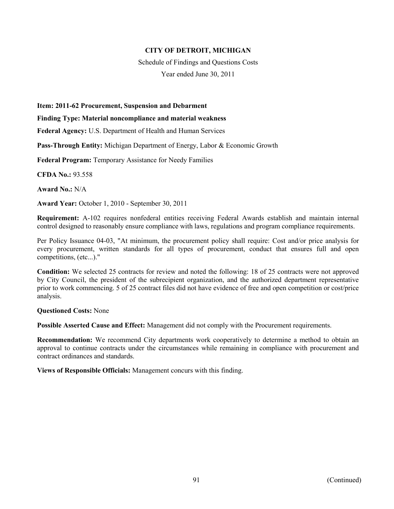Schedule of Findings and Questions Costs

Year ended June 30, 2011

#### **Item: 2011-62 Procurement, Suspension and Debarment**

#### **Finding Type: Material noncompliance and material weakness**

**Federal Agency:** U.S. Department of Health and Human Services

**Pass-Through Entity:** Michigan Department of Energy, Labor & Economic Growth

**Federal Program:** Temporary Assistance for Needy Families

**CFDA No.:** 93.558

**Award No.:** N/A

**Award Year:** October 1, 2010 - September 30, 2011

**Requirement:** A-102 requires nonfederal entities receiving Federal Awards establish and maintain internal control designed to reasonably ensure compliance with laws, regulations and program compliance requirements.

Per Policy Issuance 04-03, "At minimum, the procurement policy shall require: Cost and/or price analysis for every procurement, written standards for all types of procurement, conduct that ensures full and open competitions, (etc...)."

**Condition:** We selected 25 contracts for review and noted the following: 18 of 25 contracts were not approved by City Council, the president of the subrecipient organization, and the authorized department representative prior to work commencing. 5 of 25 contract files did not have evidence of free and open competition or cost/price analysis.

#### **Questioned Costs:** None

**Possible Asserted Cause and Effect:** Management did not comply with the Procurement requirements.

**Recommendation:** We recommend City departments work cooperatively to determine a method to obtain an approval to continue contracts under the circumstances while remaining in compliance with procurement and contract ordinances and standards.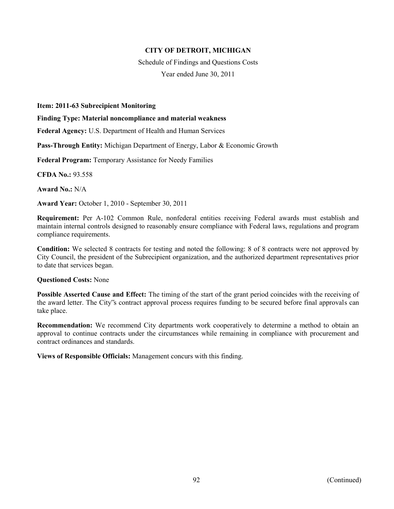Schedule of Findings and Questions Costs Year ended June 30, 2011

**Item: 2011-63 Subrecipient Monitoring** 

**Finding Type: Material noncompliance and material weakness** 

**Federal Agency:** U.S. Department of Health and Human Services

**Pass-Through Entity:** Michigan Department of Energy, Labor & Economic Growth

**Federal Program:** Temporary Assistance for Needy Families

**CFDA No.:** 93.558

**Award No.:** N/A

**Award Year:** October 1, 2010 - September 30, 2011

**Requirement:** Per A-102 Common Rule, nonfederal entities receiving Federal awards must establish and maintain internal controls designed to reasonably ensure compliance with Federal laws, regulations and program compliance requirements.

**Condition:** We selected 8 contracts for testing and noted the following: 8 of 8 contracts were not approved by City Council, the president of the Subrecipient organization, and the authorized department representatives prior to date that services began.

**Questioned Costs:** None

**Possible Asserted Cause and Effect:** The timing of the start of the grant period coincides with the receiving of the award letter. The City"s contract approval process requires funding to be secured before final approvals can take place.

**Recommendation:** We recommend City departments work cooperatively to determine a method to obtain an approval to continue contracts under the circumstances while remaining in compliance with procurement and contract ordinances and standards.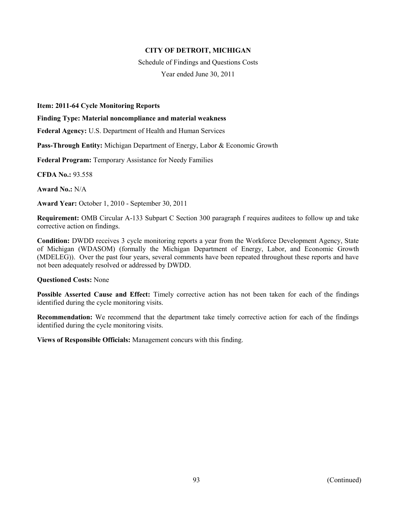Schedule of Findings and Questions Costs Year ended June 30, 2011

#### **Item: 2011-64 Cycle Monitoring Reports**

**Finding Type: Material noncompliance and material weakness** 

**Federal Agency:** U.S. Department of Health and Human Services

**Pass-Through Entity:** Michigan Department of Energy, Labor & Economic Growth

**Federal Program:** Temporary Assistance for Needy Families

**CFDA No.:** 93.558

**Award No.:** N/A

**Award Year:** October 1, 2010 - September 30, 2011

**Requirement:** OMB Circular A-133 Subpart C Section 300 paragraph f requires auditees to follow up and take corrective action on findings.

**Condition:** DWDD receives 3 cycle monitoring reports a year from the Workforce Development Agency, State of Michigan (WDASOM) (formally the Michigan Department of Energy, Labor, and Economic Growth (MDELEG)). Over the past four years, several comments have been repeated throughout these reports and have not been adequately resolved or addressed by DWDD.

#### **Questioned Costs:** None

**Possible Asserted Cause and Effect:** Timely corrective action has not been taken for each of the findings identified during the cycle monitoring visits.

**Recommendation:** We recommend that the department take timely corrective action for each of the findings identified during the cycle monitoring visits.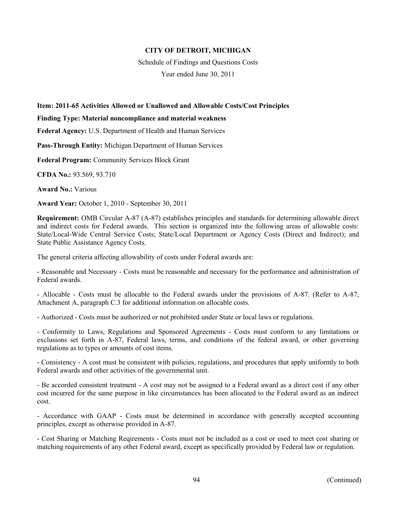Schedule of Findings and Questions Costs

Year ended June 30, 2011

## **Item: 2011-65 Activities Allowed or Unallowed and Allowable Costs/Cost Principles**

#### **Finding Type: Material noncompliance and material weakness**

**Federal Agency:** U.S. Department of Health and Human Services

**Pass-Through Entity:** Michigan Department of Human Services

**Federal Program:** Community Services Block Grant

**CFDA No.:** 93.569, 93.710

**Award No.:** Various

**Award Year:** October 1, 2010 - September 30, 2011

**Requirement:** OMB Circular A-87 (A-87) establishes principles and standards for determining allowable direct and indirect costs for Federal awards. This section is organized into the following areas of allowable costs: State/Local-Wide Central Service Costs; State/Local Department or Agency Costs (Direct and Indirect); and State Public Assistance Agency Costs.

The general criteria affecting allowability of costs under Federal awards are:

- Reasonable and Necessary - Costs must be reasonable and necessary for the performance and administration of Federal awards.

- Allocable - Costs must be allocable to the Federal awards under the provisions of A-87. (Refer to A-87, Attachment A, paragraph C.3 for additional information on allocable costs.

- Authorized - Costs must be authorized or not prohibited under State or local laws or regulations.

- Conformity to Laws, Regulations and Sponsored Agreements - Costs must conform to any limitations or exclusions set forth in A-87, Federal laws, terms, and conditions of the federal award, or other governing regulations as to types or amounts of cost items.

- Consistency - A cost must be consistent with policies, regulations, and procedures that apply uniformly to both Federal awards and other activities of the governmental unit.

- Be accorded consistent treatment - A cost may not be assigned to a Federal award as a direct cost if any other cost incurred for the same purpose in like circumstances has been allocated to the Federal award as an indirect cost.

- Accordance with GAAP - Costs must be determined in accordance with generally accepted accounting principles, except as otherwise provided in A-87.

- Cost Sharing or Matching Reqirements - Costs must not be included as a cost or used to meet cost sharing or matching requirements of any other Federal award, except as specifically provided by Federal law or regulation.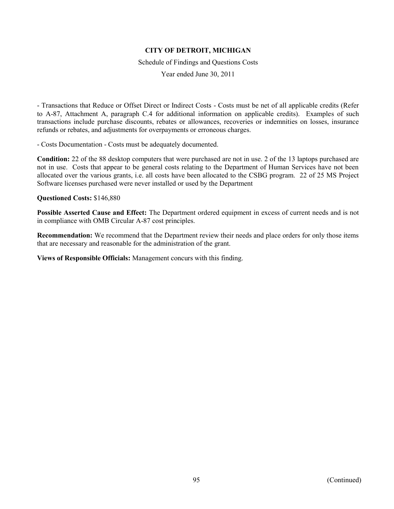Schedule of Findings and Questions Costs

Year ended June 30, 2011

- Transactions that Reduce or Offset Direct or Indirect Costs - Costs must be net of all applicable credits (Refer to A-87, Attachment A, paragraph C.4 for additional information on applicable credits). Examples of such transactions include purchase discounts, rebates or allowances, recoveries or indemnities on losses, insurance refunds or rebates, and adjustments for overpayments or erroneous charges.

- Costs Documentation - Costs must be adequately documented.

**Condition:** 22 of the 88 desktop computers that were purchased are not in use. 2 of the 13 laptops purchased are not in use. Costs that appear to be general costs relating to the Department of Human Services have not been allocated over the various grants, i.e. all costs have been allocated to the CSBG program. 22 of 25 MS Project Software licenses purchased were never installed or used by the Department

**Questioned Costs:** \$146,880

**Possible Asserted Cause and Effect:** The Department ordered equipment in excess of current needs and is not in compliance with OMB Circular A-87 cost principles.

**Recommendation:** We recommend that the Department review their needs and place orders for only those items that are necessary and reasonable for the administration of the grant.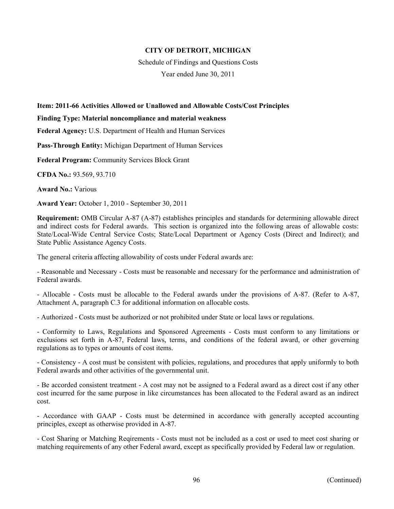Schedule of Findings and Questions Costs

Year ended June 30, 2011

## **Item: 2011-66 Activities Allowed or Unallowed and Allowable Costs/Cost Principles**

#### **Finding Type: Material noncompliance and material weakness**

**Federal Agency:** U.S. Department of Health and Human Services

**Pass-Through Entity:** Michigan Department of Human Services

**Federal Program:** Community Services Block Grant

**CFDA No.:** 93.569, 93.710

**Award No.:** Various

**Award Year:** October 1, 2010 - September 30, 2011

**Requirement:** OMB Circular A-87 (A-87) establishes principles and standards for determining allowable direct and indirect costs for Federal awards. This section is organized into the following areas of allowable costs: State/Local-Wide Central Service Costs; State/Local Department or Agency Costs (Direct and Indirect); and State Public Assistance Agency Costs.

The general criteria affecting allowability of costs under Federal awards are:

- Reasonable and Necessary - Costs must be reasonable and necessary for the performance and administration of Federal awards.

- Allocable - Costs must be allocable to the Federal awards under the provisions of A-87. (Refer to A-87, Attachment A, paragraph C.3 for additional information on allocable costs.

- Authorized - Costs must be authorized or not prohibited under State or local laws or regulations.

- Conformity to Laws, Regulations and Sponsored Agreements - Costs must conform to any limitations or exclusions set forth in A-87, Federal laws, terms, and conditions of the federal award, or other governing regulations as to types or amounts of cost items.

- Consistency - A cost must be consistent with policies, regulations, and procedures that apply uniformly to both Federal awards and other activities of the governmental unit.

- Be accorded consistent treatment - A cost may not be assigned to a Federal award as a direct cost if any other cost incurred for the same purpose in like circumstances has been allocated to the Federal award as an indirect cost.

- Accordance with GAAP - Costs must be determined in accordance with generally accepted accounting principles, except as otherwise provided in A-87.

- Cost Sharing or Matching Reqirements - Costs must not be included as a cost or used to meet cost sharing or matching requirements of any other Federal award, except as specifically provided by Federal law or regulation.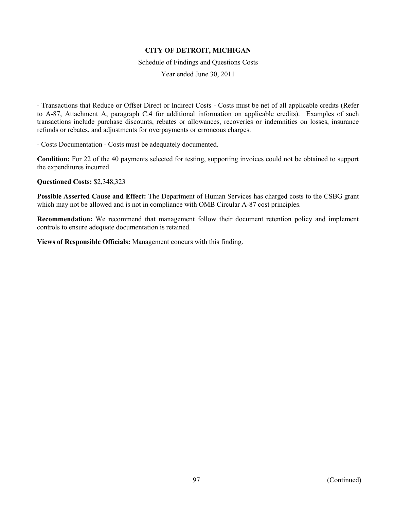Schedule of Findings and Questions Costs

Year ended June 30, 2011

- Transactions that Reduce or Offset Direct or Indirect Costs - Costs must be net of all applicable credits (Refer to A-87, Attachment A, paragraph C.4 for additional information on applicable credits). Examples of such transactions include purchase discounts, rebates or allowances, recoveries or indemnities on losses, insurance refunds or rebates, and adjustments for overpayments or erroneous charges.

- Costs Documentation - Costs must be adequately documented.

**Condition:** For 22 of the 40 payments selected for testing, supporting invoices could not be obtained to support the expenditures incurred.

**Questioned Costs:** \$2,348,323

**Possible Asserted Cause and Effect:** The Department of Human Services has charged costs to the CSBG grant which may not be allowed and is not in compliance with OMB Circular A-87 cost principles.

**Recommendation:** We recommend that management follow their document retention policy and implement controls to ensure adequate documentation is retained.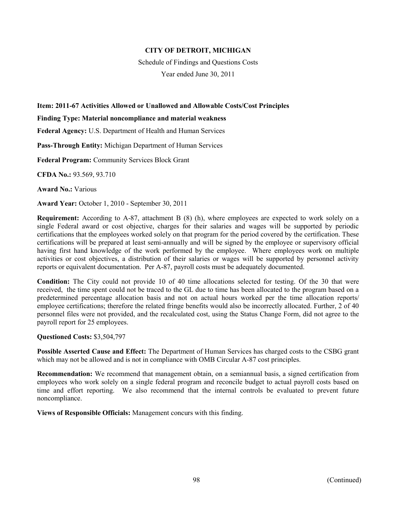Schedule of Findings and Questions Costs

Year ended June 30, 2011

## **Item: 2011-67 Activities Allowed or Unallowed and Allowable Costs/Cost Principles**

#### **Finding Type: Material noncompliance and material weakness**

**Federal Agency:** U.S. Department of Health and Human Services

**Pass-Through Entity:** Michigan Department of Human Services

**Federal Program:** Community Services Block Grant

**CFDA No.:** 93.569, 93.710

**Award No.:** Various

**Award Year:** October 1, 2010 - September 30, 2011

**Requirement:** According to A-87, attachment B (8) (h), where employees are expected to work solely on a single Federal award or cost objective, charges for their salaries and wages will be supported by periodic certifications that the employees worked solely on that program for the period covered by the certification. These certifications will be prepared at least semi-annually and will be signed by the employee or supervisory official having first hand knowledge of the work performed by the employee. Where employees work on multiple activities or cost objectives, a distribution of their salaries or wages will be supported by personnel activity reports or equivalent documentation. Per A-87, payroll costs must be adequately documented.

**Condition:** The City could not provide 10 of 40 time allocations selected for testing. Of the 30 that were received, the time spent could not be traced to the GL due to time has been allocated to the program based on a predetermined percentage allocation basis and not on actual hours worked per the time allocation reports/ employee certifications; therefore the related fringe benefits would also be incorrectly allocated. Further, 2 of 40 personnel files were not provided, and the recalculated cost, using the Status Change Form, did not agree to the payroll report for 25 employees.

#### **Questioned Costs:** \$3,504,797

**Possible Asserted Cause and Effect:** The Department of Human Services has charged costs to the CSBG grant which may not be allowed and is not in compliance with OMB Circular A-87 cost principles.

**Recommendation:** We recommend that management obtain, on a semiannual basis, a signed certification from employees who work solely on a single federal program and reconcile budget to actual payroll costs based on time and effort reporting. We also recommend that the internal controls be evaluated to prevent future noncompliance.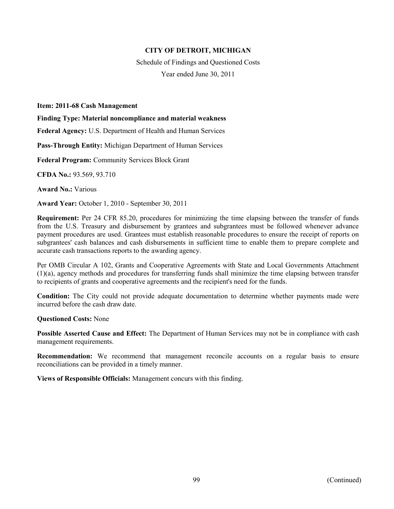Schedule of Findings and Questioned Costs Year ended June 30, 2011

#### **Item: 2011-68 Cash Management**

**Finding Type: Material noncompliance and material weakness** 

**Federal Agency:** U.S. Department of Health and Human Services

**Pass-Through Entity:** Michigan Department of Human Services

**Federal Program:** Community Services Block Grant

**CFDA No.:** 93.569, 93.710

**Award No.:** Various

**Award Year:** October 1, 2010 - September 30, 2011

**Requirement:** Per 24 CFR 85.20, procedures for minimizing the time elapsing between the transfer of funds from the U.S. Treasury and disbursement by grantees and subgrantees must be followed whenever advance payment procedures are used. Grantees must establish reasonable procedures to ensure the receipt of reports on subgrantees' cash balances and cash disbursements in sufficient time to enable them to prepare complete and accurate cash transactions reports to the awarding agency.

Per OMB Circular A 102, Grants and Cooperative Agreements with State and Local Governments Attachment (1)(a), agency methods and procedures for transferring funds shall minimize the time elapsing between transfer to recipients of grants and cooperative agreements and the recipient's need for the funds.

**Condition:** The City could not provide adequate documentation to determine whether payments made were incurred before the cash draw date.

**Questioned Costs:** None

**Possible Asserted Cause and Effect:** The Department of Human Services may not be in compliance with cash management requirements.

**Recommendation:** We recommend that management reconcile accounts on a regular basis to ensure reconciliations can be provided in a timely manner.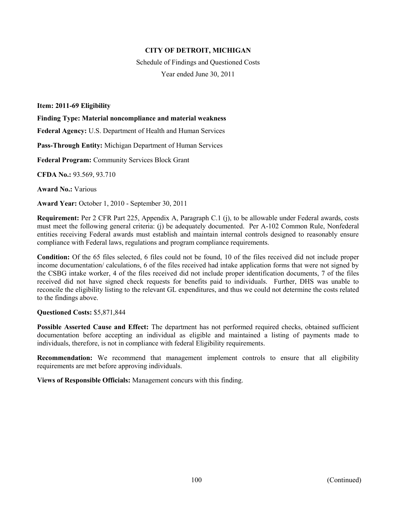Schedule of Findings and Questioned Costs Year ended June 30, 2011

**Item: 2011-69 Eligibility** 

**Finding Type: Material noncompliance and material weakness** 

**Federal Agency:** U.S. Department of Health and Human Services

**Pass-Through Entity:** Michigan Department of Human Services

**Federal Program:** Community Services Block Grant

**CFDA No.:** 93.569, 93.710

**Award No.:** Various

**Award Year:** October 1, 2010 - September 30, 2011

**Requirement:** Per 2 CFR Part 225, Appendix A, Paragraph C.1 (j), to be allowable under Federal awards, costs must meet the following general criteria: (j) be adequately documented. Per A-102 Common Rule, Nonfederal entities receiving Federal awards must establish and maintain internal controls designed to reasonably ensure compliance with Federal laws, regulations and program compliance requirements.

**Condition:** Of the 65 files selected, 6 files could not be found, 10 of the files received did not include proper income documentation/ calculations, 6 of the files received had intake application forms that were not signed by the CSBG intake worker, 4 of the files received did not include proper identification documents, 7 of the files received did not have signed check requests for benefits paid to individuals. Further, DHS was unable to reconcile the eligibility listing to the relevant GL expenditures, and thus we could not determine the costs related to the findings above.

#### **Questioned Costs:** \$5,871,844

**Possible Asserted Cause and Effect:** The department has not performed required checks, obtained sufficient documentation before accepting an individual as eligible and maintained a listing of payments made to individuals, therefore, is not in compliance with federal Eligibility requirements.

**Recommendation:** We recommend that management implement controls to ensure that all eligibility requirements are met before approving individuals.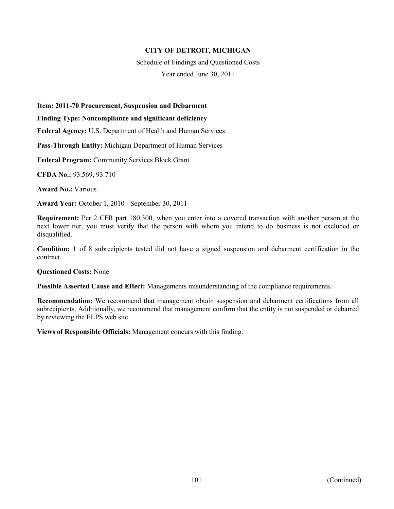Schedule of Findings and Questioned Costs

Year ended June 30, 2011

#### **Item: 2011-70 Procurement, Suspension and Debarment**

#### **Finding Type: Noncompliance and significant deficiency**

**Federal Agency:** U.S. Department of Health and Human Services

**Pass-Through Entity:** Michigan Department of Human Services

**Federal Program:** Community Services Block Grant

**CFDA No.:** 93.569, 93.710

**Award No.:** Various

**Award Year:** October 1, 2010 - September 30, 2011

**Requirement:** Per 2 CFR part 180.300, when you enter into a covered transaction with another person at the next lower tier, you must verify that the person with whom you intend to do business is not excluded or disqualified.

**Condition:** 1 of 8 subrecipients tested did not have a signed suspension and debarment certification in the contract.

#### **Questioned Costs:** None

**Possible Asserted Cause and Effect:** Managements misunderstanding of the compliance requirements.

**Recommendation:** We recommend that management obtain suspension and debarment certifications from all subrecipients. Additionally, we recommend that management confirm that the entity is not suspended or debarred by reviewing the ELPS web site.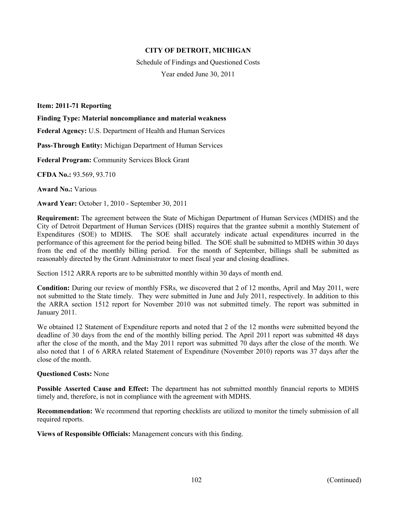Schedule of Findings and Questioned Costs Year ended June 30, 2011

**Item: 2011-71 Reporting** 

**Finding Type: Material noncompliance and material weakness** 

**Federal Agency:** U.S. Department of Health and Human Services

**Pass-Through Entity:** Michigan Department of Human Services

**Federal Program:** Community Services Block Grant

**CFDA No.:** 93.569, 93.710

**Award No.:** Various

**Award Year:** October 1, 2010 - September 30, 2011

**Requirement:** The agreement between the State of Michigan Department of Human Services (MDHS) and the City of Detroit Department of Human Services (DHS) requires that the grantee submit a monthly Statement of Expenditures (SOE) to MDHS. The SOE shall accurately indicate actual expenditures incurred in the performance of this agreement for the period being billed. The SOE shall be submitted to MDHS within 30 days from the end of the monthly billing period. For the month of September, billings shall be submitted as reasonably directed by the Grant Administrator to meet fiscal year and closing deadlines.

Section 1512 ARRA reports are to be submitted monthly within 30 days of month end.

**Condition:** During our review of monthly FSRs, we discovered that 2 of 12 months, April and May 2011, were not submitted to the State timely. They were submitted in June and July 2011, respectively. In addition to this the ARRA section 1512 report for November 2010 was not submitted timely. The report was submitted in January 2011.

We obtained 12 Statement of Expenditure reports and noted that 2 of the 12 months were submitted beyond the deadline of 30 days from the end of the monthly billing period. The April 2011 report was submitted 48 days after the close of the month, and the May 2011 report was submitted 70 days after the close of the month. We also noted that 1 of 6 ARRA related Statement of Expenditure (November 2010) reports was 37 days after the close of the month.

#### **Questioned Costs:** None

**Possible Asserted Cause and Effect:** The department has not submitted monthly financial reports to MDHS timely and, therefore, is not in compliance with the agreement with MDHS.

**Recommendation:** We recommend that reporting checklists are utilized to monitor the timely submission of all required reports.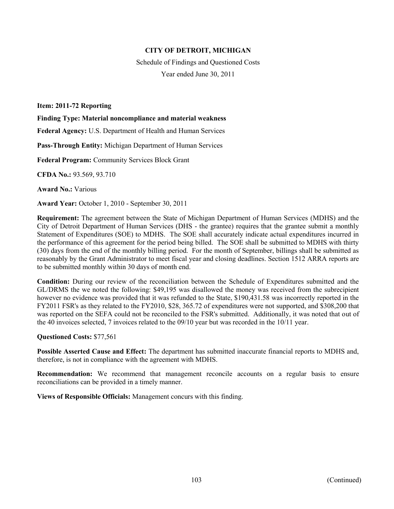Schedule of Findings and Questioned Costs Year ended June 30, 2011

**Item: 2011-72 Reporting** 

**Finding Type: Material noncompliance and material weakness** 

**Federal Agency:** U.S. Department of Health and Human Services

**Pass-Through Entity:** Michigan Department of Human Services

**Federal Program:** Community Services Block Grant

**CFDA No.:** 93.569, 93.710

**Award No.:** Various

**Award Year:** October 1, 2010 - September 30, 2011

**Requirement:** The agreement between the State of Michigan Department of Human Services (MDHS) and the City of Detroit Department of Human Services (DHS - the grantee) requires that the grantee submit a monthly Statement of Expenditures (SOE) to MDHS. The SOE shall accurately indicate actual expenditures incurred in the performance of this agreement for the period being billed. The SOE shall be submitted to MDHS with thirty (30) days from the end of the monthly billing period. For the month of September, billings shall be submitted as reasonably by the Grant Administrator to meet fiscal year and closing deadlines. Section 1512 ARRA reports are to be submitted monthly within 30 days of month end.

**Condition:** During our review of the reconciliation between the Schedule of Expenditures submitted and the GL/DRMS the we noted the following: \$49,195 was disallowed the money was received from the subrecipient however no evidence was provided that it was refunded to the State, \$190,431.58 was incorrectly reported in the FY2011 FSR's as they related to the FY2010, \$28, 365.72 of expenditures were not supported, and \$308,200 that was reported on the SEFA could not be reconciled to the FSR's submitted. Additionally, it was noted that out of the 40 invoices selected, 7 invoices related to the 09/10 year but was recorded in the 10/11 year.

#### **Questioned Costs:** \$77,561

**Possible Asserted Cause and Effect:** The department has submitted inaccurate financial reports to MDHS and, therefore, is not in compliance with the agreement with MDHS.

**Recommendation:** We recommend that management reconcile accounts on a regular basis to ensure reconciliations can be provided in a timely manner.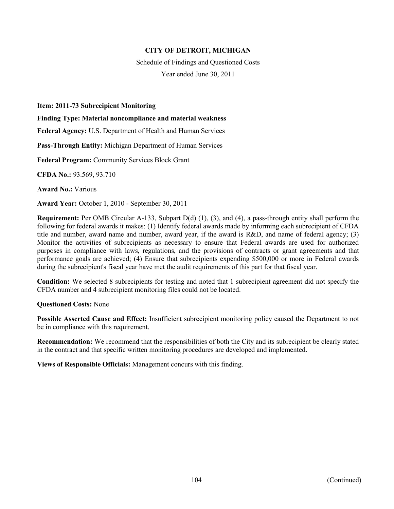Schedule of Findings and Questioned Costs Year ended June 30, 2011

#### **Item: 2011-73 Subrecipient Monitoring**

**Finding Type: Material noncompliance and material weakness** 

**Federal Agency:** U.S. Department of Health and Human Services

**Pass-Through Entity:** Michigan Department of Human Services

**Federal Program:** Community Services Block Grant

**CFDA No.:** 93.569, 93.710

**Award No.:** Various

**Award Year:** October 1, 2010 - September 30, 2011

**Requirement:** Per OMB Circular A-133, Subpart D(d) (1), (3), and (4), a pass-through entity shall perform the following for federal awards it makes: (1) Identify federal awards made by informing each subrecipient of CFDA title and number, award name and number, award year, if the award is R&D, and name of federal agency; (3) Monitor the activities of subrecipients as necessary to ensure that Federal awards are used for authorized purposes in compliance with laws, regulations, and the provisions of contracts or grant agreements and that performance goals are achieved; (4) Ensure that subrecipients expending \$500,000 or more in Federal awards during the subrecipient's fiscal year have met the audit requirements of this part for that fiscal year.

**Condition:** We selected 8 subrecipients for testing and noted that 1 subrecipient agreement did not specify the CFDA number and 4 subrecipient monitoring files could not be located.

#### **Questioned Costs:** None

**Possible Asserted Cause and Effect:** Insufficient subrecipient monitoring policy caused the Department to not be in compliance with this requirement.

**Recommendation:** We recommend that the responsibilities of both the City and its subrecipient be clearly stated in the contract and that specific written monitoring procedures are developed and implemented.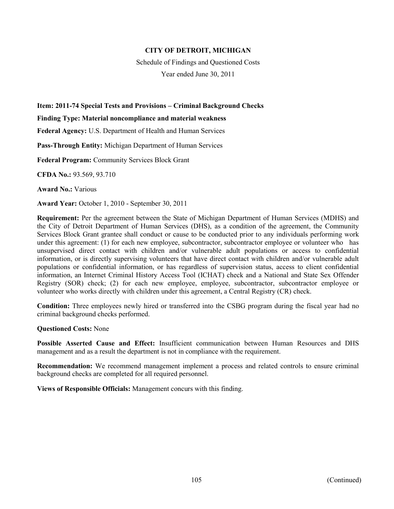Schedule of Findings and Questioned Costs

Year ended June 30, 2011

# **Item: 2011-74 Special Tests and Provisions – Criminal Background Checks**

**Finding Type: Material noncompliance and material weakness** 

**Federal Agency:** U.S. Department of Health and Human Services

**Pass-Through Entity:** Michigan Department of Human Services

**Federal Program:** Community Services Block Grant

**CFDA No.:** 93.569, 93.710

**Award No.:** Various

**Award Year:** October 1, 2010 - September 30, 2011

**Requirement:** Per the agreement between the State of Michigan Department of Human Services (MDHS) and the City of Detroit Department of Human Services (DHS), as a condition of the agreement, the Community Services Block Grant grantee shall conduct or cause to be conducted prior to any individuals performing work under this agreement: (1) for each new employee, subcontractor, subcontractor employee or volunteer who has unsupervised direct contact with children and/or vulnerable adult populations or access to confidential information, or is directly supervising volunteers that have direct contact with children and/or vulnerable adult populations or confidential information, or has regardless of supervision status, access to client confidential information, an Internet Criminal History Access Tool (ICHAT) check and a National and State Sex Offender Registry (SOR) check; (2) for each new employee, employee, subcontractor, subcontractor employee or volunteer who works directly with children under this agreement, a Central Registry (CR) check.

**Condition:** Three employees newly hired or transferred into the CSBG program during the fiscal year had no criminal background checks performed.

#### **Questioned Costs:** None

**Possible Asserted Cause and Effect:** Insufficient communication between Human Resources and DHS management and as a result the department is not in compliance with the requirement.

**Recommendation:** We recommend management implement a process and related controls to ensure criminal background checks are completed for all required personnel.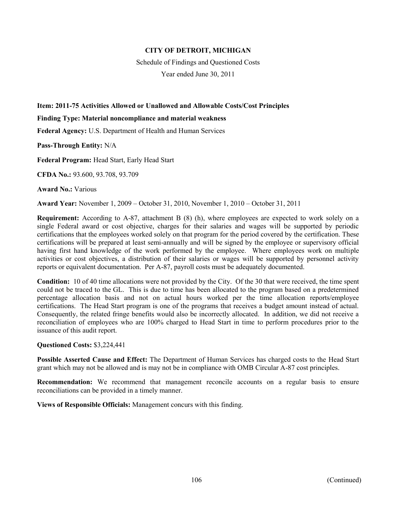Schedule of Findings and Questioned Costs

Year ended June 30, 2011

# **Item: 2011-75 Activities Allowed or Unallowed and Allowable Costs/Cost Principles**

#### **Finding Type: Material noncompliance and material weakness**

**Federal Agency:** U.S. Department of Health and Human Services

**Pass-Through Entity:** N/A

**Federal Program:** Head Start, Early Head Start

**CFDA No.:** 93.600, 93.708, 93.709

**Award No.:** Various

**Award Year:** November 1, 2009 – October 31, 2010, November 1, 2010 – October 31, 2011

**Requirement:** According to A-87, attachment B (8) (h), where employees are expected to work solely on a single Federal award or cost objective, charges for their salaries and wages will be supported by periodic certifications that the employees worked solely on that program for the period covered by the certification. These certifications will be prepared at least semi-annually and will be signed by the employee or supervisory official having first hand knowledge of the work performed by the employee. Where employees work on multiple activities or cost objectives, a distribution of their salaries or wages will be supported by personnel activity reports or equivalent documentation. Per A-87, payroll costs must be adequately documented.

**Condition:** 10 of 40 time allocations were not provided by the City. Of the 30 that were received, the time spent could not be traced to the GL. This is due to time has been allocated to the program based on a predetermined percentage allocation basis and not on actual hours worked per the time allocation reports/employee certifications. The Head Start program is one of the programs that receives a budget amount instead of actual. Consequently, the related fringe benefits would also be incorrectly allocated. In addition, we did not receive a reconciliation of employees who are 100% charged to Head Start in time to perform procedures prior to the issuance of this audit report.

#### **Questioned Costs:** \$3,224,441

**Possible Asserted Cause and Effect:** The Department of Human Services has charged costs to the Head Start grant which may not be allowed and is may not be in compliance with OMB Circular A-87 cost principles.

**Recommendation:** We recommend that management reconcile accounts on a regular basis to ensure reconciliations can be provided in a timely manner.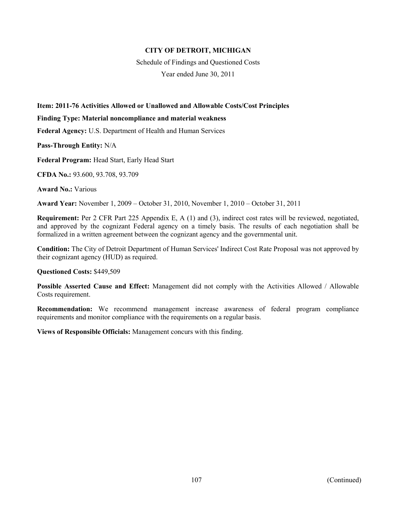Schedule of Findings and Questioned Costs

Year ended June 30, 2011

# **Item: 2011-76 Activities Allowed or Unallowed and Allowable Costs/Cost Principles**

#### **Finding Type: Material noncompliance and material weakness**

**Federal Agency:** U.S. Department of Health and Human Services

**Pass-Through Entity:** N/A

**Federal Program:** Head Start, Early Head Start

**CFDA No.:** 93.600, 93.708, 93.709

**Award No.:** Various

**Award Year:** November 1, 2009 – October 31, 2010, November 1, 2010 – October 31, 2011

**Requirement:** Per 2 CFR Part 225 Appendix E, A (1) and (3), indirect cost rates will be reviewed, negotiated, and approved by the cognizant Federal agency on a timely basis. The results of each negotiation shall be formalized in a written agreement between the cognizant agency and the governmental unit.

**Condition:** The City of Detroit Department of Human Services' Indirect Cost Rate Proposal was not approved by their cognizant agency (HUD) as required.

#### **Questioned Costs:** \$449,509

**Possible Asserted Cause and Effect:** Management did not comply with the Activities Allowed / Allowable Costs requirement.

**Recommendation:** We recommend management increase awareness of federal program compliance requirements and monitor compliance with the requirements on a regular basis.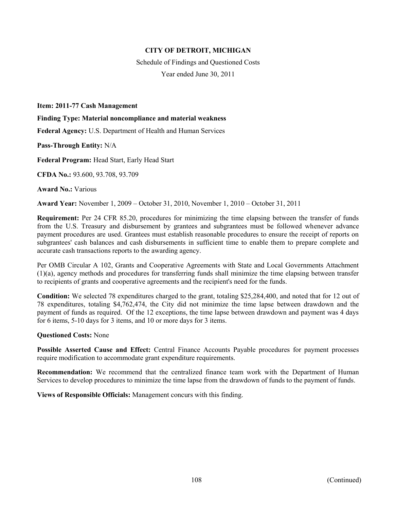Schedule of Findings and Questioned Costs Year ended June 30, 2011

**Item: 2011-77 Cash Management** 

**Finding Type: Material noncompliance and material weakness** 

**Federal Agency:** U.S. Department of Health and Human Services

**Pass-Through Entity:** N/A

**Federal Program:** Head Start, Early Head Start

**CFDA No.:** 93.600, 93.708, 93.709

**Award No.:** Various

**Award Year:** November 1, 2009 – October 31, 2010, November 1, 2010 – October 31, 2011

**Requirement:** Per 24 CFR 85.20, procedures for minimizing the time elapsing between the transfer of funds from the U.S. Treasury and disbursement by grantees and subgrantees must be followed whenever advance payment procedures are used. Grantees must establish reasonable procedures to ensure the receipt of reports on subgrantees' cash balances and cash disbursements in sufficient time to enable them to prepare complete and accurate cash transactions reports to the awarding agency.

Per OMB Circular A 102, Grants and Cooperative Agreements with State and Local Governments Attachment (1)(a), agency methods and procedures for transferring funds shall minimize the time elapsing between transfer to recipients of grants and cooperative agreements and the recipient's need for the funds.

**Condition:** We selected 78 expenditures charged to the grant, totaling \$25,284,400, and noted that for 12 out of 78 expenditures, totaling \$4,762,474, the City did not minimize the time lapse between drawdown and the payment of funds as required. Of the 12 exceptions, the time lapse between drawdown and payment was 4 days for 6 items, 5-10 days for 3 items, and 10 or more days for 3 items.

#### **Questioned Costs:** None

**Possible Asserted Cause and Effect:** Central Finance Accounts Payable procedures for payment processes require modification to accommodate grant expenditure requirements.

**Recommendation:** We recommend that the centralized finance team work with the Department of Human Services to develop procedures to minimize the time lapse from the drawdown of funds to the payment of funds.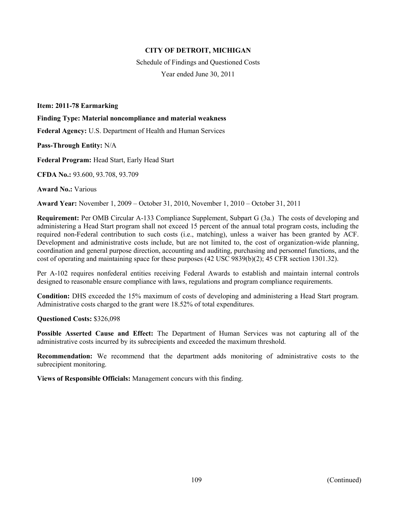Schedule of Findings and Questioned Costs Year ended June 30, 2011

**Item: 2011-78 Earmarking** 

**Finding Type: Material noncompliance and material weakness** 

**Federal Agency:** U.S. Department of Health and Human Services

**Pass-Through Entity:** N/A

**Federal Program:** Head Start, Early Head Start

**CFDA No.:** 93.600, 93.708, 93.709

**Award No.:** Various

**Award Year:** November 1, 2009 – October 31, 2010, November 1, 2010 – October 31, 2011

**Requirement:** Per OMB Circular A-133 Compliance Supplement, Subpart G (3a.) The costs of developing and administering a Head Start program shall not exceed 15 percent of the annual total program costs, including the required non-Federal contribution to such costs (i.e., matching), unless a waiver has been granted by ACF. Development and administrative costs include, but are not limited to, the cost of organization-wide planning, coordination and general purpose direction, accounting and auditing, purchasing and personnel functions, and the cost of operating and maintaining space for these purposes (42 USC 9839(b)(2); 45 CFR section 1301.32).

Per A-102 requires nonfederal entities receiving Federal Awards to establish and maintain internal controls designed to reasonable ensure compliance with laws, regulations and program compliance requirements.

**Condition:** DHS exceeded the 15% maximum of costs of developing and administering a Head Start program. Administrative costs charged to the grant were 18.52% of total expenditures.

**Questioned Costs:** \$326,098

**Possible Asserted Cause and Effect:** The Department of Human Services was not capturing all of the administrative costs incurred by its subrecipients and exceeded the maximum threshold.

**Recommendation:** We recommend that the department adds monitoring of administrative costs to the subrecipient monitoring.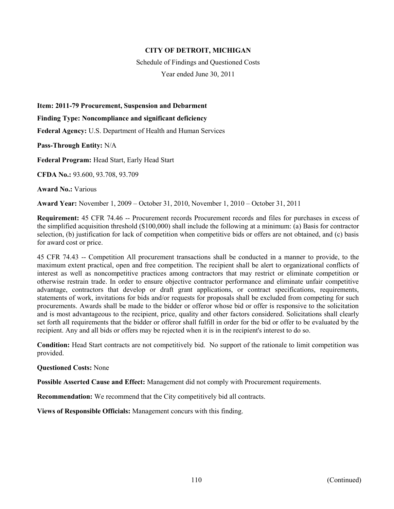Schedule of Findings and Questioned Costs

Year ended June 30, 2011

**Item: 2011-79 Procurement, Suspension and Debarment** 

**Finding Type: Noncompliance and significant deficiency** 

**Federal Agency:** U.S. Department of Health and Human Services

**Pass-Through Entity:** N/A

**Federal Program:** Head Start, Early Head Start

**CFDA No.:** 93.600, 93.708, 93.709

**Award No.:** Various

**Award Year:** November 1, 2009 – October 31, 2010, November 1, 2010 – October 31, 2011

**Requirement:** 45 CFR 74.46 -- Procurement records Procurement records and files for purchases in excess of the simplified acquisition threshold (\$100,000) shall include the following at a minimum: (a) Basis for contractor selection, (b) justification for lack of competition when competitive bids or offers are not obtained, and (c) basis for award cost or price.

45 CFR 74.43 -- Competition All procurement transactions shall be conducted in a manner to provide, to the maximum extent practical, open and free competition. The recipient shall be alert to organizational conflicts of interest as well as noncompetitive practices among contractors that may restrict or eliminate competition or otherwise restrain trade. In order to ensure objective contractor performance and eliminate unfair competitive advantage, contractors that develop or draft grant applications, or contract specifications, requirements, statements of work, invitations for bids and/or requests for proposals shall be excluded from competing for such procurements. Awards shall be made to the bidder or offeror whose bid or offer is responsive to the solicitation and is most advantageous to the recipient, price, quality and other factors considered. Solicitations shall clearly set forth all requirements that the bidder or offeror shall fulfill in order for the bid or offer to be evaluated by the recipient. Any and all bids or offers may be rejected when it is in the recipient's interest to do so.

**Condition:** Head Start contracts are not competitively bid. No support of the rationale to limit competition was provided.

#### **Questioned Costs:** None

**Possible Asserted Cause and Effect:** Management did not comply with Procurement requirements.

**Recommendation:** We recommend that the City competitively bid all contracts.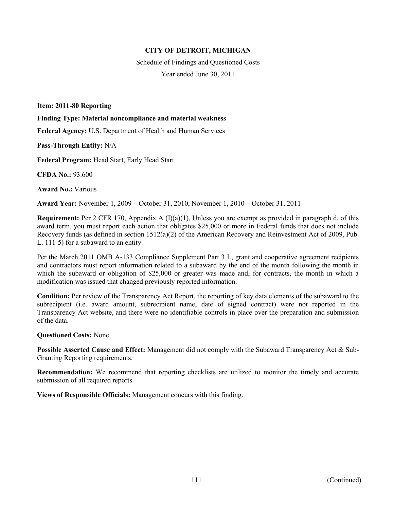Schedule of Findings and Questioned Costs Year ended June 30, 2011

**Item: 2011-80 Reporting** 

**Finding Type: Material noncompliance and material weakness** 

**Federal Agency:** U.S. Department of Health and Human Services

**Pass-Through Entity:** N/A

**Federal Program:** Head Start, Early Head Start

**CFDA No.:** 93.600

**Award No.:** Various

**Award Year:** November 1, 2009 – October 31, 2010, November 1, 2010 – October 31, 2011

**Requirement:** Per 2 CFR 170, Appendix A (I)(a)(1), Unless you are exempt as provided in paragraph d. of this award term, you must report each action that obligates \$25,000 or more in Federal funds that does not include Recovery funds (as defined in section 1512(a)(2) of the American Recovery and Reinvestment Act of 2009, Pub. L. 111-5) for a subaward to an entity.

Per the March 2011 OMB A-133 Compliance Supplement Part 3 L, grant and cooperative agreement recipients and contractors must report information related to a subaward by the end of the month following the month in which the subaward or obligation of \$25,000 or greater was made and, for contracts, the month in which a modification was issued that changed previously reported information.

**Condition:** Per review of the Transparency Act Report, the reporting of key data elements of the subaward to the subrecipient (i.e. award amount, subrecipient name, date of signed contract) were not reported in the Transparency Act website, and there were no identifiable controls in place over the preparation and submission of the data.

#### **Questioned Costs:** None

**Possible Asserted Cause and Effect:** Management did not comply with the Subaward Transparency Act & Sub-Granting Reporting requirements.

**Recommendation:** We recommend that reporting checklists are utilized to monitor the timely and accurate submission of all required reports.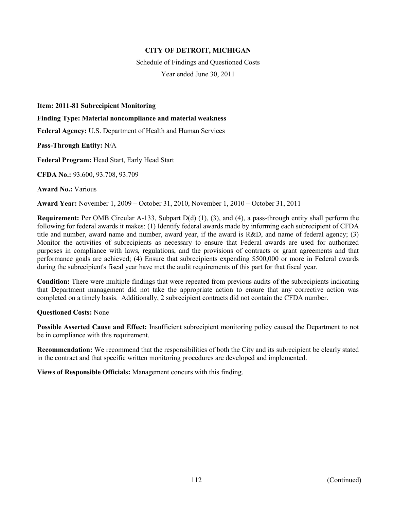Schedule of Findings and Questioned Costs Year ended June 30, 2011

**Item: 2011-81 Subrecipient Monitoring** 

**Finding Type: Material noncompliance and material weakness** 

**Federal Agency:** U.S. Department of Health and Human Services

**Pass-Through Entity:** N/A

**Federal Program:** Head Start, Early Head Start

**CFDA No.:** 93.600, 93.708, 93.709

**Award No.:** Various

**Award Year:** November 1, 2009 – October 31, 2010, November 1, 2010 – October 31, 2011

**Requirement:** Per OMB Circular A-133, Subpart D(d) (1), (3), and (4), a pass-through entity shall perform the following for federal awards it makes: (1) Identify federal awards made by informing each subrecipient of CFDA title and number, award name and number, award year, if the award is R&D, and name of federal agency; (3) Monitor the activities of subrecipients as necessary to ensure that Federal awards are used for authorized purposes in compliance with laws, regulations, and the provisions of contracts or grant agreements and that performance goals are achieved; (4) Ensure that subrecipients expending \$500,000 or more in Federal awards during the subrecipient's fiscal year have met the audit requirements of this part for that fiscal year.

**Condition:** There were multiple findings that were repeated from previous audits of the subrecipients indicating that Department management did not take the appropriate action to ensure that any corrective action was completed on a timely basis. Additionally, 2 subrecipient contracts did not contain the CFDA number.

**Questioned Costs:** None

**Possible Asserted Cause and Effect:** Insufficient subrecipient monitoring policy caused the Department to not be in compliance with this requirement.

**Recommendation:** We recommend that the responsibilities of both the City and its subrecipient be clearly stated in the contract and that specific written monitoring procedures are developed and implemented.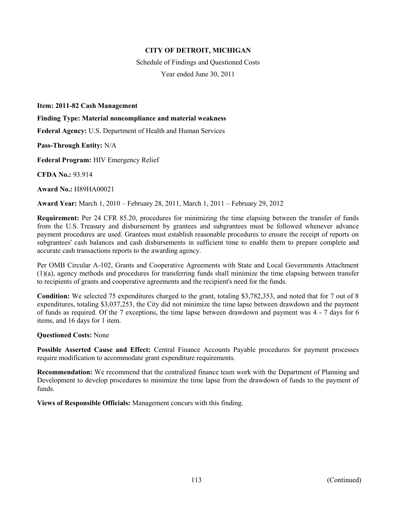Schedule of Findings and Questioned Costs Year ended June 30, 2011

**Item: 2011-82 Cash Management** 

**Finding Type: Material noncompliance and material weakness** 

**Federal Agency:** U.S. Department of Health and Human Services

**Pass-Through Entity:** N/A

**Federal Program:** HIV Emergency Relief

**CFDA No.:** 93.914

**Award No.:** H89HA00021

**Award Year:** March 1, 2010 – February 28, 2011, March 1, 2011 – February 29, 2012

**Requirement:** Per 24 CFR 85.20, procedures for minimizing the time elapsing between the transfer of funds from the U.S. Treasury and disbursement by grantees and subgrantees must be followed whenever advance payment procedures are used. Grantees must establish reasonable procedures to ensure the receipt of reports on subgrantees' cash balances and cash disbursements in sufficient time to enable them to prepare complete and accurate cash transactions reports to the awarding agency.

Per OMB Circular A-102, Grants and Cooperative Agreements with State and Local Governments Attachment (1)(a), agency methods and procedures for transferring funds shall minimize the time elapsing between transfer to recipients of grants and cooperative agreements and the recipient's need for the funds.

**Condition:** We selected 75 expenditures charged to the grant, totaling \$3,782,353, and noted that for 7 out of 8 expenditures, totaling \$3,037,253, the City did not minimize the time lapse between drawdown and the payment of funds as required. Of the 7 exceptions, the time lapse between drawdown and payment was 4 - 7 days for 6 items, and 16 days for 1 item.

#### **Questioned Costs:** None

**Possible Asserted Cause and Effect:** Central Finance Accounts Payable procedures for payment processes require modification to accommodate grant expenditure requirements.

**Recommendation:** We recommend that the centralized finance team work with the Department of Planning and Development to develop procedures to minimize the time lapse from the drawdown of funds to the payment of funds.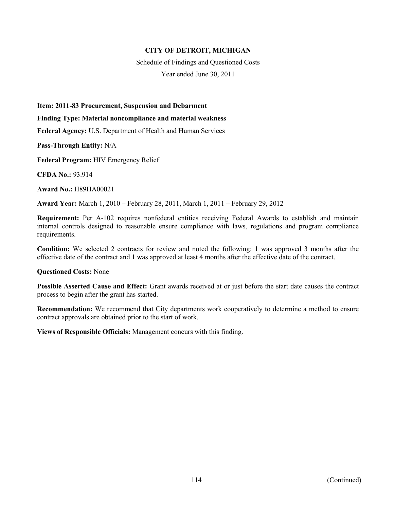Schedule of Findings and Questioned Costs Year ended June 30, 2011

**Item: 2011-83 Procurement, Suspension and Debarment** 

**Finding Type: Material noncompliance and material weakness** 

**Federal Agency:** U.S. Department of Health and Human Services

**Pass-Through Entity:** N/A

**Federal Program:** HIV Emergency Relief

**CFDA No.:** 93.914

**Award No.:** H89HA00021

**Award Year:** March 1, 2010 – February 28, 2011, March 1, 2011 – February 29, 2012

**Requirement:** Per A-102 requires nonfederal entities receiving Federal Awards to establish and maintain internal controls designed to reasonable ensure compliance with laws, regulations and program compliance requirements.

**Condition:** We selected 2 contracts for review and noted the following: 1 was approved 3 months after the effective date of the contract and 1 was approved at least 4 months after the effective date of the contract.

#### **Questioned Costs:** None

**Possible Asserted Cause and Effect:** Grant awards received at or just before the start date causes the contract process to begin after the grant has started.

**Recommendation:** We recommend that City departments work cooperatively to determine a method to ensure contract approvals are obtained prior to the start of work.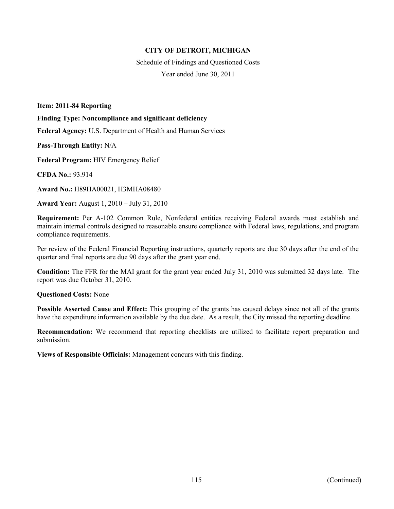Schedule of Findings and Questioned Costs Year ended June 30, 2011

**Item: 2011-84 Reporting** 

**Finding Type: Noncompliance and significant deficiency** 

**Federal Agency:** U.S. Department of Health and Human Services

**Pass-Through Entity:** N/A

**Federal Program:** HIV Emergency Relief

**CFDA No.:** 93.914

**Award No.:** H89HA00021, H3MHA08480

**Award Year:** August 1, 2010 – July 31, 2010

**Requirement:** Per A-102 Common Rule, Nonfederal entities receiving Federal awards must establish and maintain internal controls designed to reasonable ensure compliance with Federal laws, regulations, and program compliance requirements.

Per review of the Federal Financial Reporting instructions, quarterly reports are due 30 days after the end of the quarter and final reports are due 90 days after the grant year end.

**Condition:** The FFR for the MAI grant for the grant year ended July 31, 2010 was submitted 32 days late. The report was due October 31, 2010.

**Questioned Costs:** None

**Possible Asserted Cause and Effect:** This grouping of the grants has caused delays since not all of the grants have the expenditure information available by the due date. As a result, the City missed the reporting deadline.

**Recommendation:** We recommend that reporting checklists are utilized to facilitate report preparation and submission.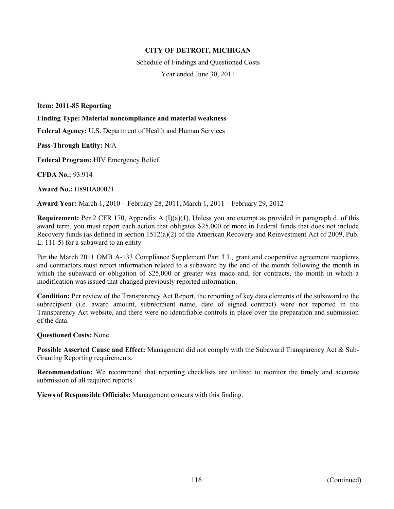Schedule of Findings and Questioned Costs Year ended June 30, 2011

**Item: 2011-85 Reporting** 

**Finding Type: Material noncompliance and material weakness** 

**Federal Agency:** U.S. Department of Health and Human Services

**Pass-Through Entity:** N/A

**Federal Program:** HIV Emergency Relief

**CFDA No.:** 93.914

**Award No.:** H89HA00021

**Award Year:** March 1, 2010 – February 28, 2011, March 1, 2011 – February 29, 2012

**Requirement:** Per 2 CFR 170, Appendix A (I)(a)(1), Unless you are exempt as provided in paragraph d. of this award term, you must report each action that obligates \$25,000 or more in Federal funds that does not include Recovery funds (as defined in section 1512(a)(2) of the American Recovery and Reinvestment Act of 2009, Pub. L. 111-5) for a subaward to an entity.

Per the March 2011 OMB A-133 Compliance Supplement Part 3 L, grant and cooperative agreement recipients and contractors must report information related to a subaward by the end of the month following the month in which the subaward or obligation of \$25,000 or greater was made and, for contracts, the month in which a modification was issued that changed previously reported information.

**Condition:** Per review of the Transparency Act Report, the reporting of key data elements of the subaward to the subrecipient (i.e. award amount, subrecipient name, date of signed contract) were not reported in the Transparency Act website, and there were no identifiable controls in place over the preparation and submission of the data.

#### **Questioned Costs:** None

**Possible Asserted Cause and Effect:** Management did not comply with the Subaward Transparency Act & Sub-Granting Reporting requirements.

**Recommendation:** We recommend that reporting checklists are utilized to monitor the timely and accurate submission of all required reports.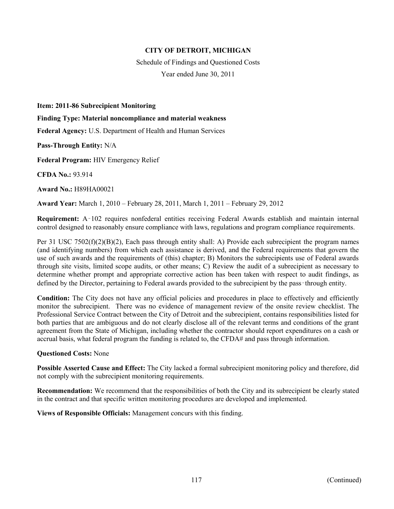Schedule of Findings and Questioned Costs Year ended June 30, 2011

**Item: 2011-86 Subrecipient Monitoring** 

**Finding Type: Material noncompliance and material weakness** 

**Federal Agency:** U.S. Department of Health and Human Services

**Pass-Through Entity:** N/A

**Federal Program:** HIV Emergency Relief

**CFDA No.:** 93.914

**Award No.:** H89HA00021

**Award Year:** March 1, 2010 – February 28, 2011, March 1, 2011 – February 29, 2012

**Requirement:** A‑102 requires nonfederal entities receiving Federal Awards establish and maintain internal control designed to reasonably ensure compliance with laws, regulations and program compliance requirements.

Per 31 USC 7502(f)(2)(B)(2), Each pass through entity shall: A) Provide each subrecipient the program names (and identifying numbers) from which each assistance is derived, and the Federal requirements that govern the use of such awards and the requirements of (this) chapter; B) Monitors the subrecipients use of Federal awards through site visits, limited scope audits, or other means; C) Review the audit of a subrecipient as necessary to determine whether prompt and appropriate corrective action has been taken with respect to audit findings, as defined by the Director, pertaining to Federal awards provided to the subrecipient by the pass–through entity.

**Condition:** The City does not have any official policies and procedures in place to effectively and efficiently monitor the subrecipient. There was no evidence of management review of the onsite review checklist. The Professional Service Contract between the City of Detroit and the subrecipient, contains responsibilities listed for both parties that are ambiguous and do not clearly disclose all of the relevant terms and conditions of the grant agreement from the State of Michigan, including whether the contractor should report expenditures on a cash or accrual basis, what federal program the funding is related to, the CFDA# and pass through information.

#### **Questioned Costs:** None

**Possible Asserted Cause and Effect:** The City lacked a formal subrecipient monitoring policy and therefore, did not comply with the subrecipient monitoring requirements.

**Recommendation:** We recommend that the responsibilities of both the City and its subrecipient be clearly stated in the contract and that specific written monitoring procedures are developed and implemented.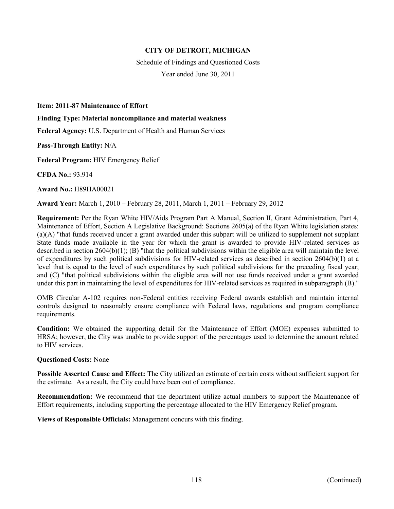Schedule of Findings and Questioned Costs Year ended June 30, 2011

**Item: 2011-87 Maintenance of Effort** 

**Finding Type: Material noncompliance and material weakness** 

**Federal Agency:** U.S. Department of Health and Human Services

**Pass-Through Entity:** N/A

**Federal Program:** HIV Emergency Relief

**CFDA No.:** 93.914

**Award No.:** H89HA00021

**Award Year:** March 1, 2010 – February 28, 2011, March 1, 2011 – February 29, 2012

**Requirement:** Per the Ryan White HIV/Aids Program Part A Manual, Section II, Grant Administration, Part 4, Maintenance of Effort, Section A Legislative Background: Sections 2605(a) of the Ryan White legislation states: (a)(A) "that funds received under a grant awarded under this subpart will be utilized to supplement not supplant State funds made available in the year for which the grant is awarded to provide HIV-related services as described in section 2604(b)(1); (B) "that the political subdivisions within the eligible area will maintain the level of expenditures by such political subdivisions for HIV-related services as described in section 2604(b)(1) at a level that is equal to the level of such expenditures by such political subdivisions for the preceding fiscal year; and (C) "that political subdivisions within the eligible area will not use funds received under a grant awarded under this part in maintaining the level of expenditures for HIV-related services as required in subparagraph (B)."

OMB Circular A-102 requires non-Federal entities receiving Federal awards establish and maintain internal controls designed to reasonably ensure compliance with Federal laws, regulations and program compliance requirements.

**Condition:** We obtained the supporting detail for the Maintenance of Effort (MOE) expenses submitted to HRSA; however, the City was unable to provide support of the percentages used to determine the amount related to HIV services.

#### **Questioned Costs:** None

**Possible Asserted Cause and Effect:** The City utilized an estimate of certain costs without sufficient support for the estimate. As a result, the City could have been out of compliance.

**Recommendation:** We recommend that the department utilize actual numbers to support the Maintenance of Effort requirements, including supporting the percentage allocated to the HIV Emergency Relief program.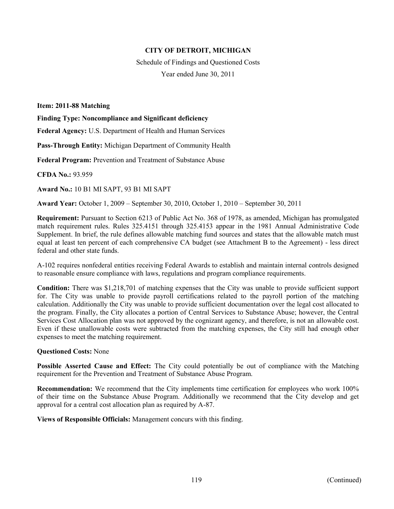Schedule of Findings and Questioned Costs Year ended June 30, 2011

**Item: 2011-88 Matching** 

**Finding Type: Noncompliance and Significant deficiency** 

**Federal Agency:** U.S. Department of Health and Human Services

**Pass-Through Entity:** Michigan Department of Community Health

**Federal Program:** Prevention and Treatment of Substance Abuse

**CFDA No.:** 93.959

**Award No.:** 10 B1 MI SAPT, 93 B1 MI SAPT

**Award Year:** October 1, 2009 – September 30, 2010, October 1, 2010 – September 30, 2011

**Requirement:** Pursuant to Section 6213 of Public Act No. 368 of 1978, as amended, Michigan has promulgated match requirement rules. Rules 325.4151 through 325.4153 appear in the 1981 Annual Administrative Code Supplement. In brief, the rule defines allowable matching fund sources and states that the allowable match must equal at least ten percent of each comprehensive CA budget (see Attachment B to the Agreement) - less direct federal and other state funds.

A-102 requires nonfederal entities receiving Federal Awards to establish and maintain internal controls designed to reasonable ensure compliance with laws, regulations and program compliance requirements.

**Condition:** There was \$1,218,701 of matching expenses that the City was unable to provide sufficient support for. The City was unable to provide payroll certifications related to the payroll portion of the matching calculation. Additionally the City was unable to provide sufficient documentation over the legal cost allocated to the program. Finally, the City allocates a portion of Central Services to Substance Abuse; however, the Central Services Cost Allocation plan was not approved by the cognizant agency, and therefore, is not an allowable cost. Even if these unallowable costs were subtracted from the matching expenses, the City still had enough other expenses to meet the matching requirement.

#### **Questioned Costs:** None

**Possible Asserted Cause and Effect:** The City could potentially be out of compliance with the Matching requirement for the Prevention and Treatment of Substance Abuse Program.

**Recommendation:** We recommend that the City implements time certification for employees who work 100% of their time on the Substance Abuse Program. Additionally we recommend that the City develop and get approval for a central cost allocation plan as required by A-87.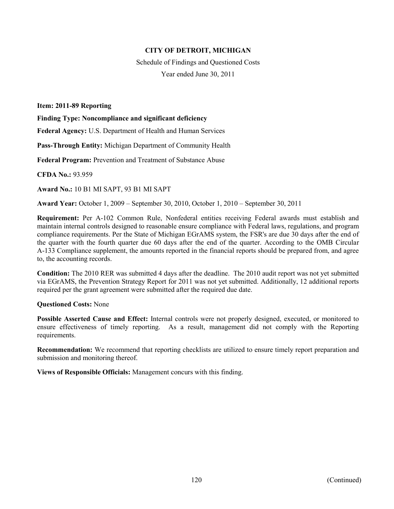Schedule of Findings and Questioned Costs Year ended June 30, 2011

**Item: 2011-89 Reporting** 

**Finding Type: Noncompliance and significant deficiency** 

**Federal Agency:** U.S. Department of Health and Human Services

**Pass-Through Entity:** Michigan Department of Community Health

**Federal Program:** Prevention and Treatment of Substance Abuse

**CFDA No.:** 93.959

**Award No.:** 10 B1 MI SAPT, 93 B1 MI SAPT

**Award Year:** October 1, 2009 – September 30, 2010, October 1, 2010 – September 30, 2011

**Requirement:** Per A-102 Common Rule, Nonfederal entities receiving Federal awards must establish and maintain internal controls designed to reasonable ensure compliance with Federal laws, regulations, and program compliance requirements. Per the State of Michigan EGrAMS system, the FSR's are due 30 days after the end of the quarter with the fourth quarter due 60 days after the end of the quarter. According to the OMB Circular A-133 Compliance supplement, the amounts reported in the financial reports should be prepared from, and agree to, the accounting records.

**Condition:** The 2010 RER was submitted 4 days after the deadline. The 2010 audit report was not yet submitted via EGrAMS, the Prevention Strategy Report for 2011 was not yet submitted. Additionally, 12 additional reports required per the grant agreement were submitted after the required due date.

#### **Questioned Costs:** None

**Possible Asserted Cause and Effect:** Internal controls were not properly designed, executed, or monitored to ensure effectiveness of timely reporting. As a result, management did not comply with the Reporting requirements.

**Recommendation:** We recommend that reporting checklists are utilized to ensure timely report preparation and submission and monitoring thereof.